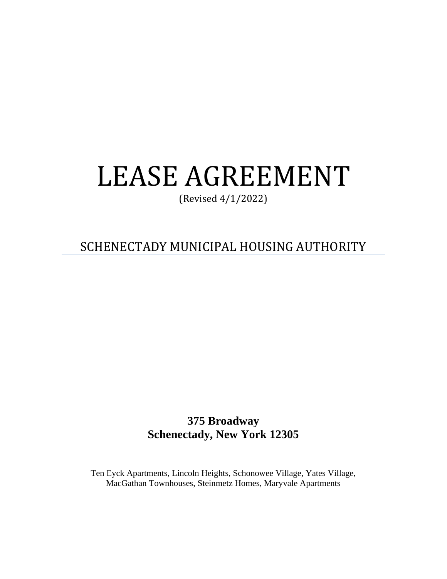# LEASE AGREEMENT

(Revised 4/1/2022)

SCHENECTADY MUNICIPAL HOUSING AUTHORITY

**375 Broadway Schenectady, New York 12305** 

Ten Eyck Apartments, Lincoln Heights, Schonowee Village, Yates Village, MacGathan Townhouses, Steinmetz Homes, Maryvale Apartments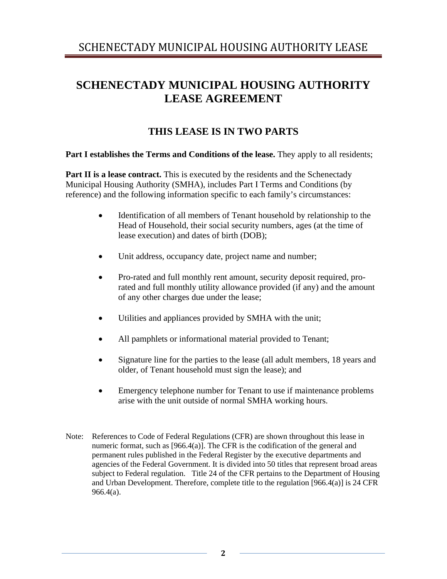# **SCHENECTADY MUNICIPAL HOUSING AUTHORITY LEASE AGREEMENT**

# **THIS LEASE IS IN TWO PARTS**

## **Part I establishes the Terms and Conditions of the lease.** They apply to all residents;

**Part II is a lease contract.** This is executed by the residents and the Schenectady Municipal Housing Authority (SMHA), includes Part I Terms and Conditions (by reference) and the following information specific to each family's circumstances:

- Identification of all members of Tenant household by relationship to the Head of Household, their social security numbers, ages (at the time of lease execution) and dates of birth (DOB);
- Unit address, occupancy date, project name and number;
- Pro-rated and full monthly rent amount, security deposit required, prorated and full monthly utility allowance provided (if any) and the amount of any other charges due under the lease;
- Utilities and appliances provided by SMHA with the unit;
- All pamphlets or informational material provided to Tenant;
- Signature line for the parties to the lease (all adult members, 18 years and older, of Tenant household must sign the lease); and
- Emergency telephone number for Tenant to use if maintenance problems arise with the unit outside of normal SMHA working hours.
- Note: References to Code of Federal Regulations (CFR) are shown throughout this lease in numeric format, such as [966.4(a)]. The CFR is the codification of the general and permanent rules published in the Federal Register by the executive departments and agencies of the Federal Government. It is divided into 50 titles that represent broad areas subject to Federal regulation. Title 24 of the CFR pertains to the Department of Housing and Urban Development. Therefore, complete title to the regulation [966.4(a)] is 24 CFR 966.4(a).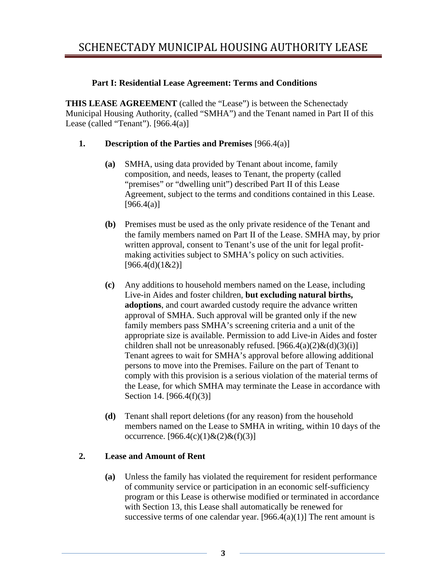## **Part I: Residential Lease Agreement: Terms and Conditions**

**THIS LEASE AGREEMENT** (called the "Lease") is between the Schenectady Municipal Housing Authority, (called "SMHA") and the Tenant named in Part II of this Lease (called "Tenant"). [966.4(a)]

## **1. Description of the Parties and Premises** [966.4(a)]

- **(a)** SMHA, using data provided by Tenant about income, family composition, and needs, leases to Tenant, the property (called "premises" or "dwelling unit") described Part II of this Lease Agreement, subject to the terms and conditions contained in this Lease.  $[966.4(a)]$
- **(b)** Premises must be used as the only private residence of the Tenant and the family members named on Part II of the Lease. SMHA may, by prior written approval, consent to Tenant's use of the unit for legal profitmaking activities subject to SMHA's policy on such activities.  $[966.4(d)(1&2)]$
- **(c)** Any additions to household members named on the Lease, including Live-in Aides and foster children, **but excluding natural births, adoptions**, and court awarded custody require the advance written approval of SMHA. Such approval will be granted only if the new family members pass SMHA's screening criteria and a unit of the appropriate size is available. Permission to add Live-in Aides and foster children shall not be unreasonably refused.  $[966.4(a)(2) \& (d)(3)(i)]$ Tenant agrees to wait for SMHA's approval before allowing additional persons to move into the Premises. Failure on the part of Tenant to comply with this provision is a serious violation of the material terms of the Lease, for which SMHA may terminate the Lease in accordance with Section 14. [966.4(f)(3)]
- **(d)** Tenant shall report deletions (for any reason) from the household members named on the Lease to SMHA in writing, within 10 days of the occurrence.  $[966.4(c)(1) \& (2) \& (f)(3)]$

# **2. Lease and Amount of Rent**

**(a)** Unless the family has violated the requirement for resident performance of community service or participation in an economic self-sufficiency program or this Lease is otherwise modified or terminated in accordance with Section 13, this Lease shall automatically be renewed for successive terms of one calendar year.  $[966.4(a)(1)]$  The rent amount is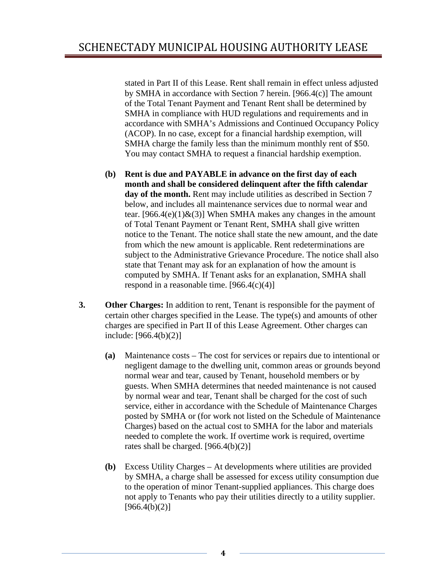stated in Part II of this Lease. Rent shall remain in effect unless adjusted by SMHA in accordance with Section 7 herein. [966.4(c)] The amount of the Total Tenant Payment and Tenant Rent shall be determined by SMHA in compliance with HUD regulations and requirements and in accordance with SMHA's Admissions and Continued Occupancy Policy (ACOP). In no case, except for a financial hardship exemption, will SMHA charge the family less than the minimum monthly rent of \$50. You may contact SMHA to request a financial hardship exemption.

- **(b) Rent is due and PAYABLE in advance on the first day of each month and shall be considered delinquent after the fifth calendar day of the month.** Rent may include utilities as described in Section 7 below, and includes all maintenance services due to normal wear and tear. [966.4(e)(1) $\&$ (3)] When SMHA makes any changes in the amount of Total Tenant Payment or Tenant Rent, SMHA shall give written notice to the Tenant. The notice shall state the new amount, and the date from which the new amount is applicable. Rent redeterminations are subject to the Administrative Grievance Procedure. The notice shall also state that Tenant may ask for an explanation of how the amount is computed by SMHA. If Tenant asks for an explanation, SMHA shall respond in a reasonable time.  $[966.4(c)(4)]$
- **3. Other Charges:** In addition to rent, Tenant is responsible for the payment of certain other charges specified in the Lease. The type(s) and amounts of other charges are specified in Part II of this Lease Agreement. Other charges can include: [966.4(b)(2)]
	- **(a)** Maintenance costs The cost for services or repairs due to intentional or negligent damage to the dwelling unit, common areas or grounds beyond normal wear and tear, caused by Tenant, household members or by guests. When SMHA determines that needed maintenance is not caused by normal wear and tear, Tenant shall be charged for the cost of such service, either in accordance with the Schedule of Maintenance Charges posted by SMHA or (for work not listed on the Schedule of Maintenance Charges) based on the actual cost to SMHA for the labor and materials needed to complete the work. If overtime work is required, overtime rates shall be charged.  $[966.4(b)(2)]$
	- **(b)** Excess Utility Charges At developments where utilities are provided by SMHA, a charge shall be assessed for excess utility consumption due to the operation of minor Tenant-supplied appliances. This charge does not apply to Tenants who pay their utilities directly to a utility supplier.  $[966.4(b)(2)]$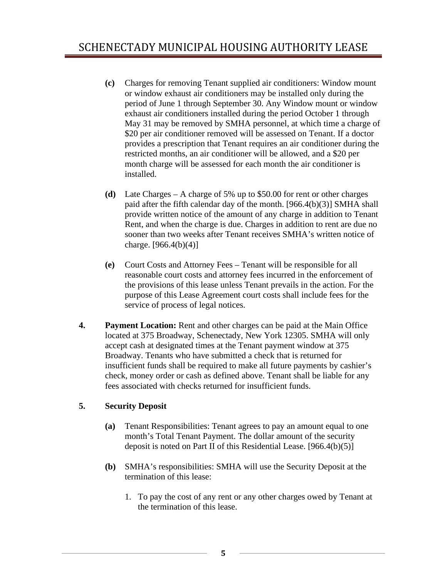- **(c)** Charges for removing Tenant supplied air conditioners: Window mount or window exhaust air conditioners may be installed only during the period of June 1 through September 30. Any Window mount or window exhaust air conditioners installed during the period October 1 through May 31 may be removed by SMHA personnel, at which time a charge of \$20 per air conditioner removed will be assessed on Tenant. If a doctor provides a prescription that Tenant requires an air conditioner during the restricted months, an air conditioner will be allowed, and a \$20 per month charge will be assessed for each month the air conditioner is installed.
- **(d)** Late Charges A charge of 5% up to \$50.00 for rent or other charges paid after the fifth calendar day of the month. [966.4(b)(3)] SMHA shall provide written notice of the amount of any charge in addition to Tenant Rent, and when the charge is due. Charges in addition to rent are due no sooner than two weeks after Tenant receives SMHA's written notice of charge.  $[966.4(b)(4)]$
- **(e)** Court Costs and Attorney Fees Tenant will be responsible for all reasonable court costs and attorney fees incurred in the enforcement of the provisions of this lease unless Tenant prevails in the action. For the purpose of this Lease Agreement court costs shall include fees for the service of process of legal notices.
- **4. Payment Location:** Rent and other charges can be paid at the Main Office located at 375 Broadway, Schenectady, New York 12305. SMHA will only accept cash at designated times at the Tenant payment window at 375 Broadway. Tenants who have submitted a check that is returned for insufficient funds shall be required to make all future payments by cashier's check, money order or cash as defined above. Tenant shall be liable for any fees associated with checks returned for insufficient funds.

#### **5. Security Deposit**

- **(a)** Tenant Responsibilities: Tenant agrees to pay an amount equal to one month's Total Tenant Payment. The dollar amount of the security deposit is noted on Part II of this Residential Lease. [966.4(b)(5)]
- **(b)** SMHA's responsibilities: SMHA will use the Security Deposit at the termination of this lease:
	- 1. To pay the cost of any rent or any other charges owed by Tenant at the termination of this lease.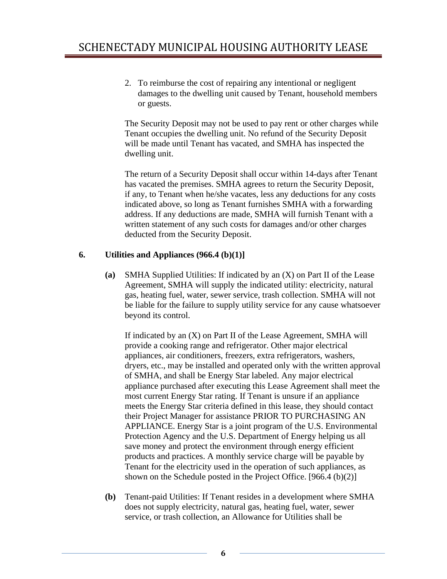2. To reimburse the cost of repairing any intentional or negligent damages to the dwelling unit caused by Tenant, household members or guests.

The Security Deposit may not be used to pay rent or other charges while Tenant occupies the dwelling unit. No refund of the Security Deposit will be made until Tenant has vacated, and SMHA has inspected the dwelling unit.

The return of a Security Deposit shall occur within 14-days after Tenant has vacated the premises. SMHA agrees to return the Security Deposit, if any, to Tenant when he/she vacates, less any deductions for any costs indicated above, so long as Tenant furnishes SMHA with a forwarding address. If any deductions are made, SMHA will furnish Tenant with a written statement of any such costs for damages and/or other charges deducted from the Security Deposit.

## **6. Utilities and Appliances (966.4 (b)(1)]**

**(a)** SMHA Supplied Utilities: If indicated by an (X) on Part II of the Lease Agreement, SMHA will supply the indicated utility: electricity, natural gas, heating fuel, water, sewer service, trash collection. SMHA will not be liable for the failure to supply utility service for any cause whatsoever beyond its control.

 If indicated by an (X) on Part II of the Lease Agreement, SMHA will provide a cooking range and refrigerator. Other major electrical appliances, air conditioners, freezers, extra refrigerators, washers, dryers, etc., may be installed and operated only with the written approval of SMHA, and shall be Energy Star labeled. Any major electrical appliance purchased after executing this Lease Agreement shall meet the most current Energy Star rating. If Tenant is unsure if an appliance meets the Energy Star criteria defined in this lease, they should contact their Project Manager for assistance PRIOR TO PURCHASING AN APPLIANCE. Energy Star is a joint program of the U.S. Environmental Protection Agency and the U.S. Department of Energy helping us all save money and protect the environment through energy efficient products and practices. A monthly service charge will be payable by Tenant for the electricity used in the operation of such appliances, as shown on the Schedule posted in the Project Office. [966.4 (b)(2)]

**(b)** Tenant-paid Utilities: If Tenant resides in a development where SMHA does not supply electricity, natural gas, heating fuel, water, sewer service, or trash collection, an Allowance for Utilities shall be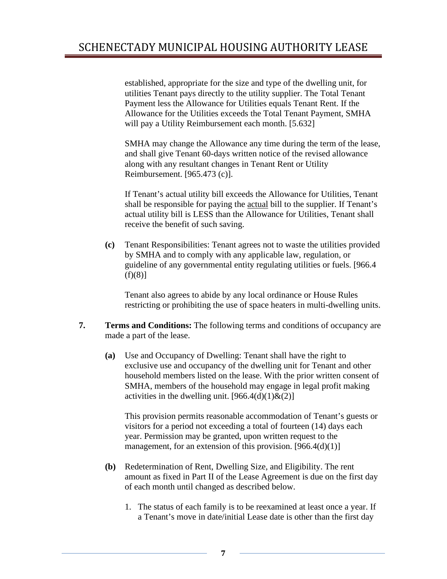established, appropriate for the size and type of the dwelling unit, for utilities Tenant pays directly to the utility supplier. The Total Tenant Payment less the Allowance for Utilities equals Tenant Rent. If the Allowance for the Utilities exceeds the Total Tenant Payment, SMHA will pay a Utility Reimbursement each month. [5.632]

SMHA may change the Allowance any time during the term of the lease, and shall give Tenant 60-days written notice of the revised allowance along with any resultant changes in Tenant Rent or Utility Reimbursement. [965.473 (c)].

If Tenant's actual utility bill exceeds the Allowance for Utilities, Tenant shall be responsible for paying the actual bill to the supplier. If Tenant's actual utility bill is LESS than the Allowance for Utilities, Tenant shall receive the benefit of such saving.

**(c)** Tenant Responsibilities: Tenant agrees not to waste the utilities provided by SMHA and to comply with any applicable law, regulation, or guideline of any governmental entity regulating utilities or fuels. [966.4  $(f)(8)$ ]

Tenant also agrees to abide by any local ordinance or House Rules restricting or prohibiting the use of space heaters in multi-dwelling units.

- **7. Terms and Conditions:** The following terms and conditions of occupancy are made a part of the lease.
	- **(a)** Use and Occupancy of Dwelling: Tenant shall have the right to exclusive use and occupancy of the dwelling unit for Tenant and other household members listed on the lease. With the prior written consent of SMHA, members of the household may engage in legal profit making activities in the dwelling unit.  $[966.4(d)(1) \& (2)]$

 This provision permits reasonable accommodation of Tenant's guests or visitors for a period not exceeding a total of fourteen (14) days each year. Permission may be granted, upon written request to the management, for an extension of this provision.  $[966.4(d)(1)]$ 

- **(b)** Redetermination of Rent, Dwelling Size, and Eligibility. The rent amount as fixed in Part II of the Lease Agreement is due on the first day of each month until changed as described below.
	- 1. The status of each family is to be reexamined at least once a year. If a Tenant's move in date/initial Lease date is other than the first day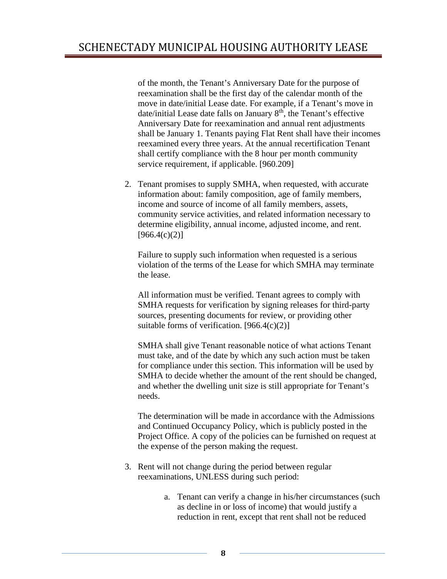of the month, the Tenant's Anniversary Date for the purpose of reexamination shall be the first day of the calendar month of the move in date/initial Lease date. For example, if a Tenant's move in date/initial Lease date falls on January  $8<sup>th</sup>$ , the Tenant's effective Anniversary Date for reexamination and annual rent adjustments shall be January 1. Tenants paying Flat Rent shall have their incomes reexamined every three years. At the annual recertification Tenant shall certify compliance with the 8 hour per month community service requirement, if applicable. [960.209]

2. Tenant promises to supply SMHA, when requested, with accurate information about: family composition, age of family members, income and source of income of all family members, assets, community service activities, and related information necessary to determine eligibility, annual income, adjusted income, and rent.  $[966.4(c)(2)]$ 

Failure to supply such information when requested is a serious violation of the terms of the Lease for which SMHA may terminate the lease.

All information must be verified. Tenant agrees to comply with SMHA requests for verification by signing releases for third-party sources, presenting documents for review, or providing other suitable forms of verification.  $[966.4(c)(2)]$ 

SMHA shall give Tenant reasonable notice of what actions Tenant must take, and of the date by which any such action must be taken for compliance under this section. This information will be used by SMHA to decide whether the amount of the rent should be changed, and whether the dwelling unit size is still appropriate for Tenant's needs.

The determination will be made in accordance with the Admissions and Continued Occupancy Policy, which is publicly posted in the Project Office. A copy of the policies can be furnished on request at the expense of the person making the request.

- 3. Rent will not change during the period between regular reexaminations, UNLESS during such period:
	- a. Tenant can verify a change in his/her circumstances (such as decline in or loss of income) that would justify a reduction in rent, except that rent shall not be reduced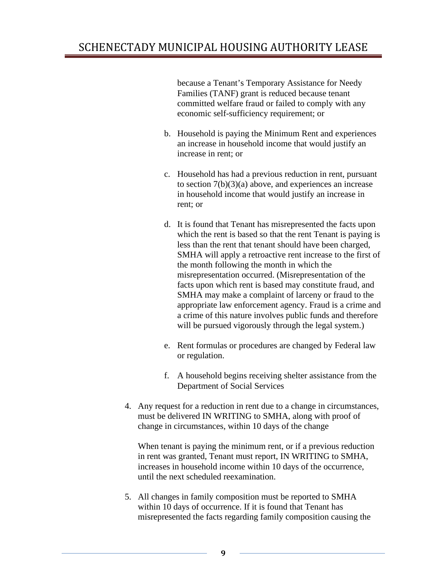because a Tenant's Temporary Assistance for Needy Families (TANF) grant is reduced because tenant committed welfare fraud or failed to comply with any economic self-sufficiency requirement; or

- b. Household is paying the Minimum Rent and experiences an increase in household income that would justify an increase in rent; or
- c. Household has had a previous reduction in rent, pursuant to section  $7(b)(3)(a)$  above, and experiences an increase in household income that would justify an increase in rent; or
- d. It is found that Tenant has misrepresented the facts upon which the rent is based so that the rent Tenant is paying is less than the rent that tenant should have been charged, SMHA will apply a retroactive rent increase to the first of the month following the month in which the misrepresentation occurred. (Misrepresentation of the facts upon which rent is based may constitute fraud, and SMHA may make a complaint of larceny or fraud to the appropriate law enforcement agency. Fraud is a crime and a crime of this nature involves public funds and therefore will be pursued vigorously through the legal system.)
- e. Rent formulas or procedures are changed by Federal law or regulation.
- f. A household begins receiving shelter assistance from the Department of Social Services
- 4. Any request for a reduction in rent due to a change in circumstances, must be delivered IN WRITING to SMHA, along with proof of change in circumstances, within 10 days of the change

When tenant is paying the minimum rent, or if a previous reduction in rent was granted, Tenant must report, IN WRITING to SMHA, increases in household income within 10 days of the occurrence, until the next scheduled reexamination.

5. All changes in family composition must be reported to SMHA within 10 days of occurrence. If it is found that Tenant has misrepresented the facts regarding family composition causing the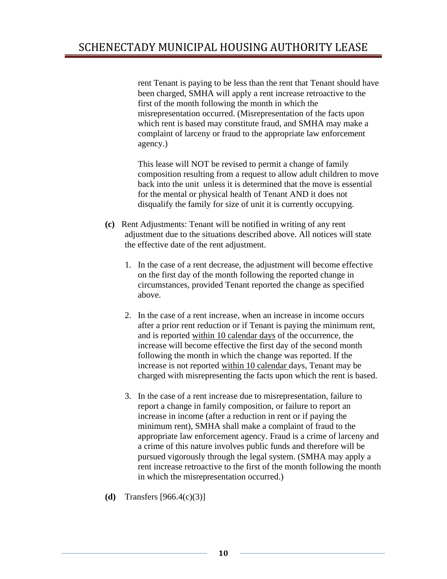rent Tenant is paying to be less than the rent that Tenant should have been charged, SMHA will apply a rent increase retroactive to the first of the month following the month in which the misrepresentation occurred. (Misrepresentation of the facts upon which rent is based may constitute fraud, and SMHA may make a complaint of larceny or fraud to the appropriate law enforcement agency.)

This lease will NOT be revised to permit a change of family composition resulting from a request to allow adult children to move back into the unit unless it is determined that the move is essential for the mental or physical health of Tenant AND it does not disqualify the family for size of unit it is currently occupying.

- **(c)** Rent Adjustments: Tenant will be notified in writing of any rent adjustment due to the situations described above. All notices will state the effective date of the rent adjustment.
	- 1. In the case of a rent decrease, the adjustment will become effective on the first day of the month following the reported change in circumstances, provided Tenant reported the change as specified above.
	- 2. In the case of a rent increase, when an increase in income occurs after a prior rent reduction or if Tenant is paying the minimum rent, and is reported within 10 calendar days of the occurrence, the increase will become effective the first day of the second month following the month in which the change was reported. If the increase is not reported within 10 calendar days, Tenant may be charged with misrepresenting the facts upon which the rent is based.
	- 3. In the case of a rent increase due to misrepresentation, failure to report a change in family composition, or failure to report an increase in income (after a reduction in rent or if paying the minimum rent), SMHA shall make a complaint of fraud to the appropriate law enforcement agency. Fraud is a crime of larceny and a crime of this nature involves public funds and therefore will be pursued vigorously through the legal system. (SMHA may apply a rent increase retroactive to the first of the month following the month in which the misrepresentation occurred.)
- **(d)** Transfers [966.4(c)(3)]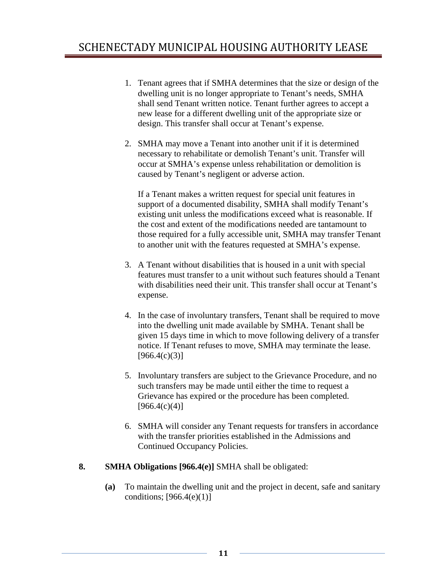- 1. Tenant agrees that if SMHA determines that the size or design of the dwelling unit is no longer appropriate to Tenant's needs, SMHA shall send Tenant written notice. Tenant further agrees to accept a new lease for a different dwelling unit of the appropriate size or design. This transfer shall occur at Tenant's expense.
- 2. SMHA may move a Tenant into another unit if it is determined necessary to rehabilitate or demolish Tenant's unit. Transfer will occur at SMHA's expense unless rehabilitation or demolition is caused by Tenant's negligent or adverse action.

If a Tenant makes a written request for special unit features in support of a documented disability, SMHA shall modify Tenant's existing unit unless the modifications exceed what is reasonable. If the cost and extent of the modifications needed are tantamount to those required for a fully accessible unit, SMHA may transfer Tenant to another unit with the features requested at SMHA's expense.

- 3. A Tenant without disabilities that is housed in a unit with special features must transfer to a unit without such features should a Tenant with disabilities need their unit. This transfer shall occur at Tenant's expense.
- 4. In the case of involuntary transfers, Tenant shall be required to move into the dwelling unit made available by SMHA. Tenant shall be given 15 days time in which to move following delivery of a transfer notice. If Tenant refuses to move, SMHA may terminate the lease.  $[966.4(c)(3)]$
- 5. Involuntary transfers are subject to the Grievance Procedure, and no such transfers may be made until either the time to request a Grievance has expired or the procedure has been completed.  $[966.4(c)(4)]$
- 6. SMHA will consider any Tenant requests for transfers in accordance with the transfer priorities established in the Admissions and Continued Occupancy Policies.
- **8. SMHA Obligations [966.4(e)]** SMHA shall be obligated:
	- **(a)** To maintain the dwelling unit and the project in decent, safe and sanitary conditions;  $[966.4(e)(1)]$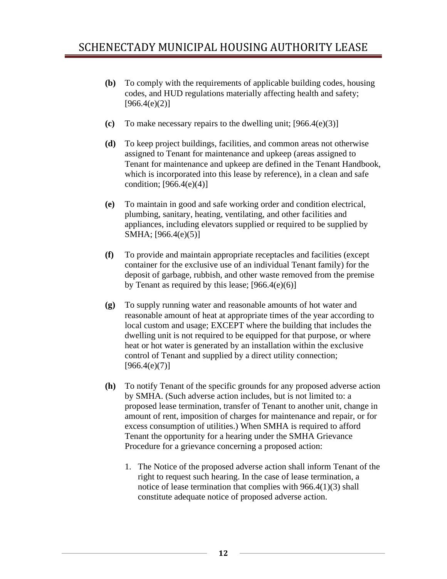- **(b)** To comply with the requirements of applicable building codes, housing codes, and HUD regulations materially affecting health and safety;  $[966.4(e)(2)]$
- **(c)** To make necessary repairs to the dwelling unit; [966.4(e)(3)]
- **(d)** To keep project buildings, facilities, and common areas not otherwise assigned to Tenant for maintenance and upkeep (areas assigned to Tenant for maintenance and upkeep are defined in the Tenant Handbook, which is incorporated into this lease by reference), in a clean and safe condition;  $[966.4(e)(4)]$
- **(e)** To maintain in good and safe working order and condition electrical, plumbing, sanitary, heating, ventilating, and other facilities and appliances, including elevators supplied or required to be supplied by SMHA; [966.4(e)(5)]
- **(f)** To provide and maintain appropriate receptacles and facilities (except container for the exclusive use of an individual Tenant family) for the deposit of garbage, rubbish, and other waste removed from the premise by Tenant as required by this lease; [966.4(e)(6)]
- **(g)** To supply running water and reasonable amounts of hot water and reasonable amount of heat at appropriate times of the year according to local custom and usage; EXCEPT where the building that includes the dwelling unit is not required to be equipped for that purpose, or where heat or hot water is generated by an installation within the exclusive control of Tenant and supplied by a direct utility connection;  $[966.4(e)(7)]$
- **(h)** To notify Tenant of the specific grounds for any proposed adverse action by SMHA. (Such adverse action includes, but is not limited to: a proposed lease termination, transfer of Tenant to another unit, change in amount of rent, imposition of charges for maintenance and repair, or for excess consumption of utilities.) When SMHA is required to afford Tenant the opportunity for a hearing under the SMHA Grievance Procedure for a grievance concerning a proposed action:
	- 1. The Notice of the proposed adverse action shall inform Tenant of the right to request such hearing. In the case of lease termination, a notice of lease termination that complies with 966.4(1)(3) shall constitute adequate notice of proposed adverse action.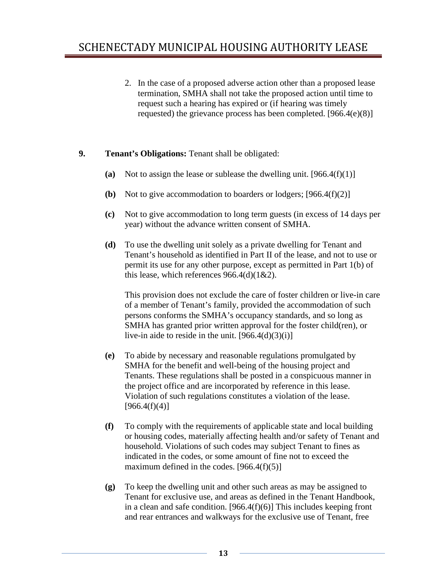2. In the case of a proposed adverse action other than a proposed lease termination, SMHA shall not take the proposed action until time to request such a hearing has expired or (if hearing was timely requested) the grievance process has been completed. [966.4(e)(8)]

## **9. Tenant's Obligations:** Tenant shall be obligated:

- **(a)** Not to assign the lease or sublease the dwelling unit. [966.4(f)(1)]
- **(b)** Not to give accommodation to boarders or lodgers; [966.4(f)(2)]
- **(c)** Not to give accommodation to long term guests (in excess of 14 days per year) without the advance written consent of SMHA.
- **(d)** To use the dwelling unit solely as a private dwelling for Tenant and Tenant's household as identified in Part II of the lease, and not to use or permit its use for any other purpose, except as permitted in Part 1(b) of this lease, which references  $966.4(d)(1&&2)$ .

This provision does not exclude the care of foster children or live-in care of a member of Tenant's family, provided the accommodation of such persons conforms the SMHA's occupancy standards, and so long as SMHA has granted prior written approval for the foster child(ren), or live-in aide to reside in the unit.  $[966.4(d)(3)(i)]$ 

- **(e)** To abide by necessary and reasonable regulations promulgated by SMHA for the benefit and well-being of the housing project and Tenants. These regulations shall be posted in a conspicuous manner in the project office and are incorporated by reference in this lease. Violation of such regulations constitutes a violation of the lease.  $[966.4(f)(4)]$
- **(f)** To comply with the requirements of applicable state and local building or housing codes, materially affecting health and/or safety of Tenant and household. Violations of such codes may subject Tenant to fines as indicated in the codes, or some amount of fine not to exceed the maximum defined in the codes.  $[966.4(f)(5)]$
- **(g)** To keep the dwelling unit and other such areas as may be assigned to Tenant for exclusive use, and areas as defined in the Tenant Handbook, in a clean and safe condition.  $[966.4(f)(6)]$  This includes keeping front and rear entrances and walkways for the exclusive use of Tenant, free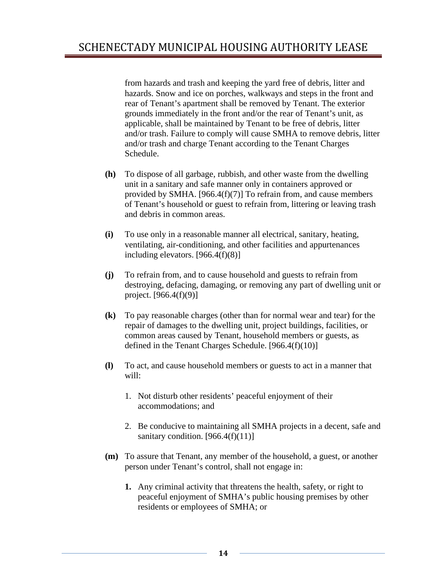from hazards and trash and keeping the yard free of debris, litter and hazards. Snow and ice on porches, walkways and steps in the front and rear of Tenant's apartment shall be removed by Tenant. The exterior grounds immediately in the front and/or the rear of Tenant's unit, as applicable, shall be maintained by Tenant to be free of debris, litter and/or trash. Failure to comply will cause SMHA to remove debris, litter and/or trash and charge Tenant according to the Tenant Charges Schedule.

- **(h)** To dispose of all garbage, rubbish, and other waste from the dwelling unit in a sanitary and safe manner only in containers approved or provided by SMHA. [966.4(f)(7)] To refrain from, and cause members of Tenant's household or guest to refrain from, littering or leaving trash and debris in common areas.
- **(i)** To use only in a reasonable manner all electrical, sanitary, heating, ventilating, air-conditioning, and other facilities and appurtenances including elevators. [966.4(f)(8)]
- **(j)** To refrain from, and to cause household and guests to refrain from destroying, defacing, damaging, or removing any part of dwelling unit or project. [966.4(f)(9)]
- **(k)** To pay reasonable charges (other than for normal wear and tear) for the repair of damages to the dwelling unit, project buildings, facilities, or common areas caused by Tenant, household members or guests, as defined in the Tenant Charges Schedule. [966.4(f)(10)]
- **(l)** To act, and cause household members or guests to act in a manner that will:
	- 1. Not disturb other residents' peaceful enjoyment of their accommodations; and
	- 2. Be conducive to maintaining all SMHA projects in a decent, safe and sanitary condition.  $[966.4(f)(11)]$
- **(m)** To assure that Tenant, any member of the household, a guest, or another person under Tenant's control, shall not engage in:
	- **1.** Any criminal activity that threatens the health, safety, or right to peaceful enjoyment of SMHA's public housing premises by other residents or employees of SMHA; or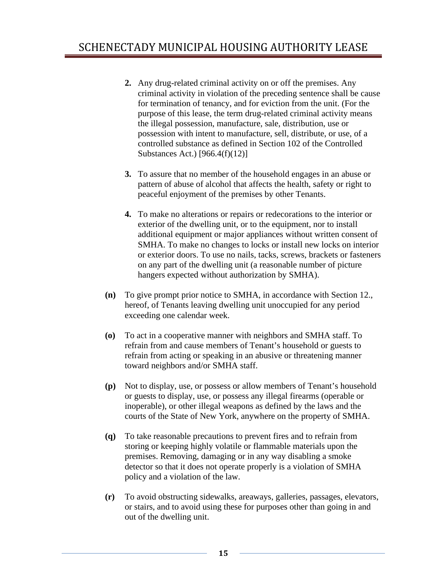- **2.** Any drug-related criminal activity on or off the premises. Any criminal activity in violation of the preceding sentence shall be cause for termination of tenancy, and for eviction from the unit. (For the purpose of this lease, the term drug-related criminal activity means the illegal possession, manufacture, sale, distribution, use or possession with intent to manufacture, sell, distribute, or use, of a controlled substance as defined in Section 102 of the Controlled Substances Act.) [966.4(f)(12)]
- **3.** To assure that no member of the household engages in an abuse or pattern of abuse of alcohol that affects the health, safety or right to peaceful enjoyment of the premises by other Tenants.
- **4.** To make no alterations or repairs or redecorations to the interior or exterior of the dwelling unit, or to the equipment, nor to install additional equipment or major appliances without written consent of SMHA. To make no changes to locks or install new locks on interior or exterior doors. To use no nails, tacks, screws, brackets or fasteners on any part of the dwelling unit (a reasonable number of picture hangers expected without authorization by SMHA).
- **(n)** To give prompt prior notice to SMHA, in accordance with Section 12., hereof, of Tenants leaving dwelling unit unoccupied for any period exceeding one calendar week.
- **(o)** To act in a cooperative manner with neighbors and SMHA staff. To refrain from and cause members of Tenant's household or guests to refrain from acting or speaking in an abusive or threatening manner toward neighbors and/or SMHA staff.
- **(p)** Not to display, use, or possess or allow members of Tenant's household or guests to display, use, or possess any illegal firearms (operable or inoperable), or other illegal weapons as defined by the laws and the courts of the State of New York, anywhere on the property of SMHA.
- **(q)** To take reasonable precautions to prevent fires and to refrain from storing or keeping highly volatile or flammable materials upon the premises. Removing, damaging or in any way disabling a smoke detector so that it does not operate properly is a violation of SMHA policy and a violation of the law.
- **(r)** To avoid obstructing sidewalks, areaways, galleries, passages, elevators, or stairs, and to avoid using these for purposes other than going in and out of the dwelling unit.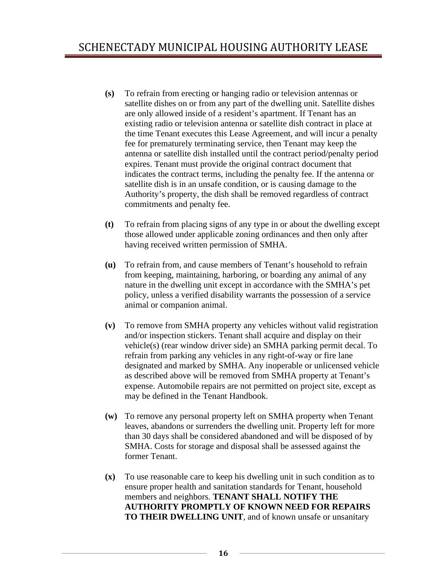- **(s)** To refrain from erecting or hanging radio or television antennas or satellite dishes on or from any part of the dwelling unit. Satellite dishes are only allowed inside of a resident's apartment. If Tenant has an existing radio or television antenna or satellite dish contract in place at the time Tenant executes this Lease Agreement, and will incur a penalty fee for prematurely terminating service, then Tenant may keep the antenna or satellite dish installed until the contract period/penalty period expires. Tenant must provide the original contract document that indicates the contract terms, including the penalty fee. If the antenna or satellite dish is in an unsafe condition, or is causing damage to the Authority's property, the dish shall be removed regardless of contract commitments and penalty fee.
- **(t)** To refrain from placing signs of any type in or about the dwelling except those allowed under applicable zoning ordinances and then only after having received written permission of SMHA.
- **(u)** To refrain from, and cause members of Tenant's household to refrain from keeping, maintaining, harboring, or boarding any animal of any nature in the dwelling unit except in accordance with the SMHA's pet policy, unless a verified disability warrants the possession of a service animal or companion animal.
- **(v)** To remove from SMHA property any vehicles without valid registration and/or inspection stickers. Tenant shall acquire and display on their vehicle(s) (rear window driver side) an SMHA parking permit decal. To refrain from parking any vehicles in any right-of-way or fire lane designated and marked by SMHA. Any inoperable or unlicensed vehicle as described above will be removed from SMHA property at Tenant's expense. Automobile repairs are not permitted on project site, except as may be defined in the Tenant Handbook.
- **(w)** To remove any personal property left on SMHA property when Tenant leaves, abandons or surrenders the dwelling unit. Property left for more than 30 days shall be considered abandoned and will be disposed of by SMHA. Costs for storage and disposal shall be assessed against the former Tenant.
- **(x)** To use reasonable care to keep his dwelling unit in such condition as to ensure proper health and sanitation standards for Tenant, household members and neighbors. **TENANT SHALL NOTIFY THE AUTHORITY PROMPTLY OF KNOWN NEED FOR REPAIRS TO THEIR DWELLING UNIT**, and of known unsafe or unsanitary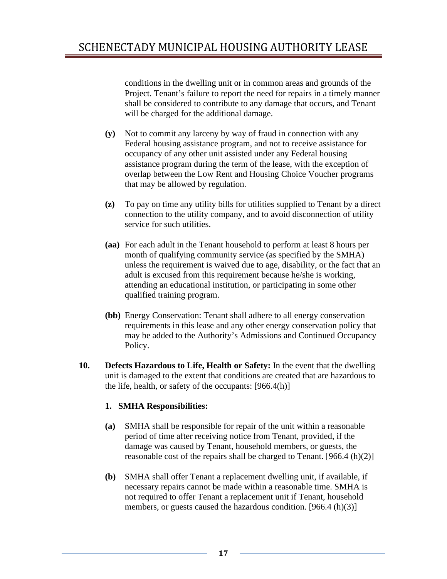conditions in the dwelling unit or in common areas and grounds of the Project. Tenant's failure to report the need for repairs in a timely manner shall be considered to contribute to any damage that occurs, and Tenant will be charged for the additional damage.

- **(y)** Not to commit any larceny by way of fraud in connection with any Federal housing assistance program, and not to receive assistance for occupancy of any other unit assisted under any Federal housing assistance program during the term of the lease, with the exception of overlap between the Low Rent and Housing Choice Voucher programs that may be allowed by regulation.
- **(z)** To pay on time any utility bills for utilities supplied to Tenant by a direct connection to the utility company, and to avoid disconnection of utility service for such utilities.
- **(aa)** For each adult in the Tenant household to perform at least 8 hours per month of qualifying community service (as specified by the SMHA) unless the requirement is waived due to age, disability, or the fact that an adult is excused from this requirement because he/she is working, attending an educational institution, or participating in some other qualified training program.
- **(bb)** Energy Conservation: Tenant shall adhere to all energy conservation requirements in this lease and any other energy conservation policy that may be added to the Authority's Admissions and Continued Occupancy Policy.
- **10. Defects Hazardous to Life, Health or Safety:** In the event that the dwelling unit is damaged to the extent that conditions are created that are hazardous to the life, health, or safety of the occupants: [966.4(h)]

#### **1. SMHA Responsibilities:**

- **(a)** SMHA shall be responsible for repair of the unit within a reasonable period of time after receiving notice from Tenant, provided, if the damage was caused by Tenant, household members, or guests, the reasonable cost of the repairs shall be charged to Tenant.  $[966.4(h)(2)]$
- **(b)** SMHA shall offer Tenant a replacement dwelling unit, if available, if necessary repairs cannot be made within a reasonable time. SMHA is not required to offer Tenant a replacement unit if Tenant, household members, or guests caused the hazardous condition. [966.4 (h)(3)]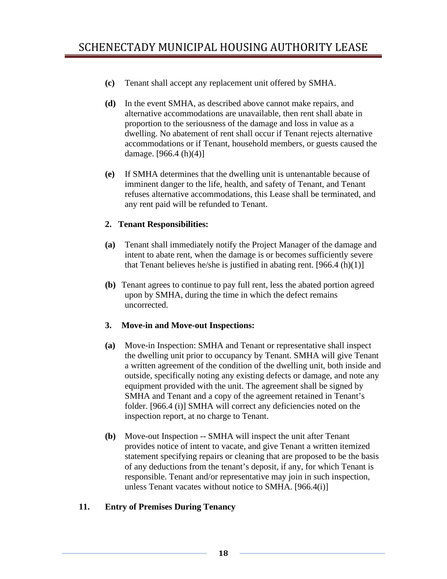- **(c)** Tenant shall accept any replacement unit offered by SMHA.
- **(d)** In the event SMHA, as described above cannot make repairs, and alternative accommodations are unavailable, then rent shall abate in proportion to the seriousness of the damage and loss in value as a dwelling. No abatement of rent shall occur if Tenant rejects alternative accommodations or if Tenant, household members, or guests caused the damage.  $[966.4(h)(4)]$
- **(e)** If SMHA determines that the dwelling unit is untenantable because of imminent danger to the life, health, and safety of Tenant, and Tenant refuses alternative accommodations, this Lease shall be terminated, and any rent paid will be refunded to Tenant.

#### **2. Tenant Responsibilities:**

- **(a)** Tenant shall immediately notify the Project Manager of the damage and intent to abate rent, when the damage is or becomes sufficiently severe that Tenant believes he/she is justified in abating rent.  $[966.4(h)(1)]$
- **(b)** Tenant agrees to continue to pay full rent, less the abated portion agreed upon by SMHA, during the time in which the defect remains uncorrected.

#### **3. Move-in and Move-out Inspections:**

- **(a)** Move-in Inspection: SMHA and Tenant or representative shall inspect the dwelling unit prior to occupancy by Tenant. SMHA will give Tenant a written agreement of the condition of the dwelling unit, both inside and outside, specifically noting any existing defects or damage, and note any equipment provided with the unit. The agreement shall be signed by SMHA and Tenant and a copy of the agreement retained in Tenant's folder. [966.4 (i)] SMHA will correct any deficiencies noted on the inspection report, at no charge to Tenant.
- **(b)** Move-out Inspection -- SMHA will inspect the unit after Tenant provides notice of intent to vacate, and give Tenant a written itemized statement specifying repairs or cleaning that are proposed to be the basis of any deductions from the tenant's deposit, if any, for which Tenant is responsible. Tenant and/or representative may join in such inspection, unless Tenant vacates without notice to SMHA. [966.4(i)]

#### **11. Entry of Premises During Tenancy**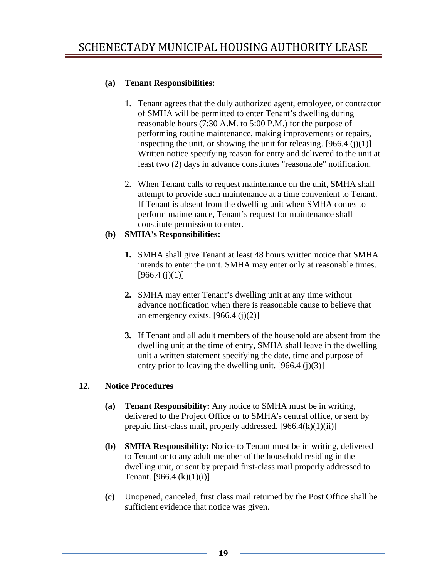## **(a) Tenant Responsibilities:**

- 1. Tenant agrees that the duly authorized agent, employee, or contractor of SMHA will be permitted to enter Tenant's dwelling during reasonable hours (7:30 A.M. to 5:00 P.M.) for the purpose of performing routine maintenance, making improvements or repairs, inspecting the unit, or showing the unit for releasing.  $[966.4 (i)(1)]$ Written notice specifying reason for entry and delivered to the unit at least two (2) days in advance constitutes "reasonable" notification.
- 2. When Tenant calls to request maintenance on the unit, SMHA shall attempt to provide such maintenance at a time convenient to Tenant. If Tenant is absent from the dwelling unit when SMHA comes to perform maintenance, Tenant's request for maintenance shall constitute permission to enter.

#### **(b) SMHA's Responsibilities:**

- **1.** SMHA shall give Tenant at least 48 hours written notice that SMHA intends to enter the unit. SMHA may enter only at reasonable times.  $[966.4 (i)(1)]$
- **2.** SMHA may enter Tenant's dwelling unit at any time without advance notification when there is reasonable cause to believe that an emergency exists.  $[966.4 (i)(2)]$
- **3.** If Tenant and all adult members of the household are absent from the dwelling unit at the time of entry, SMHA shall leave in the dwelling unit a written statement specifying the date, time and purpose of entry prior to leaving the dwelling unit.  $[966.4 (i)(3)]$

#### **12. Notice Procedures**

- **(a) Tenant Responsibility:** Any notice to SMHA must be in writing, delivered to the Project Office or to SMHA's central office, or sent by prepaid first-class mail, properly addressed. [966.4(k)(1)(ii)]
- **(b) SMHA Responsibility:** Notice to Tenant must be in writing, delivered to Tenant or to any adult member of the household residing in the dwelling unit, or sent by prepaid first-class mail properly addressed to Tenant. [966.4  $(k)(1)(i)$ ]
- **(c)** Unopened, canceled, first class mail returned by the Post Office shall be sufficient evidence that notice was given.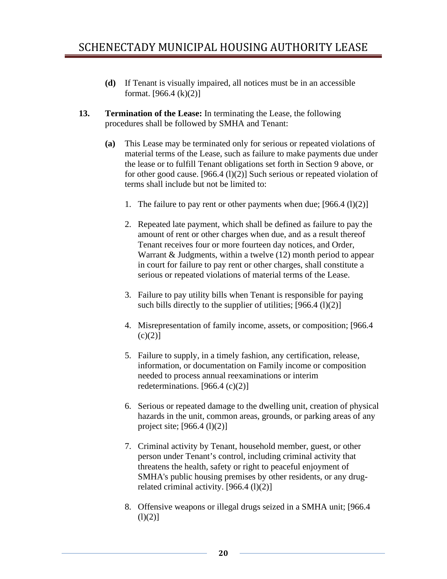- **(d)** If Tenant is visually impaired, all notices must be in an accessible format.  $[966.4 (k)(2)]$
- **13. Termination of the Lease:** In terminating the Lease, the following procedures shall be followed by SMHA and Tenant:
	- **(a)** This Lease may be terminated only for serious or repeated violations of material terms of the Lease, such as failure to make payments due under the lease or to fulfill Tenant obligations set forth in Section 9 above, or for other good cause. [966.4  $(l)(2)$ ] Such serious or repeated violation of terms shall include but not be limited to:
		- 1. The failure to pay rent or other payments when due;  $[966.4 \,(1)(2)]$
		- 2. Repeated late payment, which shall be defined as failure to pay the amount of rent or other charges when due, and as a result thereof Tenant receives four or more fourteen day notices, and Order, Warrant & Judgments, within a twelve (12) month period to appear in court for failure to pay rent or other charges, shall constitute a serious or repeated violations of material terms of the Lease.
		- 3. Failure to pay utility bills when Tenant is responsible for paying such bills directly to the supplier of utilities;  $[966.4 (l)(2)]$
		- 4. Misrepresentation of family income, assets, or composition; [966.4  $(c)(2)$ ]
		- 5. Failure to supply, in a timely fashion, any certification, release, information, or documentation on Family income or composition needed to process annual reexaminations or interim redeterminations.  $[966.4 (c)(2)]$
		- 6. Serious or repeated damage to the dwelling unit, creation of physical hazards in the unit, common areas, grounds, or parking areas of any project site; [966.4 (l)(2)]
		- 7. Criminal activity by Tenant, household member, guest, or other person under Tenant's control, including criminal activity that threatens the health, safety or right to peaceful enjoyment of SMHA's public housing premises by other residents, or any drugrelated criminal activity.  $[966.4 (l)(2)]$
		- 8. Offensive weapons or illegal drugs seized in a SMHA unit; [966.4  $(l)(2)]$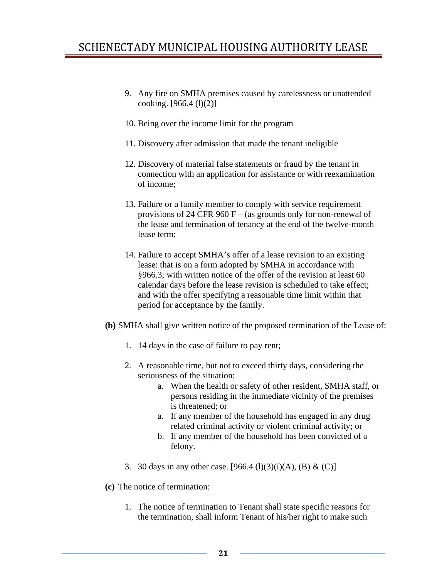- 9. Any fire on SMHA premises caused by carelessness or unattended cooking.  $[966.4 (1)(2)]$
- 10. Being over the income limit for the program
- 11. Discovery after admission that made the tenant ineligible
- 12. Discovery of material false statements or fraud by the tenant in connection with an application for assistance or with reexamination of income;
- 13. Failure or a family member to comply with service requirement provisions of 24 CFR 960 F – (as grounds only for non-renewal of the lease and termination of tenancy at the end of the twelve-month lease term;
- 14. Failure to accept SMHA's offer of a lease revision to an existing lease: that is on a form adopted by SMHA in accordance with §966.3; with written notice of the offer of the revision at least 60 calendar days before the lease revision is scheduled to take effect; and with the offer specifying a reasonable time limit within that period for acceptance by the family.
- **(b)** SMHA shall give written notice of the proposed termination of the Lease of:
	- 1. 14 days in the case of failure to pay rent;
	- 2. A reasonable time, but not to exceed thirty days, considering the seriousness of the situation:
		- a. When the health or safety of other resident, SMHA staff, or persons residing in the immediate vicinity of the premises is threatened; or
		- a. If any member of the household has engaged in any drug related criminal activity or violent criminal activity; or
		- b. If any member of the household has been convicted of a felony.
	- 3. 30 days in any other case.  $[966.4 \,(1)(3)(i)(A), (B) \& (C)]$
- **(c)** The notice of termination:
	- 1. The notice of termination to Tenant shall state specific reasons for the termination, shall inform Tenant of his/her right to make such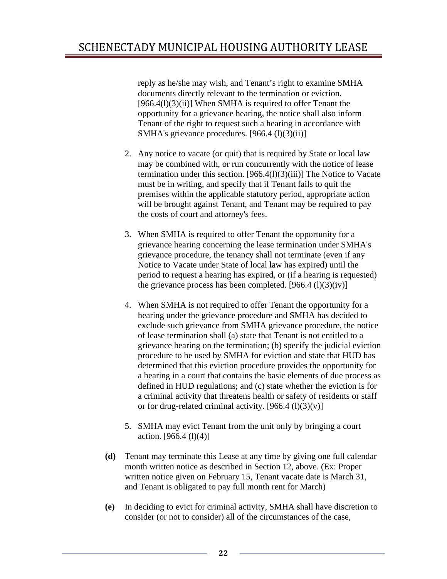reply as he/she may wish, and Tenant's right to examine SMHA documents directly relevant to the termination or eviction.  $[966.4(1)(3)(ii)]$  When SMHA is required to offer Tenant the opportunity for a grievance hearing, the notice shall also inform Tenant of the right to request such a hearing in accordance with SMHA's grievance procedures. [966.4 (l)(3)(ii)]

- 2. Any notice to vacate (or quit) that is required by State or local law may be combined with, or run concurrently with the notice of lease termination under this section. [966.4(l)(3)(iii)] The Notice to Vacate must be in writing, and specify that if Tenant fails to quit the premises within the applicable statutory period, appropriate action will be brought against Tenant, and Tenant may be required to pay the costs of court and attorney's fees.
- 3. When SMHA is required to offer Tenant the opportunity for a grievance hearing concerning the lease termination under SMHA's grievance procedure, the tenancy shall not terminate (even if any Notice to Vacate under State of local law has expired) until the period to request a hearing has expired, or (if a hearing is requested) the grievance process has been completed.  $[966.4 (l)(3)(iv)]$
- 4. When SMHA is not required to offer Tenant the opportunity for a hearing under the grievance procedure and SMHA has decided to exclude such grievance from SMHA grievance procedure, the notice of lease termination shall (a) state that Tenant is not entitled to a grievance hearing on the termination; (b) specify the judicial eviction procedure to be used by SMHA for eviction and state that HUD has determined that this eviction procedure provides the opportunity for a hearing in a court that contains the basic elements of due process as defined in HUD regulations; and (c) state whether the eviction is for a criminal activity that threatens health or safety of residents or staff or for drug-related criminal activity.  $[966.4 (l)(3)(v)]$
- 5. SMHA may evict Tenant from the unit only by bringing a court action. [966.4 (l)(4)]
- **(d)** Tenant may terminate this Lease at any time by giving one full calendar month written notice as described in Section 12, above. (Ex: Proper written notice given on February 15, Tenant vacate date is March 31, and Tenant is obligated to pay full month rent for March)
- **(e)** In deciding to evict for criminal activity, SMHA shall have discretion to consider (or not to consider) all of the circumstances of the case,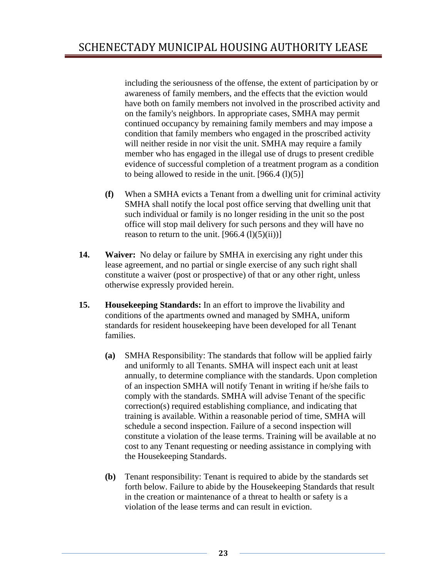including the seriousness of the offense, the extent of participation by or awareness of family members, and the effects that the eviction would have both on family members not involved in the proscribed activity and on the family's neighbors. In appropriate cases, SMHA may permit continued occupancy by remaining family members and may impose a condition that family members who engaged in the proscribed activity will neither reside in nor visit the unit. SMHA may require a family member who has engaged in the illegal use of drugs to present credible evidence of successful completion of a treatment program as a condition to being allowed to reside in the unit.  $[966.4 (l)(5)]$ 

- **(f)** When a SMHA evicts a Tenant from a dwelling unit for criminal activity SMHA shall notify the local post office serving that dwelling unit that such individual or family is no longer residing in the unit so the post office will stop mail delivery for such persons and they will have no reason to return to the unit.  $[966.4 (l)(5)(ii))]$
- **14. Waiver:** No delay or failure by SMHA in exercising any right under this lease agreement, and no partial or single exercise of any such right shall constitute a waiver (post or prospective) of that or any other right, unless otherwise expressly provided herein.
- **15. Housekeeping Standards:** In an effort to improve the livability and conditions of the apartments owned and managed by SMHA, uniform standards for resident housekeeping have been developed for all Tenant families.
	- **(a)** SMHA Responsibility: The standards that follow will be applied fairly and uniformly to all Tenants. SMHA will inspect each unit at least annually, to determine compliance with the standards. Upon completion of an inspection SMHA will notify Tenant in writing if he/she fails to comply with the standards. SMHA will advise Tenant of the specific correction(s) required establishing compliance, and indicating that training is available. Within a reasonable period of time, SMHA will schedule a second inspection. Failure of a second inspection will constitute a violation of the lease terms. Training will be available at no cost to any Tenant requesting or needing assistance in complying with the Housekeeping Standards.
	- **(b)** Tenant responsibility: Tenant is required to abide by the standards set forth below. Failure to abide by the Housekeeping Standards that result in the creation or maintenance of a threat to health or safety is a violation of the lease terms and can result in eviction.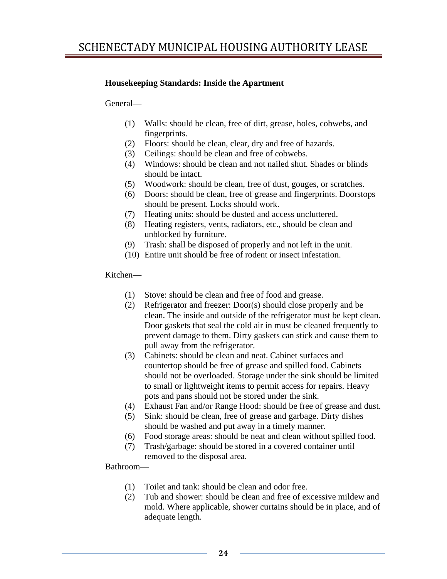#### **Housekeeping Standards: Inside the Apartment**

General—

- (1) Walls: should be clean, free of dirt, grease, holes, cobwebs, and fingerprints.
- (2) Floors: should be clean, clear, dry and free of hazards.
- (3) Ceilings: should be clean and free of cobwebs.
- (4) Windows: should be clean and not nailed shut. Shades or blinds should be intact.
- (5) Woodwork: should be clean, free of dust, gouges, or scratches.
- (6) Doors: should be clean, free of grease and fingerprints. Doorstops should be present. Locks should work.
- (7) Heating units: should be dusted and access uncluttered.
- (8) Heating registers, vents, radiators, etc., should be clean and unblocked by furniture.
- (9) Trash: shall be disposed of properly and not left in the unit.
- (10) Entire unit should be free of rodent or insect infestation.

Kitchen—

- (1) Stove: should be clean and free of food and grease.
- (2) Refrigerator and freezer: Door(s) should close properly and be clean. The inside and outside of the refrigerator must be kept clean. Door gaskets that seal the cold air in must be cleaned frequently to prevent damage to them. Dirty gaskets can stick and cause them to pull away from the refrigerator.
- (3) Cabinets: should be clean and neat. Cabinet surfaces and countertop should be free of grease and spilled food. Cabinets should not be overloaded. Storage under the sink should be limited to small or lightweight items to permit access for repairs. Heavy pots and pans should not be stored under the sink.
- (4) Exhaust Fan and/or Range Hood: should be free of grease and dust.
- (5) Sink: should be clean, free of grease and garbage. Dirty dishes should be washed and put away in a timely manner.
- (6) Food storage areas: should be neat and clean without spilled food.
- (7) Trash/garbage: should be stored in a covered container until removed to the disposal area.

Bathroom—

- (1) Toilet and tank: should be clean and odor free.
- (2) Tub and shower: should be clean and free of excessive mildew and mold. Where applicable, shower curtains should be in place, and of adequate length.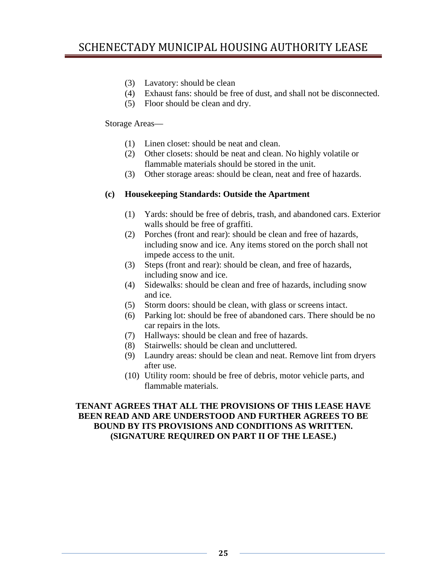- (3) Lavatory: should be clean
- (4) Exhaust fans: should be free of dust, and shall not be disconnected.
- (5) Floor should be clean and dry.

#### Storage Areas—

- (1) Linen closet: should be neat and clean.
- (2) Other closets: should be neat and clean. No highly volatile or flammable materials should be stored in the unit.
- (3) Other storage areas: should be clean, neat and free of hazards.

#### **(c) Housekeeping Standards: Outside the Apartment**

- (1) Yards: should be free of debris, trash, and abandoned cars. Exterior walls should be free of graffiti.
- (2) Porches (front and rear): should be clean and free of hazards, including snow and ice. Any items stored on the porch shall not impede access to the unit.
- (3) Steps (front and rear): should be clean, and free of hazards, including snow and ice.
- (4) Sidewalks: should be clean and free of hazards, including snow and ice.
- (5) Storm doors: should be clean, with glass or screens intact.
- (6) Parking lot: should be free of abandoned cars. There should be no car repairs in the lots.
- (7) Hallways: should be clean and free of hazards.
- (8) Stairwells: should be clean and uncluttered.
- (9) Laundry areas: should be clean and neat. Remove lint from dryers after use.
- (10) Utility room: should be free of debris, motor vehicle parts, and flammable materials.

#### **TENANT AGREES THAT ALL THE PROVISIONS OF THIS LEASE HAVE BEEN READ AND ARE UNDERSTOOD AND FURTHER AGREES TO BE BOUND BY ITS PROVISIONS AND CONDITIONS AS WRITTEN. (SIGNATURE REQUIRED ON PART II OF THE LEASE.)**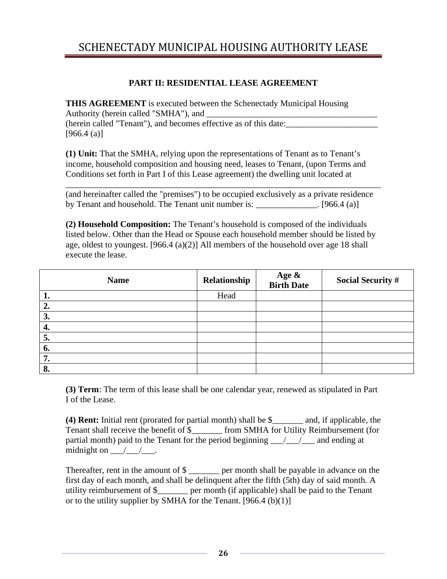#### **PART II: RESIDENTIAL LEASE AGREEMENT**

**THIS AGREEMENT** is executed between the Schenectady Municipal Housing Authority (herein called "SMHA"), and

(herein called "Tenant"), and becomes effective as of this date:\_\_\_\_\_\_\_\_\_\_\_\_\_\_\_\_\_\_\_\_\_  $[966.4 (a)]$ 

**(1) Unit:** That the SMHA, relying upon the representations of Tenant as to Tenant's income, household composition and housing need, leases to Tenant, (upon Terms and Conditions set forth in Part I of this Lease agreement) the dwelling unit located at

(and hereinafter called the "premises") to be occupied exclusively as a private residence by Tenant and household. The Tenant unit number is:  $\qquad \qquad$  [966.4 (a)]

\_\_\_\_\_\_\_\_\_\_\_\_\_\_\_\_\_\_\_\_\_\_\_\_\_\_\_\_\_\_\_\_\_\_\_\_\_\_\_\_\_\_\_\_\_\_\_\_\_\_\_\_\_\_\_\_\_\_\_\_\_\_\_\_\_\_\_\_\_\_\_\_

**(2) Household Composition:** The Tenant's household is composed of the individuals listed below. Other than the Head or Spouse each household member should be listed by age, oldest to youngest. [966.4 (a)(2)] All members of the household over age 18 shall execute the lease.

| <b>Name</b> | Relationship | Age &<br>Birth Date | <b>Social Security #</b> |
|-------------|--------------|---------------------|--------------------------|
| 1.          | Head         |                     |                          |
| 2.          |              |                     |                          |
| 3.          |              |                     |                          |
| 4.          |              |                     |                          |
| 5.          |              |                     |                          |
| 6.          |              |                     |                          |
| 7.          |              |                     |                          |
| 8.          |              |                     |                          |

**(3) Term**: The term of this lease shall be one calendar year, renewed as stipulated in Part I of the Lease.

**(4) Rent:** Initial rent (prorated for partial month) shall be \$\_\_\_\_\_\_\_ and, if applicable, the Tenant shall receive the benefit of \$ \_\_\_\_\_\_ from SMHA for Utility Reimbursement (for partial month) paid to the Tenant for the period beginning  $\frac{1}{\sqrt{2}}$  and ending at midnight on  $\_\_\_\_\_\_\_\_\$ .

Thereafter, rent in the amount of  $\frac{1}{2}$  per month shall be payable in advance on the first day of each month, and shall be delinquent after the fifth (5th) day of said month. A utility reimbursement of \$\_\_\_\_\_\_\_ per month (if applicable) shall be paid to the Tenant or to the utility supplier by SMHA for the Tenant.  $[966.4 (b)(1)]$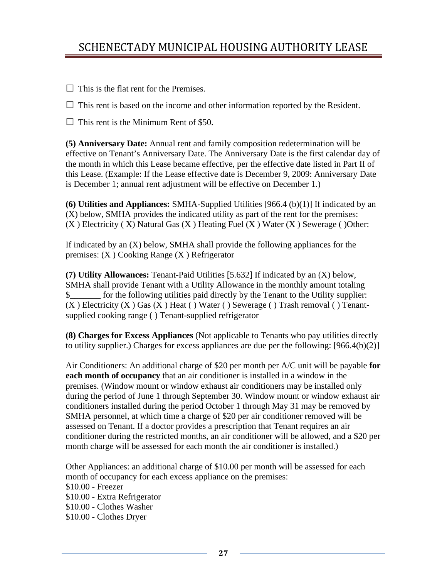$\Box$  This is the flat rent for the Premises.

 $\Box$  This rent is based on the income and other information reported by the Resident.

 $\Box$  This rent is the Minimum Rent of \$50.

**(5) Anniversary Date:** Annual rent and family composition redetermination will be effective on Tenant's Anniversary Date. The Anniversary Date is the first calendar day of the month in which this Lease became effective, per the effective date listed in Part II of this Lease. (Example: If the Lease effective date is December 9, 2009: Anniversary Date is December 1; annual rent adjustment will be effective on December 1.)

**(6) Utilities and Appliances:** SMHA-Supplied Utilities [966.4 (b)(1)] If indicated by an (X) below, SMHA provides the indicated utility as part of the rent for the premises:  $(X)$  Electricity (X) Natural Gas (X) Heating Fuel (X) Water (X) Sewerage ()Other:

If indicated by an (X) below, SMHA shall provide the following appliances for the premises: (X ) Cooking Range (X ) Refrigerator

**(7) Utility Allowances:** Tenant-Paid Utilities [5.632] If indicated by an (X) below, SMHA shall provide Tenant with a Utility Allowance in the monthly amount totaling \$\_\_\_\_\_\_\_ for the following utilities paid directly by the Tenant to the Utility supplier:  $(X)$  Electricity  $(X)$  Gas  $(X)$  Heat ( ) Water ( ) Sewerage ( ) Trash removal ( ) Tenantsupplied cooking range ( ) Tenant-supplied refrigerator

**(8) Charges for Excess Appliances** (Not applicable to Tenants who pay utilities directly to utility supplier.) Charges for excess appliances are due per the following: [966.4(b)(2)]

Air Conditioners: An additional charge of \$20 per month per A/C unit will be payable **for each month of occupancy** that an air conditioner is installed in a window in the premises. (Window mount or window exhaust air conditioners may be installed only during the period of June 1 through September 30. Window mount or window exhaust air conditioners installed during the period October 1 through May 31 may be removed by SMHA personnel, at which time a charge of \$20 per air conditioner removed will be assessed on Tenant. If a doctor provides a prescription that Tenant requires an air conditioner during the restricted months, an air conditioner will be allowed, and a \$20 per month charge will be assessed for each month the air conditioner is installed.)

Other Appliances: an additional charge of \$10.00 per month will be assessed for each month of occupancy for each excess appliance on the premises: \$10.00 - Freezer \$10.00 - Extra Refrigerator \$10.00 - Clothes Washer \$10.00 - Clothes Dryer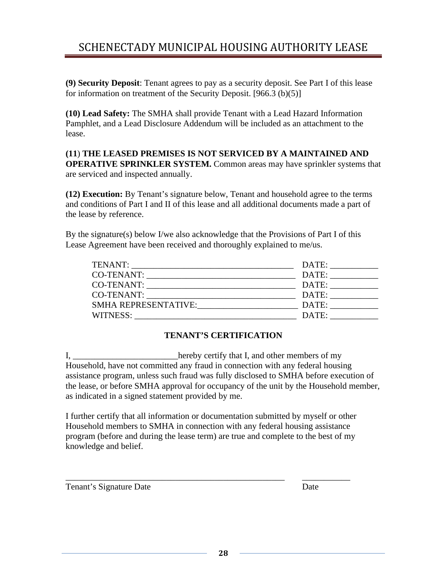**(9) Security Deposit**: Tenant agrees to pay as a security deposit. See Part I of this lease for information on treatment of the Security Deposit. [966.3 (b)(5)]

**(10) Lead Safety:** The SMHA shall provide Tenant with a Lead Hazard Information Pamphlet, and a Lead Disclosure Addendum will be included as an attachment to the lease.

#### **(11**) **THE LEASED PREMISES IS NOT SERVICED BY A MAINTAINED AND OPERATIVE SPRINKLER SYSTEM.** Common areas may have sprinkler systems that are serviced and inspected annually.

**(12) Execution:** By Tenant's signature below, Tenant and household agree to the terms and conditions of Part I and II of this lease and all additional documents made a part of the lease by reference.

By the signature(s) below I/we also acknowledge that the Provisions of Part I of this Lease Agreement have been received and thoroughly explained to me/us.

| TENANT:<br><u> 1980 - Jan James Santan, masjid a shekara ta 1980 a shekara ta 1980 a shekara ta 1980 a shekara ta 1981 a she</u> | DATE: |
|----------------------------------------------------------------------------------------------------------------------------------|-------|
| <b>CO-TENANT:</b>                                                                                                                | DATE: |
| <b>CO-TENANT:</b>                                                                                                                | DATE: |
| <b>CO-TENANT:</b>                                                                                                                | DATE: |
| <b>SMHA REPRESENTATIVE:</b>                                                                                                      | DATE: |
| WITNESS:                                                                                                                         | DATE: |

# **TENANT'S CERTIFICATION**

I, \_\_\_\_\_\_\_\_\_\_\_\_\_\_\_\_\_\_\_\_\_\_\_\_hereby certify that I, and other members of my Household, have not committed any fraud in connection with any federal housing assistance program, unless such fraud was fully disclosed to SMHA before execution of the lease, or before SMHA approval for occupancy of the unit by the Household member, as indicated in a signed statement provided by me.

I further certify that all information or documentation submitted by myself or other Household members to SMHA in connection with any federal housing assistance program (before and during the lease term) are true and complete to the best of my knowledge and belief.

\_\_\_\_\_\_\_\_\_\_\_\_\_\_\_\_\_\_\_\_\_\_\_\_\_\_\_\_\_\_\_\_\_\_\_\_\_\_\_\_\_\_\_\_\_\_\_\_\_\_ \_\_\_\_\_\_\_\_\_\_\_

Tenant's Signature Date Date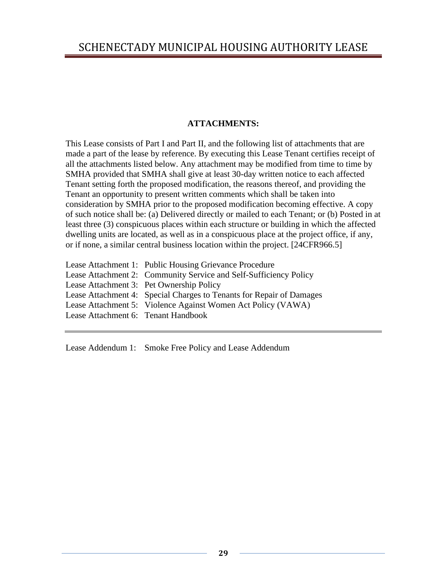#### **ATTACHMENTS:**

This Lease consists of Part I and Part II, and the following list of attachments that are made a part of the lease by reference. By executing this Lease Tenant certifies receipt of all the attachments listed below. Any attachment may be modified from time to time by SMHA provided that SMHA shall give at least 30-day written notice to each affected Tenant setting forth the proposed modification, the reasons thereof, and providing the Tenant an opportunity to present written comments which shall be taken into consideration by SMHA prior to the proposed modification becoming effective. A copy of such notice shall be: (a) Delivered directly or mailed to each Tenant; or (b) Posted in at least three (3) conspicuous places within each structure or building in which the affected dwelling units are located, as well as in a conspicuous place at the project office, if any, or if none, a similar central business location within the project. [24CFR966.5]

Lease Attachment 1: Public Housing Grievance Procedure Lease Attachment 2: Community Service and Self-Sufficiency Policy Lease Attachment 3: Pet Ownership Policy Lease Attachment 4: Special Charges to Tenants for Repair of Damages Lease Attachment 5: Violence Against Women Act Policy (VAWA) Lease Attachment 6: Tenant Handbook

Lease Addendum 1: Smoke Free Policy and Lease Addendum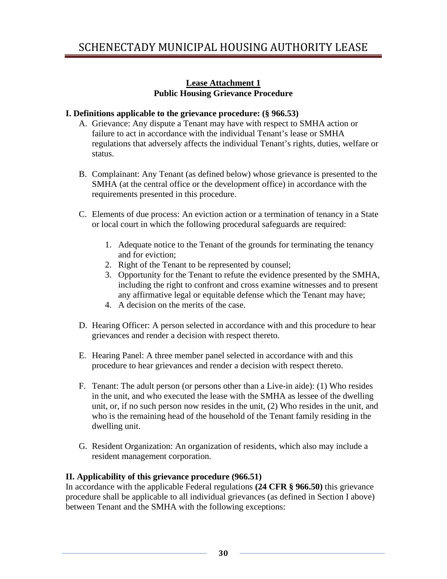#### **Lease Attachment 1 Public Housing Grievance Procedure**

#### **I. Definitions applicable to the grievance procedure: (§ 966.53)**

- A. Grievance: Any dispute a Tenant may have with respect to SMHA action or failure to act in accordance with the individual Tenant's lease or SMHA regulations that adversely affects the individual Tenant's rights, duties, welfare or status.
- B. Complainant: Any Tenant (as defined below) whose grievance is presented to the SMHA (at the central office or the development office) in accordance with the requirements presented in this procedure.
- C. Elements of due process: An eviction action or a termination of tenancy in a State or local court in which the following procedural safeguards are required:
	- 1. Adequate notice to the Tenant of the grounds for terminating the tenancy and for eviction;
	- 2. Right of the Tenant to be represented by counsel;
	- 3. Opportunity for the Tenant to refute the evidence presented by the SMHA, including the right to confront and cross examine witnesses and to present any affirmative legal or equitable defense which the Tenant may have;
	- 4. A decision on the merits of the case.
- D. Hearing Officer: A person selected in accordance with and this procedure to hear grievances and render a decision with respect thereto.
- E. Hearing Panel: A three member panel selected in accordance with and this procedure to hear grievances and render a decision with respect thereto.
- F. Tenant: The adult person (or persons other than a Live-in aide): (1) Who resides in the unit, and who executed the lease with the SMHA as lessee of the dwelling unit, or, if no such person now resides in the unit, (2) Who resides in the unit, and who is the remaining head of the household of the Tenant family residing in the dwelling unit.
- G. Resident Organization: An organization of residents, which also may include a resident management corporation.

# **II. Applicability of this grievance procedure (966.51)**

In accordance with the applicable Federal regulations **(24 CFR § 966.50)** this grievance procedure shall be applicable to all individual grievances (as defined in Section I above) between Tenant and the SMHA with the following exceptions: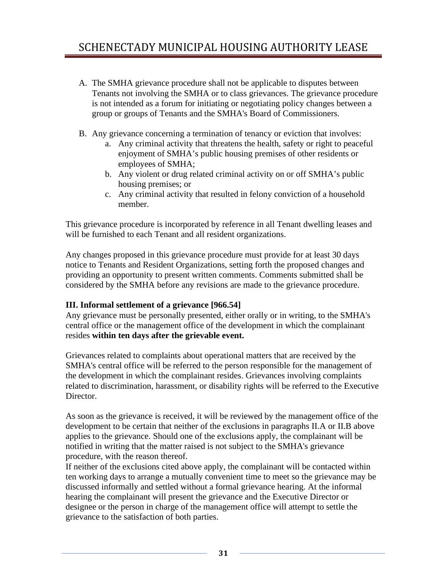- A. The SMHA grievance procedure shall not be applicable to disputes between Tenants not involving the SMHA or to class grievances. The grievance procedure is not intended as a forum for initiating or negotiating policy changes between a group or groups of Tenants and the SMHA's Board of Commissioners.
- B. Any grievance concerning a termination of tenancy or eviction that involves:
	- a. Any criminal activity that threatens the health, safety or right to peaceful enjoyment of SMHA's public housing premises of other residents or employees of SMHA;
	- b. Any violent or drug related criminal activity on or off SMHA's public housing premises; or
	- c. Any criminal activity that resulted in felony conviction of a household member.

This grievance procedure is incorporated by reference in all Tenant dwelling leases and will be furnished to each Tenant and all resident organizations.

Any changes proposed in this grievance procedure must provide for at least 30 days notice to Tenants and Resident Organizations, setting forth the proposed changes and providing an opportunity to present written comments. Comments submitted shall be considered by the SMHA before any revisions are made to the grievance procedure.

# **III. Informal settlement of a grievance [966.54]**

Any grievance must be personally presented, either orally or in writing, to the SMHA's central office or the management office of the development in which the complainant resides **within ten days after the grievable event.** 

Grievances related to complaints about operational matters that are received by the SMHA's central office will be referred to the person responsible for the management of the development in which the complainant resides. Grievances involving complaints related to discrimination, harassment, or disability rights will be referred to the Executive Director.

As soon as the grievance is received, it will be reviewed by the management office of the development to be certain that neither of the exclusions in paragraphs II.A or II.B above applies to the grievance. Should one of the exclusions apply, the complainant will be notified in writing that the matter raised is not subject to the SMHA's grievance procedure, with the reason thereof.

If neither of the exclusions cited above apply, the complainant will be contacted within ten working days to arrange a mutually convenient time to meet so the grievance may be discussed informally and settled without a formal grievance hearing. At the informal hearing the complainant will present the grievance and the Executive Director or designee or the person in charge of the management office will attempt to settle the grievance to the satisfaction of both parties.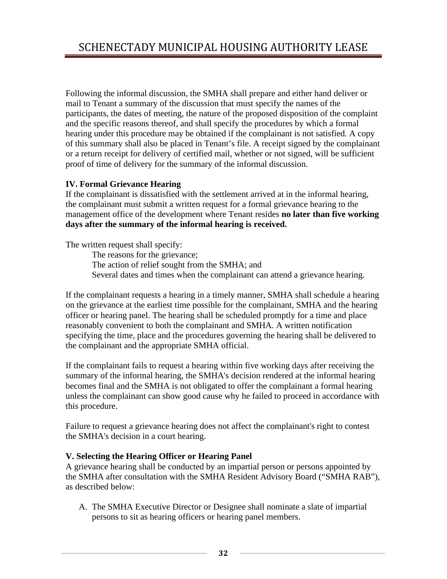Following the informal discussion, the SMHA shall prepare and either hand deliver or mail to Tenant a summary of the discussion that must specify the names of the participants, the dates of meeting, the nature of the proposed disposition of the complaint and the specific reasons thereof, and shall specify the procedures by which a formal hearing under this procedure may be obtained if the complainant is not satisfied. A copy of this summary shall also be placed in Tenant's file. A receipt signed by the complainant or a return receipt for delivery of certified mail, whether or not signed, will be sufficient proof of time of delivery for the summary of the informal discussion.

#### **IV. Formal Grievance Hearing**

If the complainant is dissatisfied with the settlement arrived at in the informal hearing, the complainant must submit a written request for a formal grievance hearing to the management office of the development where Tenant resides **no later than five working days after the summary of the informal hearing is received.**

The written request shall specify:

The reasons for the grievance; The action of relief sought from the SMHA; and Several dates and times when the complainant can attend a grievance hearing.

If the complainant requests a hearing in a timely manner, SMHA shall schedule a hearing on the grievance at the earliest time possible for the complainant, SMHA and the hearing officer or hearing panel. The hearing shall be scheduled promptly for a time and place reasonably convenient to both the complainant and SMHA. A written notification specifying the time, place and the procedures governing the hearing shall be delivered to the complainant and the appropriate SMHA official.

If the complainant fails to request a hearing within five working days after receiving the summary of the informal hearing, the SMHA's decision rendered at the informal hearing becomes final and the SMHA is not obligated to offer the complainant a formal hearing unless the complainant can show good cause why he failed to proceed in accordance with this procedure.

Failure to request a grievance hearing does not affect the complainant's right to contest the SMHA's decision in a court hearing.

#### **V. Selecting the Hearing Officer or Hearing Panel**

A grievance hearing shall be conducted by an impartial person or persons appointed by the SMHA after consultation with the SMHA Resident Advisory Board ("SMHA RAB"), as described below:

A. The SMHA Executive Director or Designee shall nominate a slate of impartial persons to sit as hearing officers or hearing panel members.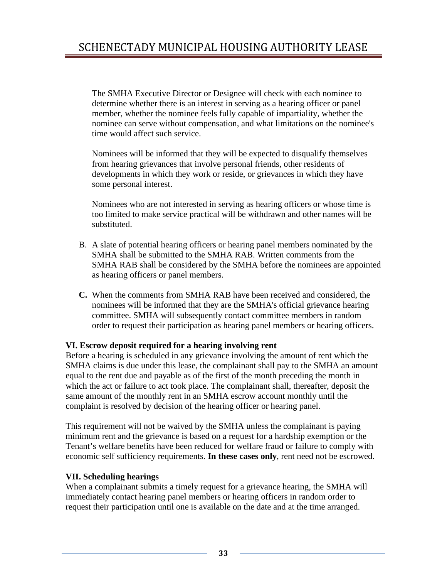The SMHA Executive Director or Designee will check with each nominee to determine whether there is an interest in serving as a hearing officer or panel member, whether the nominee feels fully capable of impartiality, whether the nominee can serve without compensation, and what limitations on the nominee's time would affect such service.

Nominees will be informed that they will be expected to disqualify themselves from hearing grievances that involve personal friends, other residents of developments in which they work or reside, or grievances in which they have some personal interest.

Nominees who are not interested in serving as hearing officers or whose time is too limited to make service practical will be withdrawn and other names will be substituted.

- B. A slate of potential hearing officers or hearing panel members nominated by the SMHA shall be submitted to the SMHA RAB. Written comments from the SMHA RAB shall be considered by the SMHA before the nominees are appointed as hearing officers or panel members.
- **C.** When the comments from SMHA RAB have been received and considered, the nominees will be informed that they are the SMHA's official grievance hearing committee. SMHA will subsequently contact committee members in random order to request their participation as hearing panel members or hearing officers.

#### **VI. Escrow deposit required for a hearing involving rent**

Before a hearing is scheduled in any grievance involving the amount of rent which the SMHA claims is due under this lease, the complainant shall pay to the SMHA an amount equal to the rent due and payable as of the first of the month preceding the month in which the act or failure to act took place. The complainant shall, thereafter, deposit the same amount of the monthly rent in an SMHA escrow account monthly until the complaint is resolved by decision of the hearing officer or hearing panel.

This requirement will not be waived by the SMHA unless the complainant is paying minimum rent and the grievance is based on a request for a hardship exemption or the Tenant's welfare benefits have been reduced for welfare fraud or failure to comply with economic self sufficiency requirements. **In these cases only**, rent need not be escrowed.

#### **VII. Scheduling hearings**

When a complainant submits a timely request for a grievance hearing, the SMHA will immediately contact hearing panel members or hearing officers in random order to request their participation until one is available on the date and at the time arranged.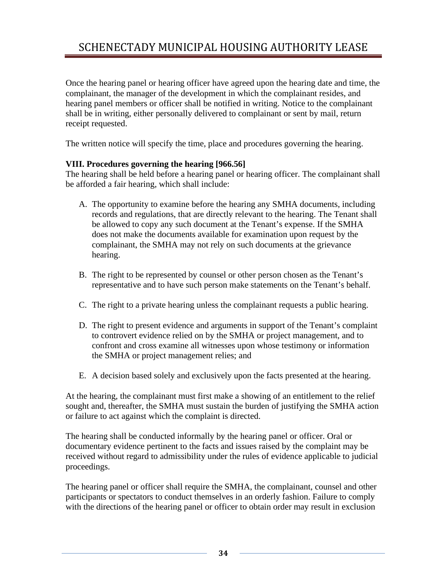Once the hearing panel or hearing officer have agreed upon the hearing date and time, the complainant, the manager of the development in which the complainant resides, and hearing panel members or officer shall be notified in writing. Notice to the complainant shall be in writing, either personally delivered to complainant or sent by mail, return receipt requested.

The written notice will specify the time, place and procedures governing the hearing.

#### **VIII. Procedures governing the hearing [966.56]**

The hearing shall be held before a hearing panel or hearing officer. The complainant shall be afforded a fair hearing, which shall include:

- A. The opportunity to examine before the hearing any SMHA documents, including records and regulations, that are directly relevant to the hearing. The Tenant shall be allowed to copy any such document at the Tenant's expense. If the SMHA does not make the documents available for examination upon request by the complainant, the SMHA may not rely on such documents at the grievance hearing.
- B. The right to be represented by counsel or other person chosen as the Tenant's representative and to have such person make statements on the Tenant's behalf.
- C. The right to a private hearing unless the complainant requests a public hearing.
- D. The right to present evidence and arguments in support of the Tenant's complaint to controvert evidence relied on by the SMHA or project management, and to confront and cross examine all witnesses upon whose testimony or information the SMHA or project management relies; and
- E. A decision based solely and exclusively upon the facts presented at the hearing.

At the hearing, the complainant must first make a showing of an entitlement to the relief sought and, thereafter, the SMHA must sustain the burden of justifying the SMHA action or failure to act against which the complaint is directed.

The hearing shall be conducted informally by the hearing panel or officer. Oral or documentary evidence pertinent to the facts and issues raised by the complaint may be received without regard to admissibility under the rules of evidence applicable to judicial proceedings.

The hearing panel or officer shall require the SMHA, the complainant, counsel and other participants or spectators to conduct themselves in an orderly fashion. Failure to comply with the directions of the hearing panel or officer to obtain order may result in exclusion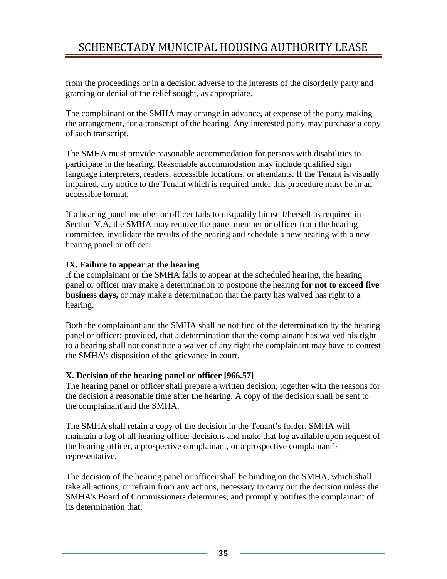from the proceedings or in a decision adverse to the interests of the disorderly party and granting or denial of the relief sought, as appropriate.

The complainant or the SMHA may arrange in advance, at expense of the party making the arrangement, for a transcript of the hearing. Any interested party may purchase a copy of such transcript.

The SMHA must provide reasonable accommodation for persons with disabilities to participate in the hearing. Reasonable accommodation may include qualified sign language interpreters, readers, accessible locations, or attendants. If the Tenant is visually impaired, any notice to the Tenant which is required under this procedure must be in an accessible format.

If a hearing panel member or officer fails to disqualify himself/herself as required in Section V.A, the SMHA may remove the panel member or officer from the hearing committee, invalidate the results of the hearing and schedule a new hearing with a new hearing panel or officer.

#### **IX. Failure to appear at the hearing**

If the complainant or the SMHA fails to appear at the scheduled hearing, the hearing panel or officer may make a determination to postpone the hearing **for not to exceed five business days,** or may make a determination that the party has waived has right to a hearing.

Both the complainant and the SMHA shall be notified of the determination by the hearing panel or officer; provided, that a determination that the complainant has waived his right to a hearing shall not constitute a waiver of any right the complainant may have to contest the SMHA's disposition of the grievance in court.

#### **X. Decision of the hearing panel or officer [966.57]**

The hearing panel or officer shall prepare a written decision, together with the reasons for the decision a reasonable time after the hearing. A copy of the decision shall be sent to the complainant and the SMHA.

The SMHA shall retain a copy of the decision in the Tenant's folder. SMHA will maintain a log of all hearing officer decisions and make that log available upon request of the hearing officer, a prospective complainant, or a prospective complainant's representative.

The decision of the hearing panel or officer shall be binding on the SMHA, which shall take all actions, or refrain from any actions, necessary to carry out the decision unless the SMHA's Board of Commissioners determines, and promptly notifies the complainant of its determination that: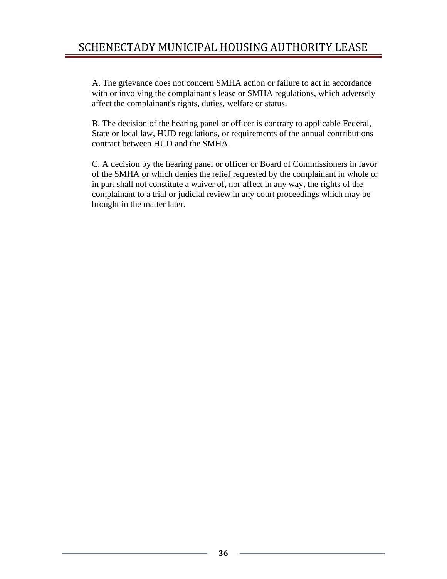A. The grievance does not concern SMHA action or failure to act in accordance with or involving the complainant's lease or SMHA regulations, which adversely affect the complainant's rights, duties, welfare or status.

B. The decision of the hearing panel or officer is contrary to applicable Federal, State or local law, HUD regulations, or requirements of the annual contributions contract between HUD and the SMHA.

C. A decision by the hearing panel or officer or Board of Commissioners in favor of the SMHA or which denies the relief requested by the complainant in whole or in part shall not constitute a waiver of, nor affect in any way, the rights of the complainant to a trial or judicial review in any court proceedings which may be brought in the matter later.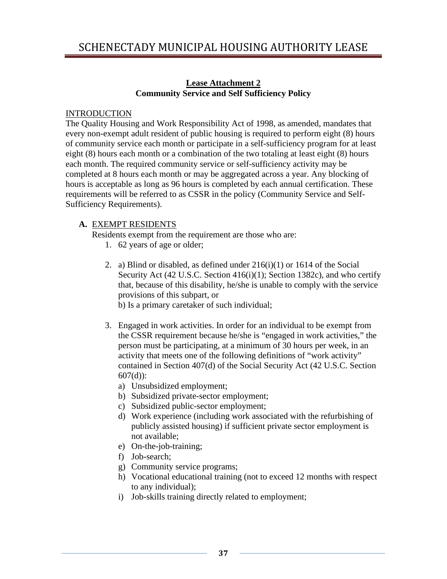### **Lease Attachment 2 Community Service and Self Sufficiency Policy**

### **INTRODUCTION**

The Quality Housing and Work Responsibility Act of 1998, as amended, mandates that every non-exempt adult resident of public housing is required to perform eight (8) hours of community service each month or participate in a self-sufficiency program for at least eight (8) hours each month or a combination of the two totaling at least eight (8) hours each month. The required community service or self-sufficiency activity may be completed at 8 hours each month or may be aggregated across a year. Any blocking of hours is acceptable as long as 96 hours is completed by each annual certification. These requirements will be referred to as CSSR in the policy (Community Service and Self-Sufficiency Requirements).

### **A.** EXEMPT RESIDENTS

Residents exempt from the requirement are those who are:

- 1. 62 years of age or older;
- 2. a) Blind or disabled, as defined under 216(i)(1) or 1614 of the Social Security Act (42 U.S.C. Section 416(i)(1); Section 1382c), and who certify that, because of this disability, he/she is unable to comply with the service provisions of this subpart, or

b) Is a primary caretaker of such individual;

- 3. Engaged in work activities. In order for an individual to be exempt from the CSSR requirement because he/she is "engaged in work activities," the person must be participating, at a minimum of 30 hours per week, in an activity that meets one of the following definitions of "work activity" contained in Section 407(d) of the Social Security Act (42 U.S.C. Section  $607(d)$ :
	- a) Unsubsidized employment;
	- b) Subsidized private-sector employment;
	- c) Subsidized public-sector employment;
	- d) Work experience (including work associated with the refurbishing of publicly assisted housing) if sufficient private sector employment is not available;
	- e) On-the-job-training;
	- f) Job-search;
	- g) Community service programs;
	- h) Vocational educational training (not to exceed 12 months with respect to any individual);
	- i) Job-skills training directly related to employment;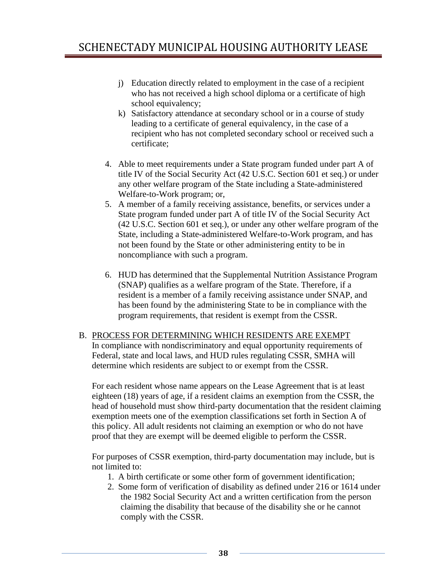- j) Education directly related to employment in the case of a recipient who has not received a high school diploma or a certificate of high school equivalency;
- k) Satisfactory attendance at secondary school or in a course of study leading to a certificate of general equivalency, in the case of a recipient who has not completed secondary school or received such a certificate;
- 4. Able to meet requirements under a State program funded under part A of title IV of the Social Security Act (42 U.S.C. Section 601 et seq.) or under any other welfare program of the State including a State-administered Welfare-to-Work program; or,
- 5. A member of a family receiving assistance, benefits, or services under a State program funded under part A of title IV of the Social Security Act (42 U.S.C. Section 601 et seq.), or under any other welfare program of the State, including a State-administered Welfare-to-Work program, and has not been found by the State or other administering entity to be in noncompliance with such a program.
- 6. HUD has determined that the Supplemental Nutrition Assistance Program (SNAP) qualifies as a welfare program of the State. Therefore, if a resident is a member of a family receiving assistance under SNAP, and has been found by the administering State to be in compliance with the program requirements, that resident is exempt from the CSSR.
- B. PROCESS FOR DETERMINING WHICH RESIDENTS ARE EXEMPT In compliance with nondiscriminatory and equal opportunity requirements of Federal, state and local laws, and HUD rules regulating CSSR, SMHA will determine which residents are subject to or exempt from the CSSR.

For each resident whose name appears on the Lease Agreement that is at least eighteen (18) years of age, if a resident claims an exemption from the CSSR, the head of household must show third-party documentation that the resident claiming exemption meets one of the exemption classifications set forth in Section A of this policy. All adult residents not claiming an exemption or who do not have proof that they are exempt will be deemed eligible to perform the CSSR.

For purposes of CSSR exemption, third-party documentation may include, but is not limited to:

- 1. A birth certificate or some other form of government identification;
- 2. Some form of verification of disability as defined under 216 or 1614 under the 1982 Social Security Act and a written certification from the person claiming the disability that because of the disability she or he cannot comply with the CSSR.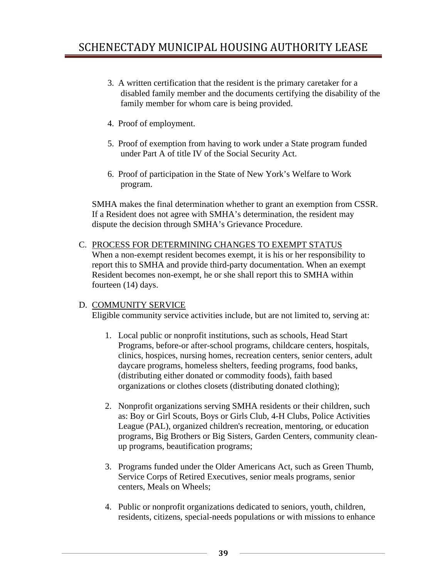- 3. A written certification that the resident is the primary caretaker for a disabled family member and the documents certifying the disability of the family member for whom care is being provided.
- 4. Proof of employment.
- 5. Proof of exemption from having to work under a State program funded under Part A of title IV of the Social Security Act.
- 6. Proof of participation in the State of New York's Welfare to Work program.

SMHA makes the final determination whether to grant an exemption from CSSR. If a Resident does not agree with SMHA's determination, the resident may dispute the decision through SMHA's Grievance Procedure.

C. PROCESS FOR DETERMINING CHANGES TO EXEMPT STATUS When a non-exempt resident becomes exempt, it is his or her responsibility to report this to SMHA and provide third-party documentation. When an exempt Resident becomes non-exempt, he or she shall report this to SMHA within fourteen (14) days.

### D. COMMUNITY SERVICE

Eligible community service activities include, but are not limited to, serving at:

- 1. Local public or nonprofit institutions, such as schools, Head Start Programs, before-or after-school programs, childcare centers, hospitals, clinics, hospices, nursing homes, recreation centers, senior centers, adult daycare programs, homeless shelters, feeding programs, food banks, (distributing either donated or commodity foods), faith based organizations or clothes closets (distributing donated clothing);
- 2. Nonprofit organizations serving SMHA residents or their children, such as: Boy or Girl Scouts, Boys or Girls Club, 4-H Clubs, Police Activities League (PAL), organized children's recreation, mentoring, or education programs, Big Brothers or Big Sisters, Garden Centers, community cleanup programs, beautification programs;
- 3. Programs funded under the Older Americans Act, such as Green Thumb, Service Corps of Retired Executives, senior meals programs, senior centers, Meals on Wheels;
- 4. Public or nonprofit organizations dedicated to seniors, youth, children, residents, citizens, special-needs populations or with missions to enhance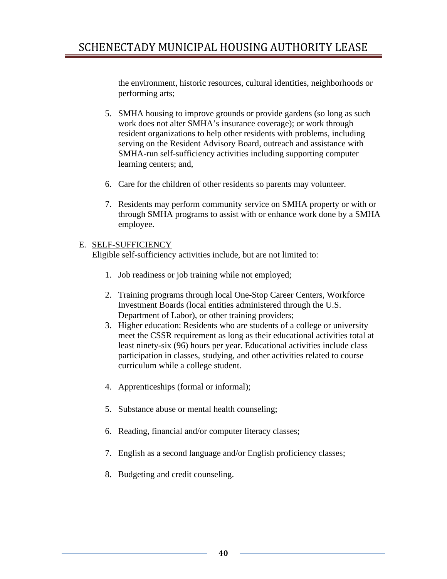the environment, historic resources, cultural identities, neighborhoods or performing arts;

- 5. SMHA housing to improve grounds or provide gardens (so long as such work does not alter SMHA's insurance coverage); or work through resident organizations to help other residents with problems, including serving on the Resident Advisory Board, outreach and assistance with SMHA-run self-sufficiency activities including supporting computer learning centers; and,
- 6. Care for the children of other residents so parents may volunteer.
- 7. Residents may perform community service on SMHA property or with or through SMHA programs to assist with or enhance work done by a SMHA employee.

### E. SELF-SUFFICIENCY

Eligible self-sufficiency activities include, but are not limited to:

- 1. Job readiness or job training while not employed;
- 2. Training programs through local One-Stop Career Centers, Workforce Investment Boards (local entities administered through the U.S. Department of Labor), or other training providers;
- 3. Higher education: Residents who are students of a college or university meet the CSSR requirement as long as their educational activities total at least ninety-six (96) hours per year. Educational activities include class participation in classes, studying, and other activities related to course curriculum while a college student.
- 4. Apprenticeships (formal or informal);
- 5. Substance abuse or mental health counseling;
- 6. Reading, financial and/or computer literacy classes;
- 7. English as a second language and/or English proficiency classes;
- 8. Budgeting and credit counseling.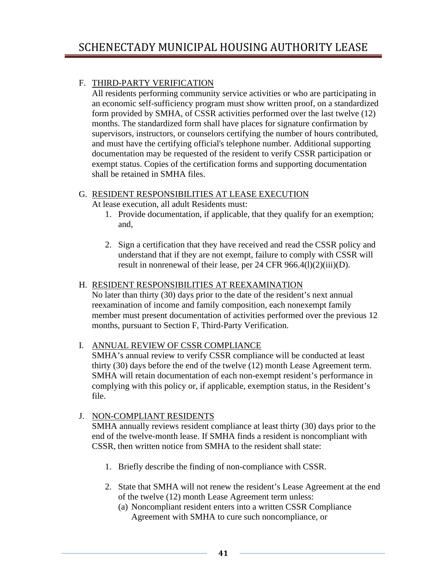### F. THIRD-PARTY VERIFICATION

All residents performing community service activities or who are participating in an economic self-sufficiency program must show written proof, on a standardized form provided by SMHA, of CSSR activities performed over the last twelve (12) months. The standardized form shall have places for signature confirmation by supervisors, instructors, or counselors certifying the number of hours contributed, and must have the certifying official's telephone number. Additional supporting documentation may be requested of the resident to verify CSSR participation or exempt status. Copies of the certification forms and supporting documentation shall be retained in SMHA files.

### G. RESIDENT RESPONSIBILITIES AT LEASE EXECUTION

At lease execution, all adult Residents must:

- 1. Provide documentation, if applicable, that they qualify for an exemption; and,
- 2. Sign a certification that they have received and read the CSSR policy and understand that if they are not exempt, failure to comply with CSSR will result in nonrenewal of their lease, per 24 CFR 966.4(l)(2)(iii)(D).

### H. RESIDENT RESPONSIBILITIES AT REEXAMINATION

No later than thirty (30) days prior to the date of the resident's next annual reexamination of income and family composition, each nonexempt family member must present documentation of activities performed over the previous 12 months, pursuant to Section F, Third-Party Verification.

### I. ANNUAL REVIEW OF CSSR COMPLIANCE

SMHA's annual review to verify CSSR compliance will be conducted at least thirty (30) days before the end of the twelve (12) month Lease Agreement term. SMHA will retain documentation of each non-exempt resident's performance in complying with this policy or, if applicable, exemption status, in the Resident's file.

### J. NON-COMPLIANT RESIDENTS

SMHA annually reviews resident compliance at least thirty (30) days prior to the end of the twelve-month lease. If SMHA finds a resident is noncompliant with CSSR, then written notice from SMHA to the resident shall state:

- 1. Briefly describe the finding of non-compliance with CSSR.
- 2. State that SMHA will not renew the resident's Lease Agreement at the end of the twelve (12) month Lease Agreement term unless:
	- (a) Noncompliant resident enters into a written CSSR Compliance Agreement with SMHA to cure such noncompliance, or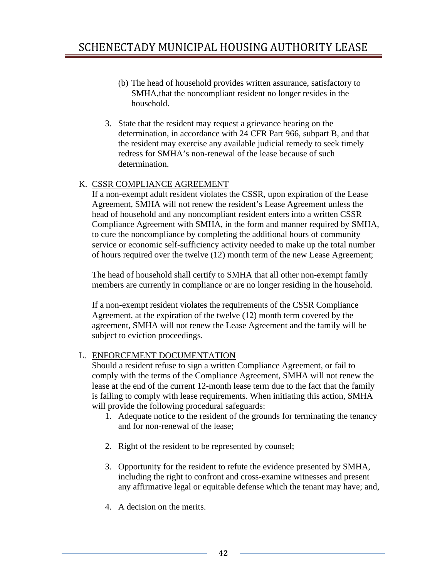- (b) The head of household provides written assurance, satisfactory to SMHA,that the noncompliant resident no longer resides in the household.
- 3. State that the resident may request a grievance hearing on the determination, in accordance with 24 CFR Part 966, subpart B, and that the resident may exercise any available judicial remedy to seek timely redress for SMHA's non-renewal of the lease because of such determination.

### K. CSSR COMPLIANCE AGREEMENT

If a non-exempt adult resident violates the CSSR, upon expiration of the Lease Agreement, SMHA will not renew the resident's Lease Agreement unless the head of household and any noncompliant resident enters into a written CSSR Compliance Agreement with SMHA, in the form and manner required by SMHA, to cure the noncompliance by completing the additional hours of community service or economic self-sufficiency activity needed to make up the total number of hours required over the twelve (12) month term of the new Lease Agreement;

The head of household shall certify to SMHA that all other non-exempt family members are currently in compliance or are no longer residing in the household.

If a non-exempt resident violates the requirements of the CSSR Compliance Agreement, at the expiration of the twelve (12) month term covered by the agreement, SMHA will not renew the Lease Agreement and the family will be subject to eviction proceedings.

### L. ENFORCEMENT DOCUMENTATION

Should a resident refuse to sign a written Compliance Agreement, or fail to comply with the terms of the Compliance Agreement, SMHA will not renew the lease at the end of the current 12-month lease term due to the fact that the family is failing to comply with lease requirements. When initiating this action, SMHA will provide the following procedural safeguards:

- 1. Adequate notice to the resident of the grounds for terminating the tenancy and for non-renewal of the lease;
- 2. Right of the resident to be represented by counsel;
- 3. Opportunity for the resident to refute the evidence presented by SMHA, including the right to confront and cross-examine witnesses and present any affirmative legal or equitable defense which the tenant may have; and,
- 4. A decision on the merits.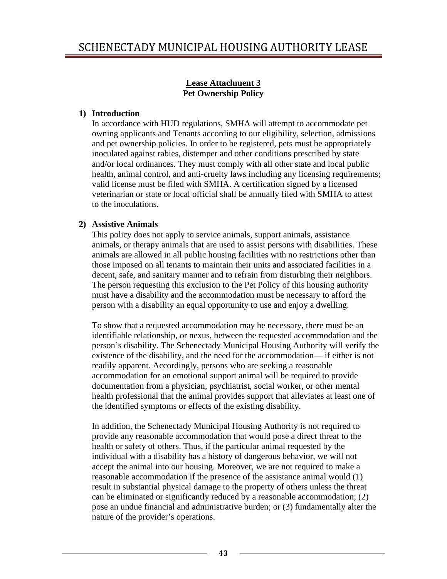### **Lease Attachment 3 Pet Ownership Policy**

### **1) Introduction**

In accordance with HUD regulations, SMHA will attempt to accommodate pet owning applicants and Tenants according to our eligibility, selection, admissions and pet ownership policies. In order to be registered, pets must be appropriately inoculated against rabies, distemper and other conditions prescribed by state and/or local ordinances. They must comply with all other state and local public health, animal control, and anti-cruelty laws including any licensing requirements; valid license must be filed with SMHA. A certification signed by a licensed veterinarian or state or local official shall be annually filed with SMHA to attest to the inoculations.

### **2) Assistive Animals**

This policy does not apply to service animals, support animals, assistance animals, or therapy animals that are used to assist persons with disabilities. These animals are allowed in all public housing facilities with no restrictions other than those imposed on all tenants to maintain their units and associated facilities in a decent, safe, and sanitary manner and to refrain from disturbing their neighbors. The person requesting this exclusion to the Pet Policy of this housing authority must have a disability and the accommodation must be necessary to afford the person with a disability an equal opportunity to use and enjoy a dwelling.

To show that a requested accommodation may be necessary, there must be an identifiable relationship, or nexus, between the requested accommodation and the person's disability. The Schenectady Municipal Housing Authority will verify the existence of the disability, and the need for the accommodation— if either is not readily apparent. Accordingly, persons who are seeking a reasonable accommodation for an emotional support animal will be required to provide documentation from a physician, psychiatrist, social worker, or other mental health professional that the animal provides support that alleviates at least one of the identified symptoms or effects of the existing disability.

In addition, the Schenectady Municipal Housing Authority is not required to provide any reasonable accommodation that would pose a direct threat to the health or safety of others. Thus, if the particular animal requested by the individual with a disability has a history of dangerous behavior, we will not accept the animal into our housing. Moreover, we are not required to make a reasonable accommodation if the presence of the assistance animal would (1) result in substantial physical damage to the property of others unless the threat can be eliminated or significantly reduced by a reasonable accommodation; (2) pose an undue financial and administrative burden; or (3) fundamentally alter the nature of the provider's operations.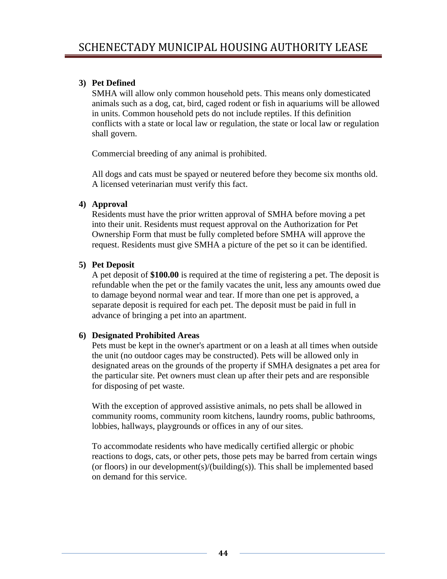### **3) Pet Defined**

SMHA will allow only common household pets. This means only domesticated animals such as a dog, cat, bird, caged rodent or fish in aquariums will be allowed in units. Common household pets do not include reptiles. If this definition conflicts with a state or local law or regulation, the state or local law or regulation shall govern.

Commercial breeding of any animal is prohibited.

All dogs and cats must be spayed or neutered before they become six months old. A licensed veterinarian must verify this fact.

### **4) Approval**

Residents must have the prior written approval of SMHA before moving a pet into their unit. Residents must request approval on the Authorization for Pet Ownership Form that must be fully completed before SMHA will approve the request. Residents must give SMHA a picture of the pet so it can be identified.

### **5) Pet Deposit**

A pet deposit of **\$100.00** is required at the time of registering a pet. The deposit is refundable when the pet or the family vacates the unit, less any amounts owed due to damage beyond normal wear and tear. If more than one pet is approved, a separate deposit is required for each pet. The deposit must be paid in full in advance of bringing a pet into an apartment.

#### **6) Designated Prohibited Areas**

Pets must be kept in the owner's apartment or on a leash at all times when outside the unit (no outdoor cages may be constructed). Pets will be allowed only in designated areas on the grounds of the property if SMHA designates a pet area for the particular site. Pet owners must clean up after their pets and are responsible for disposing of pet waste.

With the exception of approved assistive animals, no pets shall be allowed in community rooms, community room kitchens, laundry rooms, public bathrooms, lobbies, hallways, playgrounds or offices in any of our sites.

To accommodate residents who have medically certified allergic or phobic reactions to dogs, cats, or other pets, those pets may be barred from certain wings (or floors) in our development(s)/(building(s)). This shall be implemented based on demand for this service.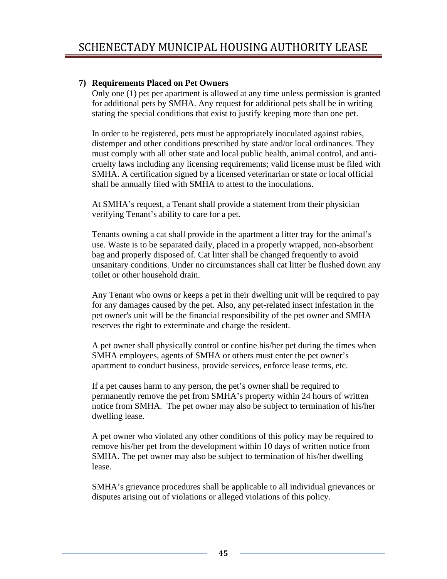### **7) Requirements Placed on Pet Owners**

Only one (1) pet per apartment is allowed at any time unless permission is granted for additional pets by SMHA. Any request for additional pets shall be in writing stating the special conditions that exist to justify keeping more than one pet.

 In order to be registered, pets must be appropriately inoculated against rabies, distemper and other conditions prescribed by state and/or local ordinances. They must comply with all other state and local public health, animal control, and anticruelty laws including any licensing requirements; valid license must be filed with SMHA. A certification signed by a licensed veterinarian or state or local official shall be annually filed with SMHA to attest to the inoculations.

At SMHA's request, a Tenant shall provide a statement from their physician verifying Tenant's ability to care for a pet.

Tenants owning a cat shall provide in the apartment a litter tray for the animal's use. Waste is to be separated daily, placed in a properly wrapped, non-absorbent bag and properly disposed of. Cat litter shall be changed frequently to avoid unsanitary conditions. Under no circumstances shall cat litter be flushed down any toilet or other household drain.

Any Tenant who owns or keeps a pet in their dwelling unit will be required to pay for any damages caused by the pet. Also, any pet-related insect infestation in the pet owner's unit will be the financial responsibility of the pet owner and SMHA reserves the right to exterminate and charge the resident.

A pet owner shall physically control or confine his/her pet during the times when SMHA employees, agents of SMHA or others must enter the pet owner's apartment to conduct business, provide services, enforce lease terms, etc.

If a pet causes harm to any person, the pet's owner shall be required to permanently remove the pet from SMHA's property within 24 hours of written notice from SMHA. The pet owner may also be subject to termination of his/her dwelling lease.

A pet owner who violated any other conditions of this policy may be required to remove his/her pet from the development within 10 days of written notice from SMHA. The pet owner may also be subject to termination of his/her dwelling lease.

SMHA's grievance procedures shall be applicable to all individual grievances or disputes arising out of violations or alleged violations of this policy.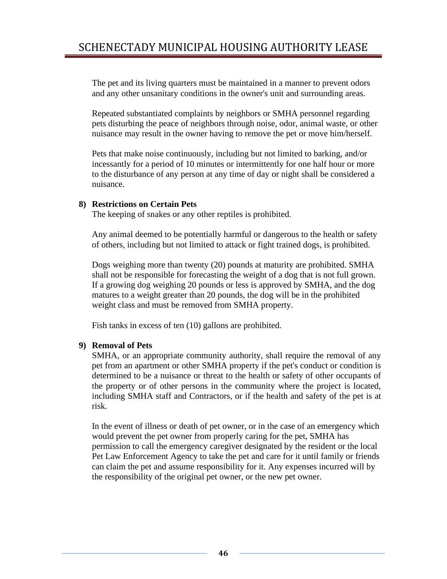The pet and its living quarters must be maintained in a manner to prevent odors and any other unsanitary conditions in the owner's unit and surrounding areas.

Repeated substantiated complaints by neighbors or SMHA personnel regarding pets disturbing the peace of neighbors through noise, odor, animal waste, or other nuisance may result in the owner having to remove the pet or move him/herself.

Pets that make noise continuously, including but not limited to barking, and/or incessantly for a period of 10 minutes or intermittently for one half hour or more to the disturbance of any person at any time of day or night shall be considered a nuisance.

### **8) Restrictions on Certain Pets**

The keeping of snakes or any other reptiles is prohibited.

Any animal deemed to be potentially harmful or dangerous to the health or safety of others, including but not limited to attack or fight trained dogs, is prohibited.

Dogs weighing more than twenty (20) pounds at maturity are prohibited. SMHA shall not be responsible for forecasting the weight of a dog that is not full grown. If a growing dog weighing 20 pounds or less is approved by SMHA, and the dog matures to a weight greater than 20 pounds, the dog will be in the prohibited weight class and must be removed from SMHA property.

Fish tanks in excess of ten (10) gallons are prohibited.

### **9) Removal of Pets**

SMHA, or an appropriate community authority, shall require the removal of any pet from an apartment or other SMHA property if the pet's conduct or condition is determined to be a nuisance or threat to the health or safety of other occupants of the property or of other persons in the community where the project is located, including SMHA staff and Contractors, or if the health and safety of the pet is at risk.

In the event of illness or death of pet owner, or in the case of an emergency which would prevent the pet owner from properly caring for the pet, SMHA has permission to call the emergency caregiver designated by the resident or the local Pet Law Enforcement Agency to take the pet and care for it until family or friends can claim the pet and assume responsibility for it. Any expenses incurred will by the responsibility of the original pet owner, or the new pet owner.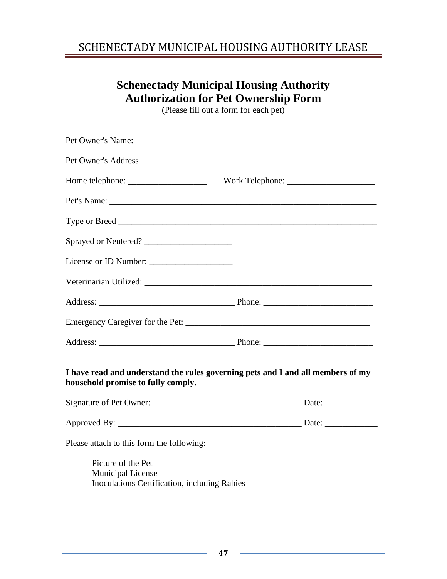# SCHENECTADY MUNICIPAL HOUSING AUTHORITY LEASE

# **Schenectady Municipal Housing Authority Authorization for Pet Ownership Form**

(Please fill out a form for each pet)

| Sprayed or Neutered?                                                                                                  |  |
|-----------------------------------------------------------------------------------------------------------------------|--|
|                                                                                                                       |  |
|                                                                                                                       |  |
|                                                                                                                       |  |
|                                                                                                                       |  |
|                                                                                                                       |  |
| I have read and understand the rules governing pets and I and all members of my<br>household promise to fully comply. |  |
|                                                                                                                       |  |
|                                                                                                                       |  |
| Please attach to this form the following:                                                                             |  |
| Picture of the Pet<br><b>Municipal License</b><br>Inoculations Certification, including Rabies                        |  |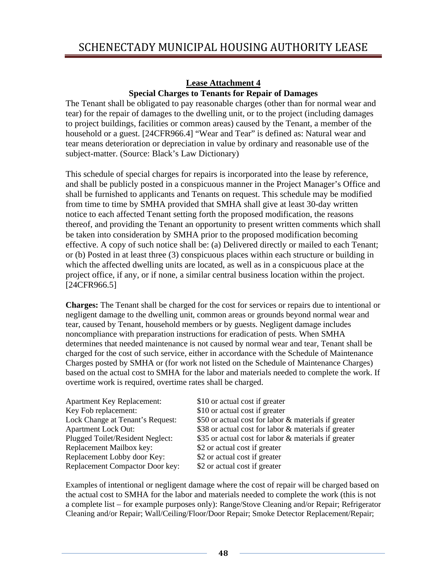#### **Lease Attachment 4 Special Charges to Tenants for Repair of Damages**

The Tenant shall be obligated to pay reasonable charges (other than for normal wear and tear) for the repair of damages to the dwelling unit, or to the project (including damages to project buildings, facilities or common areas) caused by the Tenant, a member of the household or a guest. [24CFR966.4] "Wear and Tear" is defined as: Natural wear and tear means deterioration or depreciation in value by ordinary and reasonable use of the subject-matter. (Source: Black's Law Dictionary)

This schedule of special charges for repairs is incorporated into the lease by reference, and shall be publicly posted in a conspicuous manner in the Project Manager's Office and shall be furnished to applicants and Tenants on request. This schedule may be modified from time to time by SMHA provided that SMHA shall give at least 30-day written notice to each affected Tenant setting forth the proposed modification, the reasons thereof, and providing the Tenant an opportunity to present written comments which shall be taken into consideration by SMHA prior to the proposed modification becoming effective. A copy of such notice shall be: (a) Delivered directly or mailed to each Tenant; or (b) Posted in at least three (3) conspicuous places within each structure or building in which the affected dwelling units are located, as well as in a conspicuous place at the project office, if any, or if none, a similar central business location within the project. [24CFR966.5]

**Charges:** The Tenant shall be charged for the cost for services or repairs due to intentional or negligent damage to the dwelling unit, common areas or grounds beyond normal wear and tear, caused by Tenant, household members or by guests. Negligent damage includes noncompliance with preparation instructions for eradication of pests. When SMHA determines that needed maintenance is not caused by normal wear and tear, Tenant shall be charged for the cost of such service, either in accordance with the Schedule of Maintenance Charges posted by SMHA or (for work not listed on the Schedule of Maintenance Charges) based on the actual cost to SMHA for the labor and materials needed to complete the work. If overtime work is required, overtime rates shall be charged.

| $$10$ or           |
|--------------------|
| $$10$ or           |
| $$50$ or           |
| \$38 or            |
| $$35$ or           |
| $$2 \text{ or } 3$ |
| $$2 \text{ or } 3$ |
| $$2 \text{ or } 3$ |
|                    |

r actual cost if greater r actual cost if greater  $\alpha$  r actual cost for labor  $\&$  materials if greater  $\alpha$  r actual cost for labor  $\&$  materials if greater r actual cost for labor  $\&$  materials if greater actual cost if greater actual cost if greater actual cost if greater

Examples of intentional or negligent damage where the cost of repair will be charged based on the actual cost to SMHA for the labor and materials needed to complete the work (this is not a complete list – for example purposes only): Range/Stove Cleaning and/or Repair; Refrigerator Cleaning and/or Repair; Wall/Ceiling/Floor/Door Repair; Smoke Detector Replacement/Repair;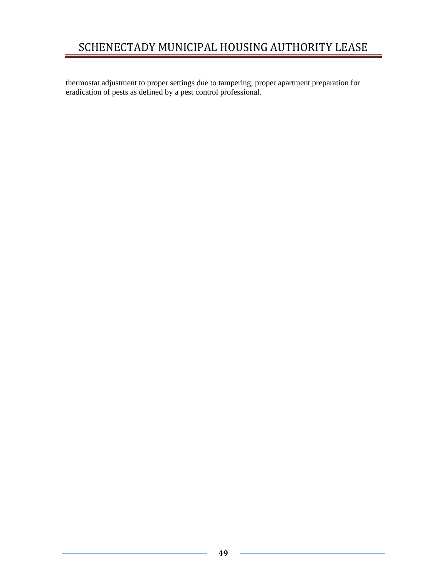thermostat adjustment to proper settings due to tampering, proper apartment preparation for eradication of pests as defined by a pest control professional.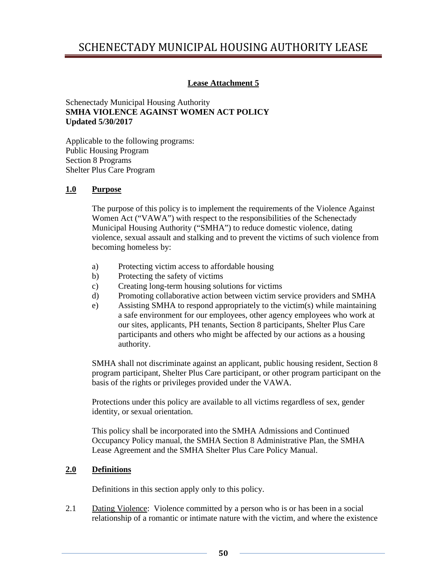# SCHENECTADY MUNICIPAL HOUSING AUTHORITY LEASE

### **Lease Attachment 5**

#### Schenectady Municipal Housing Authority **SMHA VIOLENCE AGAINST WOMEN ACT POLICY Updated 5/30/2017**

Applicable to the following programs: Public Housing Program Section 8 Programs Shelter Plus Care Program

#### **1.0 Purpose**

The purpose of this policy is to implement the requirements of the Violence Against Women Act ("VAWA") with respect to the responsibilities of the Schenectady Municipal Housing Authority ("SMHA") to reduce domestic violence, dating violence, sexual assault and stalking and to prevent the victims of such violence from becoming homeless by:

- a) Protecting victim access to affordable housing
- b) Protecting the safety of victims
- c) Creating long-term housing solutions for victims
- d) Promoting collaborative action between victim service providers and SMHA
- e) Assisting SMHA to respond appropriately to the victim(s) while maintaining a safe environment for our employees, other agency employees who work at our sites, applicants, PH tenants, Section 8 participants, Shelter Plus Care participants and others who might be affected by our actions as a housing authority.

SMHA shall not discriminate against an applicant, public housing resident, Section 8 program participant, Shelter Plus Care participant, or other program participant on the basis of the rights or privileges provided under the VAWA.

Protections under this policy are available to all victims regardless of sex, gender identity, or sexual orientation.

This policy shall be incorporated into the SMHA Admissions and Continued Occupancy Policy manual, the SMHA Section 8 Administrative Plan, the SMHA Lease Agreement and the SMHA Shelter Plus Care Policy Manual.

#### **2.0 Definitions**

Definitions in this section apply only to this policy.

2.1 Dating Violence: Violence committed by a person who is or has been in a social relationship of a romantic or intimate nature with the victim, and where the existence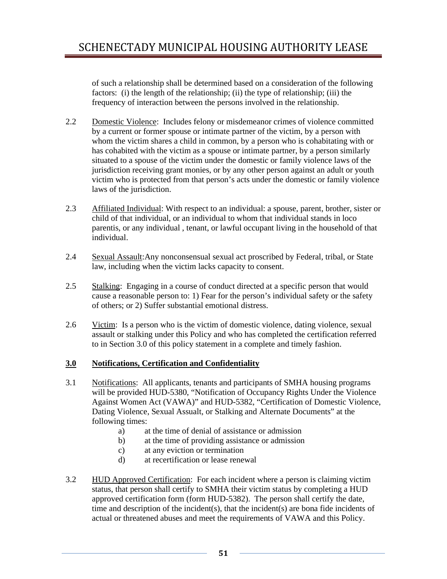of such a relationship shall be determined based on a consideration of the following factors: (i) the length of the relationship; (ii) the type of relationship; (iii) the frequency of interaction between the persons involved in the relationship.

- 2.2 Domestic Violence: Includes felony or misdemeanor crimes of violence committed by a current or former spouse or intimate partner of the victim, by a person with whom the victim shares a child in common, by a person who is cohabitating with or has cohabited with the victim as a spouse or intimate partner, by a person similarly situated to a spouse of the victim under the domestic or family violence laws of the jurisdiction receiving grant monies, or by any other person against an adult or youth victim who is protected from that person's acts under the domestic or family violence laws of the jurisdiction.
- 2.3 Affiliated Individual: With respect to an individual: a spouse, parent, brother, sister or child of that individual, or an individual to whom that individual stands in loco parentis, or any individual , tenant, or lawful occupant living in the household of that individual.
- 2.4 Sexual Assault: Any nonconsensual sexual act proscribed by Federal, tribal, or State law, including when the victim lacks capacity to consent.
- 2.5 Stalking: Engaging in a course of conduct directed at a specific person that would cause a reasonable person to: 1) Fear for the person's individual safety or the safety of others; or 2) Suffer substantial emotional distress.
- 2.6 Victim: Is a person who is the victim of domestic violence, dating violence, sexual assault or stalking under this Policy and who has completed the certification referred to in Section 3.0 of this policy statement in a complete and timely fashion.

### **3.0 Notifications, Certification and Confidentiality**

- 3.1 Notifications: All applicants, tenants and participants of SMHA housing programs will be provided HUD-5380, "Notification of Occupancy Rights Under the Violence Against Women Act (VAWA)" and HUD-5382, "Certification of Domestic Violence, Dating Violence, Sexual Assualt, or Stalking and Alternate Documents" at the following times:
	- a) at the time of denial of assistance or admission
	- b) at the time of providing assistance or admission
	- c) at any eviction or termination
	- d) at recertification or lease renewal
- 3.2 HUD Approved Certification: For each incident where a person is claiming victim status, that person shall certify to SMHA their victim status by completing a HUD approved certification form (form HUD-5382). The person shall certify the date, time and description of the incident(s), that the incident(s) are bona fide incidents of actual or threatened abuses and meet the requirements of VAWA and this Policy.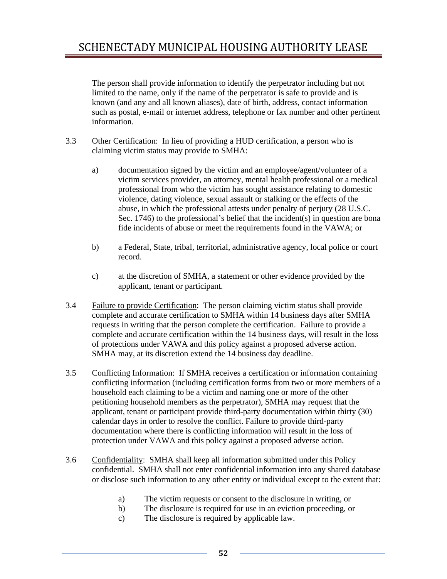The person shall provide information to identify the perpetrator including but not limited to the name, only if the name of the perpetrator is safe to provide and is known (and any and all known aliases), date of birth, address, contact information such as postal, e-mail or internet address, telephone or fax number and other pertinent information.

- 3.3 Other Certification: In lieu of providing a HUD certification, a person who is claiming victim status may provide to SMHA:
	- a) documentation signed by the victim and an employee/agent/volunteer of a victim services provider, an attorney, mental health professional or a medical professional from who the victim has sought assistance relating to domestic violence, dating violence, sexual assault or stalking or the effects of the abuse, in which the professional attests under penalty of perjury (28 U.S.C. Sec. 1746) to the professional's belief that the incident(s) in question are bona fide incidents of abuse or meet the requirements found in the VAWA; or
	- b) a Federal, State, tribal, territorial, administrative agency, local police or court record.
	- c) at the discretion of SMHA, a statement or other evidence provided by the applicant, tenant or participant.
- 3.4 Failure to provide Certification: The person claiming victim status shall provide complete and accurate certification to SMHA within 14 business days after SMHA requests in writing that the person complete the certification. Failure to provide a complete and accurate certification within the 14 business days, will result in the loss of protections under VAWA and this policy against a proposed adverse action. SMHA may, at its discretion extend the 14 business day deadline.
- 3.5 Conflicting Information: If SMHA receives a certification or information containing conflicting information (including certification forms from two or more members of a household each claiming to be a victim and naming one or more of the other petitioning household members as the perpetrator), SMHA may request that the applicant, tenant or participant provide third-party documentation within thirty (30) calendar days in order to resolve the conflict. Failure to provide third-party documentation where there is conflicting information will result in the loss of protection under VAWA and this policy against a proposed adverse action.
- 3.6 Confidentiality: SMHA shall keep all information submitted under this Policy confidential. SMHA shall not enter confidential information into any shared database or disclose such information to any other entity or individual except to the extent that:
	- a) The victim requests or consent to the disclosure in writing, or
	- b) The disclosure is required for use in an eviction proceeding, or
	- c) The disclosure is required by applicable law.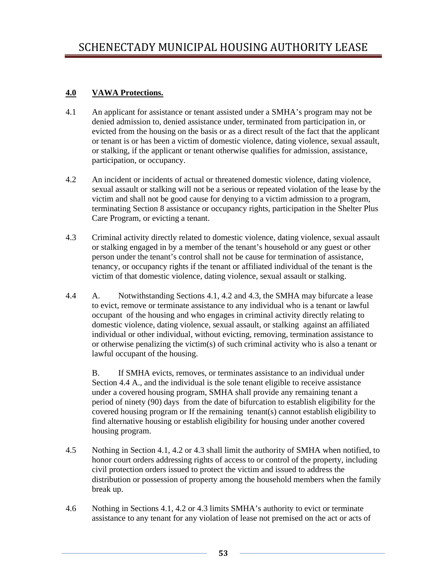### **4.0 VAWA Protections.**

- 4.1 An applicant for assistance or tenant assisted under a SMHA's program may not be denied admission to, denied assistance under, terminated from participation in, or evicted from the housing on the basis or as a direct result of the fact that the applicant or tenant is or has been a victim of domestic violence, dating violence, sexual assault, or stalking, if the applicant or tenant otherwise qualifies for admission, assistance, participation, or occupancy.
- 4.2 An incident or incidents of actual or threatened domestic violence, dating violence, sexual assault or stalking will not be a serious or repeated violation of the lease by the victim and shall not be good cause for denying to a victim admission to a program, terminating Section 8 assistance or occupancy rights, participation in the Shelter Plus Care Program, or evicting a tenant.
- 4.3 Criminal activity directly related to domestic violence, dating violence, sexual assault or stalking engaged in by a member of the tenant's household or any guest or other person under the tenant's control shall not be cause for termination of assistance, tenancy, or occupancy rights if the tenant or affiliated individual of the tenant is the victim of that domestic violence, dating violence, sexual assault or stalking.
- 4.4 A. Notwithstanding Sections 4.1, 4.2 and 4.3, the SMHA may bifurcate a lease to evict, remove or terminate assistance to any individual who is a tenant or lawful occupant of the housing and who engages in criminal activity directly relating to domestic violence, dating violence, sexual assault, or stalking against an affiliated individual or other individual, without evicting, removing, termination assistance to or otherwise penalizing the victim(s) of such criminal activity who is also a tenant or lawful occupant of the housing.

 B. If SMHA evicts, removes, or terminates assistance to an individual under Section 4.4 A., and the individual is the sole tenant eligible to receive assistance under a covered housing program, SMHA shall provide any remaining tenant a period of ninety (90) days from the date of bifurcation to establish eligibility for the covered housing program or If the remaining tenant(s) cannot establish eligibility to find alternative housing or establish eligibility for housing under another covered housing program.

- 4.5 Nothing in Section 4.1, 4.2 or 4.3 shall limit the authority of SMHA when notified, to honor court orders addressing rights of access to or control of the property, including civil protection orders issued to protect the victim and issued to address the distribution or possession of property among the household members when the family break up.
- 4.6 Nothing in Sections 4.1, 4.2 or 4.3 limits SMHA's authority to evict or terminate assistance to any tenant for any violation of lease not premised on the act or acts of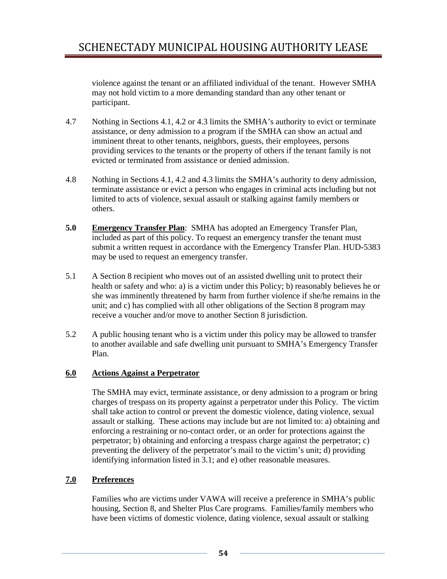violence against the tenant or an affiliated individual of the tenant. However SMHA may not hold victim to a more demanding standard than any other tenant or participant.

- 4.7 Nothing in Sections 4.1, 4.2 or 4.3 limits the SMHA's authority to evict or terminate assistance, or deny admission to a program if the SMHA can show an actual and imminent threat to other tenants, neighbors, guests, their employees, persons providing services to the tenants or the property of others if the tenant family is not evicted or terminated from assistance or denied admission.
- 4.8 Nothing in Sections 4.1, 4.2 and 4.3 limits the SMHA's authority to deny admission, terminate assistance or evict a person who engages in criminal acts including but not limited to acts of violence, sexual assault or stalking against family members or others.
- 5.0 Emergency Transfer Plan: SMHA has adopted an Emergency Transfer Plan, included as part of this policy. To request an emergency transfer the tenant must submit a written request in accordance with the Emergency Transfer Plan. HUD-5383 may be used to request an emergency transfer.
- 5.1 A Section 8 recipient who moves out of an assisted dwelling unit to protect their health or safety and who: a) is a victim under this Policy; b) reasonably believes he or she was imminently threatened by harm from further violence if she/he remains in the unit; and c) has complied with all other obligations of the Section 8 program may receive a voucher and/or move to another Section 8 jurisdiction.
- 5.2 A public housing tenant who is a victim under this policy may be allowed to transfer to another available and safe dwelling unit pursuant to SMHA's Emergency Transfer Plan.

### **6.0 Actions Against a Perpetrator**

 The SMHA may evict, terminate assistance, or deny admission to a program or bring charges of trespass on its property against a perpetrator under this Policy. The victim shall take action to control or prevent the domestic violence, dating violence, sexual assault or stalking. These actions may include but are not limited to: a) obtaining and enforcing a restraining or no-contact order, or an order for protections against the perpetrator; b) obtaining and enforcing a trespass charge against the perpetrator; c) preventing the delivery of the perpetrator's mail to the victim's unit; d) providing identifying information listed in 3.1; and e) other reasonable measures.

### **7.0 Preferences**

 Families who are victims under VAWA will receive a preference in SMHA's public housing, Section 8, and Shelter Plus Care programs. Families/family members who have been victims of domestic violence, dating violence, sexual assault or stalking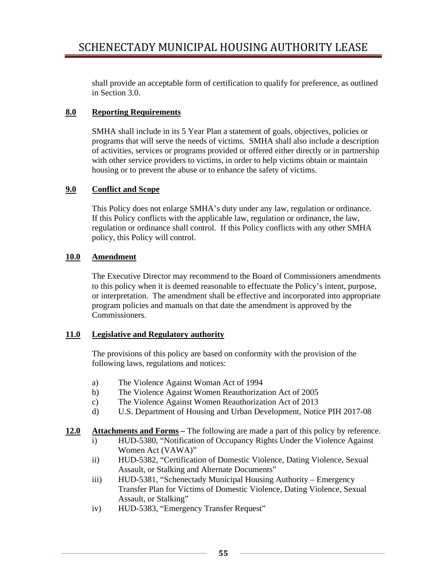shall provide an acceptable form of certification to qualify for preference, as outlined in Section 3.0.

### **8.0 Reporting Requirements**

SMHA shall include in its 5 Year Plan a statement of goals, objectives, policies or programs that will serve the needs of victims. SMHA shall also include a description of activities, services or programs provided or offered either directly or in partnership with other service providers to victims, in order to help victims obtain or maintain housing or to prevent the abuse or to enhance the safety of victims.

### **9.0 Conflict and Scope**

 This Policy does not enlarge SMHA's duty under any law, regulation or ordinance. If this Policy conflicts with the applicable law, regulation or ordinance, the law, regulation or ordinance shall control. If this Policy conflicts with any other SMHA policy, this Policy will control.

### **10.0 Amendment**

 The Executive Director may recommend to the Board of Commissioners amendments to this policy when it is deemed reasonable to effectuate the Policy's intent, purpose, or interpretation. The amendment shall be effective and incorporated into appropriate program policies and manuals on that date the amendment is approved by the Commissioners.

#### **11.0 Legislative and Regulatory authority**

 The provisions of this policy are based on conformity with the provision of the following laws, regulations and notices:

- a) The Violence Against Woman Act of 1994
- b) The Violence Against Women Reauthorization Act of 2005
- c) The Violence Against Women Reauthorization Act of 2013
- d) U.S. Department of Housing and Urban Development, Notice PIH 2017-08

### **12.0 Attachments and Forms –** The following are made a part of this policy by reference.

- i) HUD-5380, "Notification of Occupancy Rights Under the Violence Against Women Act (VAWA)"
- ii) HUD-5382, "Certification of Domestic Violence, Dating Violence, Sexual Assault, or Stalking and Alternate Documents"
- iii) HUD-5381, "Schenectady Municipal Housing Authority Emergency Transfer Plan for Victims of Domestic Violence, Dating Violence, Sexual Assault, or Stalking"
- iv) HUD-5383, "Emergency Transfer Request"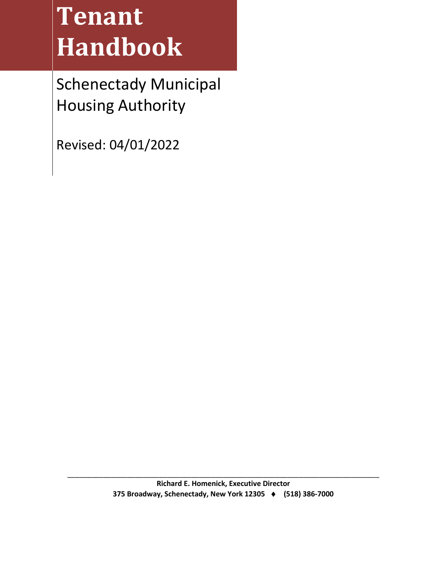# **Tenant Handbook**

Schenectady Municipal Housing Authority

Revised: 04/01/2022

\_\_\_\_\_\_\_\_\_\_\_\_\_\_\_\_\_\_\_\_\_\_\_\_\_\_\_\_\_\_\_\_\_\_\_\_\_\_\_\_\_\_\_\_\_\_\_\_\_\_\_\_\_\_\_\_\_\_\_\_\_\_\_\_\_\_\_\_\_\_\_\_\_\_\_\_\_\_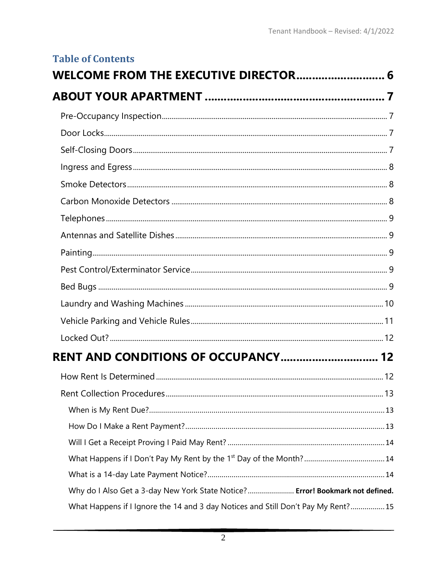| <b>Table of Contents</b>                                                          |  |
|-----------------------------------------------------------------------------------|--|
| WELCOME FROM THE EXECUTIVE DIRECTOR 6                                             |  |
|                                                                                   |  |
|                                                                                   |  |
|                                                                                   |  |
|                                                                                   |  |
|                                                                                   |  |
|                                                                                   |  |
|                                                                                   |  |
|                                                                                   |  |
|                                                                                   |  |
|                                                                                   |  |
|                                                                                   |  |
|                                                                                   |  |
|                                                                                   |  |
|                                                                                   |  |
|                                                                                   |  |
| <b>RENT AND CONDITIONS OF OCCUPANCY 12</b>                                        |  |
|                                                                                   |  |
|                                                                                   |  |
|                                                                                   |  |
|                                                                                   |  |
|                                                                                   |  |
|                                                                                   |  |
|                                                                                   |  |
| Why do I Also Get a 3-day New York State Notice? Error! Bookmark not defined.     |  |
| What Happens if I Ignore the 14 and 3 day Notices and Still Don't Pay My Rent? 15 |  |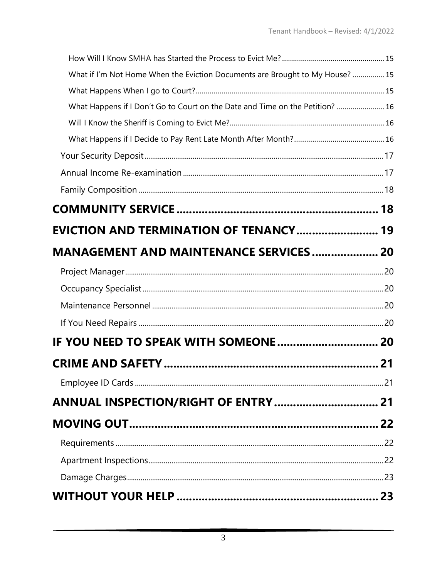| What if I'm Not Home When the Eviction Documents are Brought to My House? 15  |  |
|-------------------------------------------------------------------------------|--|
|                                                                               |  |
| What Happens if I Don't Go to Court on the Date and Time on the Petition?  16 |  |
|                                                                               |  |
|                                                                               |  |
|                                                                               |  |
|                                                                               |  |
|                                                                               |  |
|                                                                               |  |
| <b>EVICTION AND TERMINATION OF TENANCY 19</b>                                 |  |
| <b>MANAGEMENT AND MAINTENANCE SERVICES 20</b>                                 |  |
|                                                                               |  |
|                                                                               |  |
|                                                                               |  |
|                                                                               |  |
|                                                                               |  |
|                                                                               |  |
|                                                                               |  |
|                                                                               |  |
|                                                                               |  |
|                                                                               |  |
|                                                                               |  |
|                                                                               |  |
|                                                                               |  |
|                                                                               |  |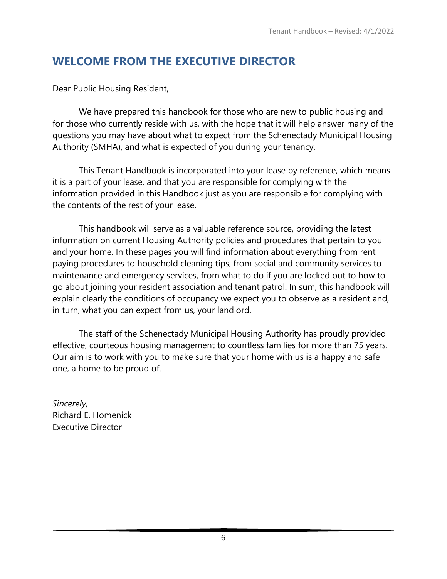# <span id="page-60-0"></span>**WELCOME FROM THE EXECUTIVE DIRECTOR**

Dear Public Housing Resident,

We have prepared this handbook for those who are new to public housing and for those who currently reside with us, with the hope that it will help answer many of the questions you may have about what to expect from the Schenectady Municipal Housing Authority (SMHA), and what is expected of you during your tenancy.

This Tenant Handbook is incorporated into your lease by reference, which means it is a part of your lease, and that you are responsible for complying with the information provided in this Handbook just as you are responsible for complying with the contents of the rest of your lease.

This handbook will serve as a valuable reference source, providing the latest information on current Housing Authority policies and procedures that pertain to you and your home. In these pages you will find information about everything from rent paying procedures to household cleaning tips, from social and community services to maintenance and emergency services, from what to do if you are locked out to how to go about joining your resident association and tenant patrol. In sum, this handbook will explain clearly the conditions of occupancy we expect you to observe as a resident and, in turn, what you can expect from us, your landlord.

The staff of the Schenectady Municipal Housing Authority has proudly provided effective, courteous housing management to countless families for more than 75 years. Our aim is to work with you to make sure that your home with us is a happy and safe one, a home to be proud of.

*Sincerely,* Richard E. Homenick Executive Director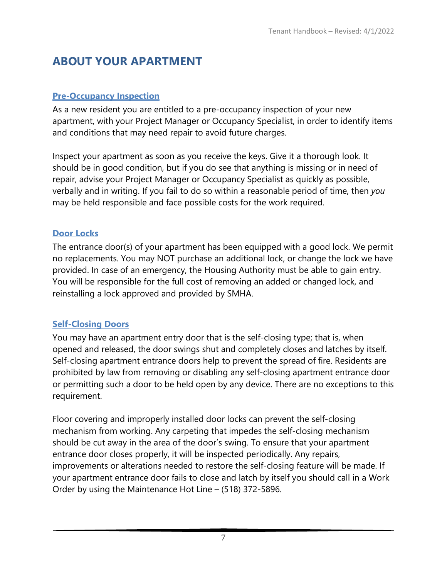# <span id="page-61-0"></span>**ABOUT YOUR APARTMENT**

# <span id="page-61-1"></span>**Pre-Occupancy Inspection**

As a new resident you are entitled to a pre-occupancy inspection of your new apartment, with your Project Manager or Occupancy Specialist, in order to identify items and conditions that may need repair to avoid future charges.

Inspect your apartment as soon as you receive the keys. Give it a thorough look. It should be in good condition, but if you do see that anything is missing or in need of repair, advise your Project Manager or Occupancy Specialist as quickly as possible, verbally and in writing. If you fail to do so within a reasonable period of time, then *you*  may be held responsible and face possible costs for the work required.

# <span id="page-61-2"></span>**Door Locks**

The entrance door(s) of your apartment has been equipped with a good lock. We permit no replacements. You may NOT purchase an additional lock, or change the lock we have provided. In case of an emergency, the Housing Authority must be able to gain entry. You will be responsible for the full cost of removing an added or changed lock, and reinstalling a lock approved and provided by SMHA.

# <span id="page-61-3"></span>**Self-Closing Doors**

You may have an apartment entry door that is the self-closing type; that is, when opened and released, the door swings shut and completely closes and latches by itself. Self-closing apartment entrance doors help to prevent the spread of fire. Residents are prohibited by law from removing or disabling any self-closing apartment entrance door or permitting such a door to be held open by any device. There are no exceptions to this requirement.

Floor covering and improperly installed door locks can prevent the self-closing mechanism from working. Any carpeting that impedes the self-closing mechanism should be cut away in the area of the door's swing. To ensure that your apartment entrance door closes properly, it will be inspected periodically. Any repairs, improvements or alterations needed to restore the self-closing feature will be made. If your apartment entrance door fails to close and latch by itself you should call in a Work Order by using the Maintenance Hot Line – (518) 372-5896.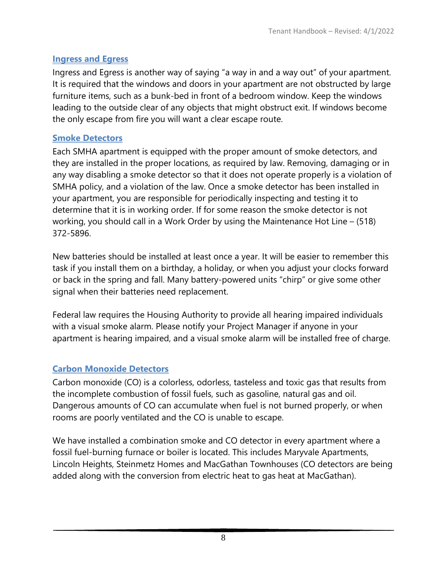# <span id="page-62-0"></span>**Ingress and Egress**

Ingress and Egress is another way of saying "a way in and a way out" of your apartment. It is required that the windows and doors in your apartment are not obstructed by large furniture items, such as a bunk-bed in front of a bedroom window. Keep the windows leading to the outside clear of any objects that might obstruct exit. If windows become the only escape from fire you will want a clear escape route.

# <span id="page-62-1"></span>**Smoke Detectors**

Each SMHA apartment is equipped with the proper amount of smoke detectors, and they are installed in the proper locations, as required by law. Removing, damaging or in any way disabling a smoke detector so that it does not operate properly is a violation of SMHA policy, and a violation of the law. Once a smoke detector has been installed in your apartment, you are responsible for periodically inspecting and testing it to determine that it is in working order. If for some reason the smoke detector is not working, you should call in a Work Order by using the Maintenance Hot Line – (518) 372-5896.

New batteries should be installed at least once a year. It will be easier to remember this task if you install them on a birthday, a holiday, or when you adjust your clocks forward or back in the spring and fall. Many battery-powered units "chirp" or give some other signal when their batteries need replacement.

Federal law requires the Housing Authority to provide all hearing impaired individuals with a visual smoke alarm. Please notify your Project Manager if anyone in your apartment is hearing impaired, and a visual smoke alarm will be installed free of charge.

# <span id="page-62-2"></span>**Carbon Monoxide Detectors**

Carbon monoxide (CO) is a colorless, odorless, tasteless and toxic gas that results from the incomplete combustion of fossil fuels, such as gasoline, natural gas and oil. Dangerous amounts of CO can accumulate when fuel is not burned properly, or when rooms are poorly ventilated and the CO is unable to escape.

We have installed a combination smoke and CO detector in every apartment where a fossil fuel-burning furnace or boiler is located. This includes Maryvale Apartments, Lincoln Heights, Steinmetz Homes and MacGathan Townhouses (CO detectors are being added along with the conversion from electric heat to gas heat at MacGathan).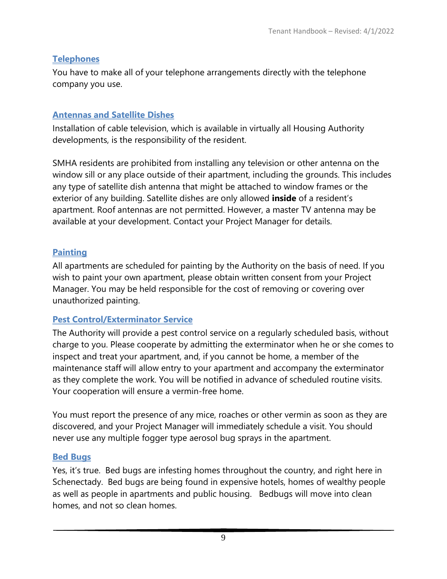# <span id="page-63-0"></span>**Telephones**

You have to make all of your telephone arrangements directly with the telephone company you use.

# <span id="page-63-1"></span>**Antennas and Satellite Dishes**

Installation of cable television, which is available in virtually all Housing Authority developments, is the responsibility of the resident.

SMHA residents are prohibited from installing any television or other antenna on the window sill or any place outside of their apartment, including the grounds. This includes any type of satellite dish antenna that might be attached to window frames or the exterior of any building. Satellite dishes are only allowed **inside** of a resident's apartment. Roof antennas are not permitted. However, a master TV antenna may be available at your development. Contact your Project Manager for details.

# <span id="page-63-2"></span>**Painting**

All apartments are scheduled for painting by the Authority on the basis of need. If you wish to paint your own apartment, please obtain written consent from your Project Manager. You may be held responsible for the cost of removing or covering over unauthorized painting.

# <span id="page-63-3"></span>**Pest Control/Exterminator Service**

The Authority will provide a pest control service on a regularly scheduled basis, without charge to you. Please cooperate by admitting the exterminator when he or she comes to inspect and treat your apartment, and, if you cannot be home, a member of the maintenance staff will allow entry to your apartment and accompany the exterminator as they complete the work. You will be notified in advance of scheduled routine visits. Your cooperation will ensure a vermin-free home.

You must report the presence of any mice, roaches or other vermin as soon as they are discovered, and your Project Manager will immediately schedule a visit. You should never use any multiple fogger type aerosol bug sprays in the apartment.

# <span id="page-63-4"></span>**Bed Bugs**

Yes, it's true. Bed bugs are infesting homes throughout the country, and right here in Schenectady. Bed bugs are being found in expensive hotels, homes of wealthy people as well as people in apartments and public housing. Bedbugs will move into clean homes, and not so clean homes.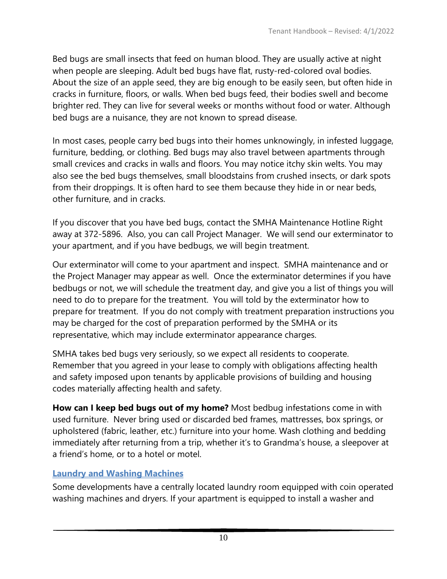Bed bugs are small insects that feed on human blood. They are usually active at night when people are sleeping. Adult bed bugs have flat, rusty-red-colored oval bodies. About the size of an apple seed, they are big enough to be easily seen, but often hide in cracks in furniture, floors, or walls. When bed bugs feed, their bodies swell and become brighter red. They can live for several weeks or months without food or water. Although bed bugs are a nuisance, they are not known to spread disease.

In most cases, people carry bed bugs into their homes unknowingly, in infested luggage, furniture, bedding, or clothing. Bed bugs may also travel between apartments through small crevices and cracks in walls and floors. You may notice itchy skin welts. You may also see the bed bugs themselves, small bloodstains from crushed insects, or dark spots from their droppings. It is often hard to see them because they hide in or near beds, other furniture, and in cracks.

If you discover that you have bed bugs, contact the SMHA Maintenance Hotline Right away at 372-5896. Also, you can call Project Manager. We will send our exterminator to your apartment, and if you have bedbugs, we will begin treatment.

Our exterminator will come to your apartment and inspect. SMHA maintenance and or the Project Manager may appear as well. Once the exterminator determines if you have bedbugs or not, we will schedule the treatment day, and give you a list of things you will need to do to prepare for the treatment. You will told by the exterminator how to prepare for treatment. If you do not comply with treatment preparation instructions you may be charged for the cost of preparation performed by the SMHA or its representative, which may include exterminator appearance charges.

SMHA takes bed bugs very seriously, so we expect all residents to cooperate. Remember that you agreed in your lease to comply with obligations affecting health and safety imposed upon tenants by applicable provisions of building and housing codes materially affecting health and safety.

**How can I keep bed bugs out of my home?** Most bedbug infestations come in with used furniture. Never bring used or discarded bed frames, mattresses, box springs, or upholstered (fabric, leather, etc.) furniture into your home. Wash clothing and bedding immediately after returning from a trip, whether it's to Grandma's house, a sleepover at a friend's home, or to a hotel or motel.

# <span id="page-64-0"></span>**Laundry and Washing Machines**

Some developments have a centrally located laundry room equipped with coin operated washing machines and dryers. If your apartment is equipped to install a washer and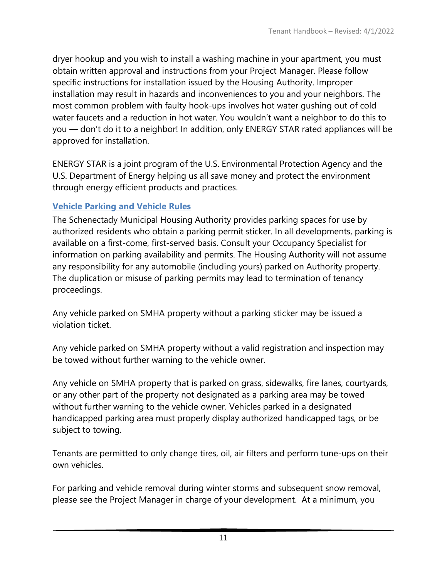dryer hookup and you wish to install a washing machine in your apartment, you must obtain written approval and instructions from your Project Manager. Please follow specific instructions for installation issued by the Housing Authority. Improper installation may result in hazards and inconveniences to you and your neighbors. The most common problem with faulty hook-ups involves hot water gushing out of cold water faucets and a reduction in hot water. You wouldn't want a neighbor to do this to you — don't do it to a neighbor! In addition, only ENERGY STAR rated appliances will be approved for installation.

ENERGY STAR is a joint program of the U.S. Environmental Protection Agency and the U.S. Department of Energy helping us all save money and protect the environment through energy efficient products and practices.

# <span id="page-65-0"></span>**Vehicle Parking and Vehicle Rules**

The Schenectady Municipal Housing Authority provides parking spaces for use by authorized residents who obtain a parking permit sticker. In all developments, parking is available on a first-come, first-served basis. Consult your Occupancy Specialist for information on parking availability and permits. The Housing Authority will not assume any responsibility for any automobile (including yours) parked on Authority property. The duplication or misuse of parking permits may lead to termination of tenancy proceedings.

Any vehicle parked on SMHA property without a parking sticker may be issued a violation ticket.

Any vehicle parked on SMHA property without a valid registration and inspection may be towed without further warning to the vehicle owner.

Any vehicle on SMHA property that is parked on grass, sidewalks, fire lanes, courtyards, or any other part of the property not designated as a parking area may be towed without further warning to the vehicle owner. Vehicles parked in a designated handicapped parking area must properly display authorized handicapped tags, or be subject to towing.

Tenants are permitted to only change tires, oil, air filters and perform tune-ups on their own vehicles.

For parking and vehicle removal during winter storms and subsequent snow removal, please see the Project Manager in charge of your development. At a minimum, you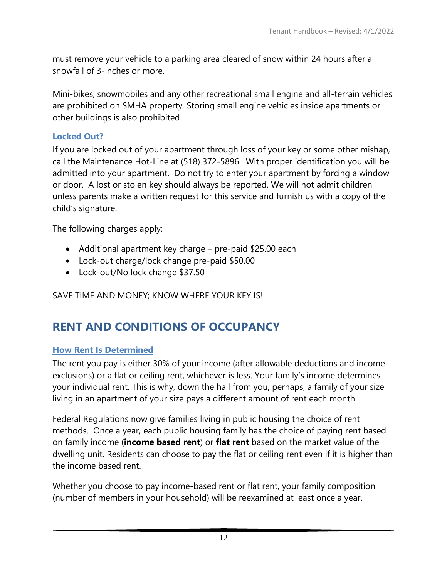must remove your vehicle to a parking area cleared of snow within 24 hours after a snowfall of 3-inches or more.

Mini-bikes, snowmobiles and any other recreational small engine and all-terrain vehicles are prohibited on SMHA property. Storing small engine vehicles inside apartments or other buildings is also prohibited.

### <span id="page-66-0"></span>**Locked Out?**

If you are locked out of your apartment through loss of your key or some other mishap, call the Maintenance Hot-Line at (518) 372-5896. With proper identification you will be admitted into your apartment. Do not try to enter your apartment by forcing a window or door. A lost or stolen key should always be reported. We will not admit children unless parents make a written request for this service and furnish us with a copy of the child's signature.

The following charges apply:

- Additional apartment key charge pre-paid \$25.00 each
- Lock-out charge/lock change pre-paid \$50.00
- Lock-out/No lock change \$37.50

<span id="page-66-1"></span>SAVE TIME AND MONEY; KNOW WHERE YOUR KEY IS!

# **RENT AND CONDITIONS OF OCCUPANCY**

### <span id="page-66-2"></span>**How Rent Is Determined**

The rent you pay is either 30% of your income (after allowable deductions and income exclusions) or a flat or ceiling rent, whichever is less. Your family's income determines your individual rent. This is why, down the hall from you, perhaps, a family of your size living in an apartment of your size pays a different amount of rent each month.

Federal Regulations now give families living in public housing the choice of rent methods. Once a year, each public housing family has the choice of paying rent based on family income (**income based rent**) or **flat rent** based on the market value of the dwelling unit. Residents can choose to pay the flat or ceiling rent even if it is higher than the income based rent.

Whether you choose to pay income-based rent or flat rent, your family composition (number of members in your household) will be reexamined at least once a year.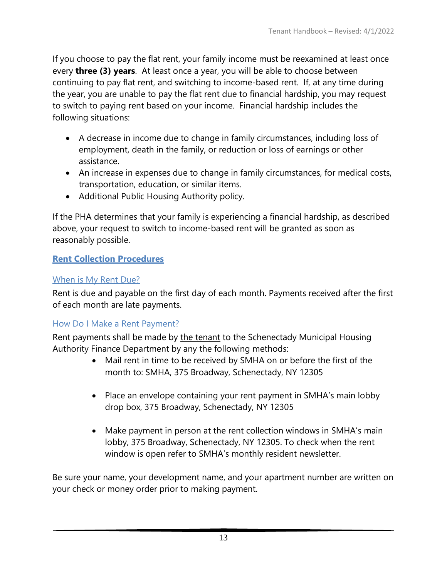If you choose to pay the flat rent, your family income must be reexamined at least once every **three (3) years**. At least once a year, you will be able to choose between continuing to pay flat rent, and switching to income-based rent. If, at any time during the year, you are unable to pay the flat rent due to financial hardship, you may request to switch to paying rent based on your income. Financial hardship includes the following situations:

- A decrease in income due to change in family circumstances, including loss of employment, death in the family, or reduction or loss of earnings or other assistance.
- An increase in expenses due to change in family circumstances, for medical costs, transportation, education, or similar items.
- Additional Public Housing Authority policy.

If the PHA determines that your family is experiencing a financial hardship, as described above, your request to switch to income-based rent will be granted as soon as reasonably possible.

# <span id="page-67-0"></span>**Rent Collection Procedures**

# <span id="page-67-1"></span>When is My Rent Due?

Rent is due and payable on the first day of each month. Payments received after the first of each month are late payments.

# <span id="page-67-2"></span>How Do I Make a Rent Payment?

Rent payments shall be made by the tenant to the Schenectady Municipal Housing Authority Finance Department by any the following methods:

- Mail rent in time to be received by SMHA on or before the first of the month to: SMHA, 375 Broadway, Schenectady, NY 12305
- Place an envelope containing your rent payment in SMHA's main lobby drop box, 375 Broadway, Schenectady, NY 12305
- Make payment in person at the rent collection windows in SMHA's main lobby, 375 Broadway, Schenectady, NY 12305. To check when the rent window is open refer to SMHA's monthly resident newsletter.

Be sure your name, your development name, and your apartment number are written on your check or money order prior to making payment.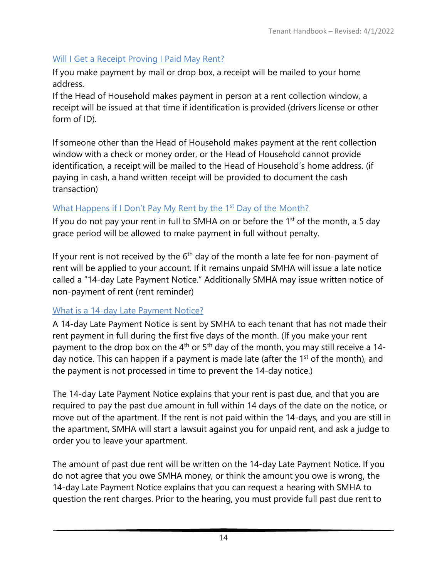# <span id="page-68-0"></span>Will I Get a Receipt Proving I Paid May Rent?

If you make payment by mail or drop box, a receipt will be mailed to your home address.

If the Head of Household makes payment in person at a rent collection window, a receipt will be issued at that time if identification is provided (drivers license or other form of ID).

If someone other than the Head of Household makes payment at the rent collection window with a check or money order, or the Head of Household cannot provide identification, a receipt will be mailed to the Head of Household's home address. (if paying in cash, a hand written receipt will be provided to document the cash transaction)

# <span id="page-68-1"></span>What Happens if I Don't Pay My Rent by the 1<sup>st</sup> Day of the Month?

If you do not pay your rent in full to SMHA on or before the  $1<sup>st</sup>$  of the month, a 5 day grace period will be allowed to make payment in full without penalty.

<span id="page-68-2"></span>If your rent is not received by the  $6<sup>th</sup>$  day of the month a late fee for non-payment of rent will be applied to your account. If it remains unpaid SMHA will issue a late notice called a "14-day Late Payment Notice." Additionally SMHA may issue written notice of non-payment of rent (rent reminder)

# What is a 14-day Late Payment Notice?

A 14-day Late Payment Notice is sent by SMHA to each tenant that has not made their rent payment in full during the first five days of the month. (If you make your rent payment to the drop box on the  $4<sup>th</sup>$  or  $5<sup>th</sup>$  day of the month, you may still receive a 14day notice. This can happen if a payment is made late (after the  $1<sup>st</sup>$  of the month), and the payment is not processed in time to prevent the 14-day notice.)

The 14-day Late Payment Notice explains that your rent is past due, and that you are required to pay the past due amount in full within 14 days of the date on the notice, or move out of the apartment. If the rent is not paid within the 14-days, and you are still in the apartment, SMHA will start a lawsuit against you for unpaid rent, and ask a judge to order you to leave your apartment.

The amount of past due rent will be written on the 14-day Late Payment Notice. If you do not agree that you owe SMHA money, or think the amount you owe is wrong, the 14-day Late Payment Notice explains that you can request a hearing with SMHA to question the rent charges. Prior to the hearing, you must provide full past due rent to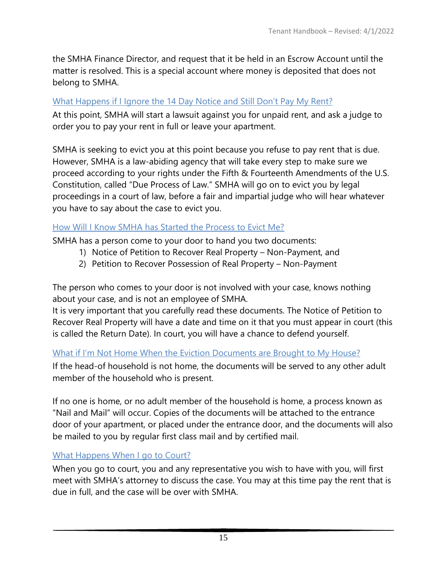the SMHA Finance Director, and request that it be held in an Escrow Account until the matter is resolved. This is a special account where money is deposited that does not belong to SMHA.

# <span id="page-69-0"></span>What Happens if I Ignore the 14 Day Notice and Still Don't Pay My Rent?

At this point, SMHA will start a lawsuit against you for unpaid rent, and ask a judge to order you to pay your rent in full or leave your apartment.

SMHA is seeking to evict you at this point because you refuse to pay rent that is due. However, SMHA is a law-abiding agency that will take every step to make sure we proceed according to your rights under the Fifth & Fourteenth Amendments of the U.S. Constitution, called "Due Process of Law." SMHA will go on to evict you by legal proceedings in a court of law, before a fair and impartial judge who will hear whatever you have to say about the case to evict you.

# <span id="page-69-1"></span>How Will I Know SMHA has Started the Process to Evict Me?

SMHA has a person come to your door to hand you two documents:

- 1) Notice of Petition to Recover Real Property Non-Payment, and
- 2) Petition to Recover Possession of Real Property Non-Payment

The person who comes to your door is not involved with your case, knows nothing about your case, and is not an employee of SMHA.

It is very important that you carefully read these documents. The Notice of Petition to Recover Real Property will have a date and time on it that you must appear in court (this is called the Return Date). In court, you will have a chance to defend yourself.

# <span id="page-69-2"></span>What if I'm Not Home When the Eviction Documents are Brought to My House?

If the head-of household is not home, the documents will be served to any other adult member of the household who is present.

If no one is home, or no adult member of the household is home, a process known as "Nail and Mail" will occur. Copies of the documents will be attached to the entrance door of your apartment, or placed under the entrance door, and the documents will also be mailed to you by regular first class mail and by certified mail.

# <span id="page-69-3"></span>What Happens When I go to Court?

When you go to court, you and any representative you wish to have with you, will first meet with SMHA's attorney to discuss the case. You may at this time pay the rent that is due in full, and the case will be over with SMHA.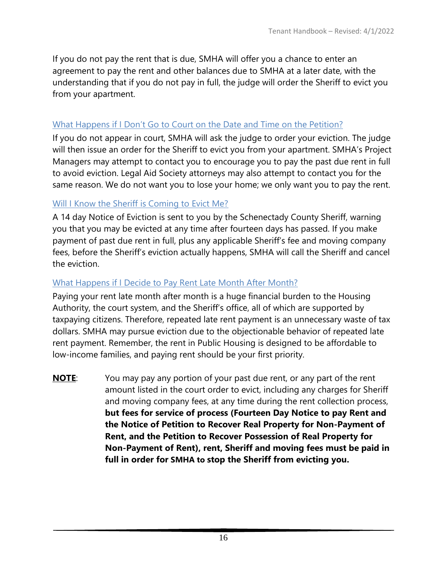If you do not pay the rent that is due, SMHA will offer you a chance to enter an agreement to pay the rent and other balances due to SMHA at a later date, with the understanding that if you do not pay in full, the judge will order the Sheriff to evict you from your apartment.

### <span id="page-70-0"></span>What Happens if I Don't Go to Court on the Date and Time on the Petition?

If you do not appear in court, SMHA will ask the judge to order your eviction. The judge will then issue an order for the Sheriff to evict you from your apartment. SMHA's Project Managers may attempt to contact you to encourage you to pay the past due rent in full to avoid eviction. Legal Aid Society attorneys may also attempt to contact you for the same reason. We do not want you to lose your home; we only want you to pay the rent.

### <span id="page-70-1"></span>Will I Know the Sheriff is Coming to Evict Me?

A 14 day Notice of Eviction is sent to you by the Schenectady County Sheriff, warning you that you may be evicted at any time after fourteen days has passed. If you make payment of past due rent in full, plus any applicable Sheriff's fee and moving company fees, before the Sheriff's eviction actually happens, SMHA will call the Sheriff and cancel the eviction.

### <span id="page-70-2"></span>What Happens if I Decide to Pay Rent Late Month After Month?

Paying your rent late month after month is a huge financial burden to the Housing Authority, the court system, and the Sheriff's office, all of which are supported by taxpaying citizens. Therefore, repeated late rent payment is an unnecessary waste of tax dollars. SMHA may pursue eviction due to the objectionable behavior of repeated late rent payment. Remember, the rent in Public Housing is designed to be affordable to low-income families, and paying rent should be your first priority.

**NOTE**: You may pay any portion of your past due rent, or any part of the rent amount listed in the court order to evict, including any charges for Sheriff and moving company fees, at any time during the rent collection process, **but fees for service of process (Fourteen Day Notice to pay Rent and the Notice of Petition to Recover Real Property for Non-Payment of Rent, and the Petition to Recover Possession of Real Property for Non-Payment of Rent), rent, Sheriff and moving fees must be paid in full in order for SMHA to stop the Sheriff from evicting you.**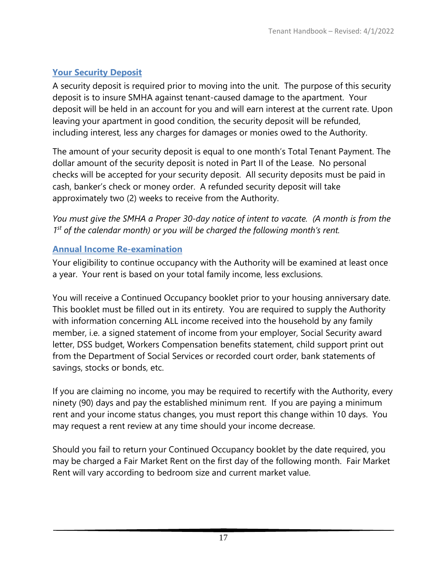# <span id="page-71-0"></span>**Your Security Deposit**

A security deposit is required prior to moving into the unit. The purpose of this security deposit is to insure SMHA against tenant-caused damage to the apartment. Your deposit will be held in an account for you and will earn interest at the current rate. Upon leaving your apartment in good condition, the security deposit will be refunded, including interest, less any charges for damages or monies owed to the Authority.

The amount of your security deposit is equal to one month's Total Tenant Payment. The dollar amount of the security deposit is noted in Part II of the Lease. No personal checks will be accepted for your security deposit. All security deposits must be paid in cash, banker's check or money order. A refunded security deposit will take approximately two (2) weeks to receive from the Authority.

*You must give the SMHA a Proper 30-day notice of intent to vacate. (A month is from the 1st of the calendar month) or you will be charged the following month's rent.*

# <span id="page-71-1"></span>**Annual Income Re-examination**

Your eligibility to continue occupancy with the Authority will be examined at least once a year. Your rent is based on your total family income, less exclusions.

You will receive a Continued Occupancy booklet prior to your housing anniversary date. This booklet must be filled out in its entirety. You are required to supply the Authority with information concerning ALL income received into the household by any family member, i.e. a signed statement of income from your employer, Social Security award letter, DSS budget, Workers Compensation benefits statement, child support print out from the Department of Social Services or recorded court order, bank statements of savings, stocks or bonds, etc.

If you are claiming no income, you may be required to recertify with the Authority, every ninety (90) days and pay the established minimum rent. If you are paying a minimum rent and your income status changes, you must report this change within 10 days. You may request a rent review at any time should your income decrease.

Should you fail to return your Continued Occupancy booklet by the date required, you may be charged a Fair Market Rent on the first day of the following month. Fair Market Rent will vary according to bedroom size and current market value.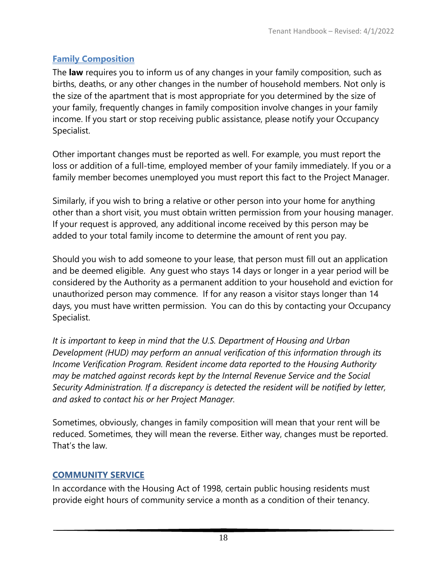# **Family Composition**

The **law** requires you to inform us of any changes in your family composition, such as births, deaths, or any other changes in the number of household members. Not only is the size of the apartment that is most appropriate for you determined by the size of your family, frequently changes in family composition involve changes in your family income. If you start or stop receiving public assistance, please notify your Occupancy Specialist.

Other important changes must be reported as well. For example, you must report the loss or addition of a full-time, employed member of your family immediately. If you or a family member becomes unemployed you must report this fact to the Project Manager.

Similarly, if you wish to bring a relative or other person into your home for anything other than a short visit, you must obtain written permission from your housing manager. If your request is approved, any additional income received by this person may be added to your total family income to determine the amount of rent you pay.

Should you wish to add someone to your lease, that person must fill out an application and be deemed eligible. Any guest who stays 14 days or longer in a year period will be considered by the Authority as a permanent addition to your household and eviction for unauthorized person may commence. If for any reason a visitor stays longer than 14 days, you must have written permission. You can do this by contacting your Occupancy Specialist.

*It is important to keep in mind that the U.S. Department of Housing and Urban Development (HUD) may perform an annual verification of this information through its Income Verification Program. Resident income data reported to the Housing Authority may be matched against records kept by the Internal Revenue Service and the Social Security Administration. If a discrepancy is detected the resident will be notified by letter, and asked to contact his or her Project Manager.* 

Sometimes, obviously, changes in family composition will mean that your rent will be reduced. Sometimes, they will mean the reverse. Either way, changes must be reported. That's the law.

# **COMMUNITY SERVICE**

In accordance with the Housing Act of 1998, certain public housing residents must provide eight hours of community service a month as a condition of their tenancy.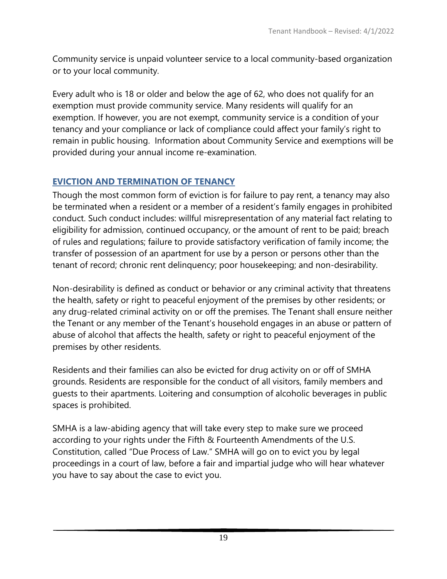Community service is unpaid volunteer service to a local community-based organization or to your local community.

Every adult who is 18 or older and below the age of 62, who does not qualify for an exemption must provide community service. Many residents will qualify for an exemption. If however, you are not exempt, community service is a condition of your tenancy and your compliance or lack of compliance could affect your family's right to remain in public housing. Information about Community Service and exemptions will be provided during your annual income re-examination.

### **EVICTION AND TERMINATION OF TENANCY**

Though the most common form of eviction is for failure to pay rent, a tenancy may also be terminated when a resident or a member of a resident's family engages in prohibited conduct. Such conduct includes: willful misrepresentation of any material fact relating to eligibility for admission, continued occupancy, or the amount of rent to be paid; breach of rules and regulations; failure to provide satisfactory verification of family income; the transfer of possession of an apartment for use by a person or persons other than the tenant of record; chronic rent delinquency; poor housekeeping; and non-desirability.

Non-desirability is defined as conduct or behavior or any criminal activity that threatens the health, safety or right to peaceful enjoyment of the premises by other residents; or any drug-related criminal activity on or off the premises. The Tenant shall ensure neither the Tenant or any member of the Tenant's household engages in an abuse or pattern of abuse of alcohol that affects the health, safety or right to peaceful enjoyment of the premises by other residents.

Residents and their families can also be evicted for drug activity on or off of SMHA grounds. Residents are responsible for the conduct of all visitors, family members and guests to their apartments. Loitering and consumption of alcoholic beverages in public spaces is prohibited.

SMHA is a law-abiding agency that will take every step to make sure we proceed according to your rights under the Fifth & Fourteenth Amendments of the U.S. Constitution, called "Due Process of Law." SMHA will go on to evict you by legal proceedings in a court of law, before a fair and impartial judge who will hear whatever you have to say about the case to evict you.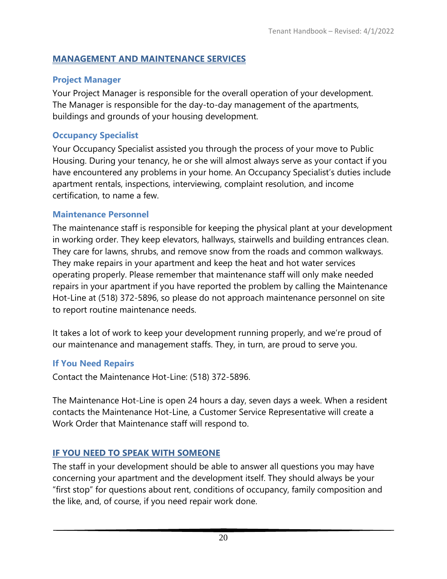## **MANAGEMENT AND MAINTENANCE SERVICES**

# **Project Manager**

Your Project Manager is responsible for the overall operation of your development. The Manager is responsible for the day-to-day management of the apartments, buildings and grounds of your housing development.

# **Occupancy Specialist**

Your Occupancy Specialist assisted you through the process of your move to Public Housing. During your tenancy, he or she will almost always serve as your contact if you have encountered any problems in your home. An Occupancy Specialist's duties include apartment rentals, inspections, interviewing, complaint resolution, and income certification, to name a few.

# **Maintenance Personnel**

The maintenance staff is responsible for keeping the physical plant at your development in working order. They keep elevators, hallways, stairwells and building entrances clean. They care for lawns, shrubs, and remove snow from the roads and common walkways. They make repairs in your apartment and keep the heat and hot water services operating properly. Please remember that maintenance staff will only make needed repairs in your apartment if you have reported the problem by calling the Maintenance Hot-Line at (518) 372-5896, so please do not approach maintenance personnel on site to report routine maintenance needs.

It takes a lot of work to keep your development running properly, and we're proud of our maintenance and management staffs. They, in turn, are proud to serve you.

# **If You Need Repairs**

Contact the Maintenance Hot-Line: (518) 372-5896.

The Maintenance Hot-Line is open 24 hours a day, seven days a week. When a resident contacts the Maintenance Hot-Line, a Customer Service Representative will create a Work Order that Maintenance staff will respond to.

# **IF YOU NEED TO SPEAK WITH SOMEONE**

The staff in your development should be able to answer all questions you may have concerning your apartment and the development itself. They should always be your "first stop" for questions about rent, conditions of occupancy, family composition and the like, and, of course, if you need repair work done.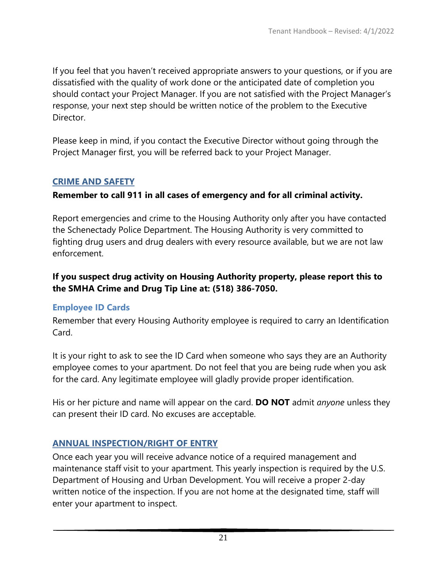If you feel that you haven't received appropriate answers to your questions, or if you are dissatisfied with the quality of work done or the anticipated date of completion you should contact your Project Manager. If you are not satisfied with the Project Manager's response, your next step should be written notice of the problem to the Executive Director.

Please keep in mind, if you contact the Executive Director without going through the Project Manager first, you will be referred back to your Project Manager.

### **CRIME AND SAFETY**

### **Remember to call 911 in all cases of emergency and for all criminal activity.**

Report emergencies and crime to the Housing Authority only after you have contacted the Schenectady Police Department. The Housing Authority is very committed to fighting drug users and drug dealers with every resource available, but we are not law enforcement.

### **If you suspect drug activity on Housing Authority property, please report this to the SMHA Crime and Drug Tip Line at: (518) 386-7050.**

### **Employee ID Cards**

Remember that every Housing Authority employee is required to carry an Identification Card.

It is your right to ask to see the ID Card when someone who says they are an Authority employee comes to your apartment. Do not feel that you are being rude when you ask for the card. Any legitimate employee will gladly provide proper identification.

His or her picture and name will appear on the card. **DO NOT** admit *anyone* unless they can present their ID card. No excuses are acceptable.

### **ANNUAL INSPECTION/RIGHT OF ENTRY**

Once each year you will receive advance notice of a required management and maintenance staff visit to your apartment. This yearly inspection is required by the U.S. Department of Housing and Urban Development. You will receive a proper 2-day written notice of the inspection. If you are not home at the designated time, staff will enter your apartment to inspect.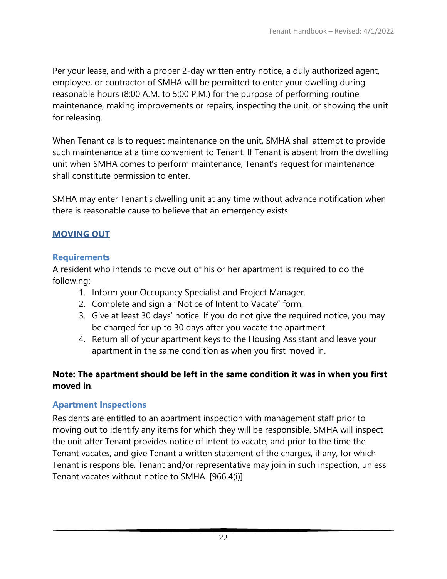Per your lease, and with a proper 2-day written entry notice, a duly authorized agent, employee, or contractor of SMHA will be permitted to enter your dwelling during reasonable hours (8:00 A.M. to 5:00 P.M.) for the purpose of performing routine maintenance, making improvements or repairs, inspecting the unit, or showing the unit for releasing.

When Tenant calls to request maintenance on the unit, SMHA shall attempt to provide such maintenance at a time convenient to Tenant. If Tenant is absent from the dwelling unit when SMHA comes to perform maintenance, Tenant's request for maintenance shall constitute permission to enter.

SMHA may enter Tenant's dwelling unit at any time without advance notification when there is reasonable cause to believe that an emergency exists.

### **MOVING OUT**

#### **Requirements**

A resident who intends to move out of his or her apartment is required to do the following:

- 1. Inform your Occupancy Specialist and Project Manager.
- 2. Complete and sign a "Notice of Intent to Vacate" form.
- 3. Give at least 30 days' notice. If you do not give the required notice, you may be charged for up to 30 days after you vacate the apartment.
- 4. Return all of your apartment keys to the Housing Assistant and leave your apartment in the same condition as when you first moved in.

### **Note: The apartment should be left in the same condition it was in when you first moved in**.

### **Apartment Inspections**

Residents are entitled to an apartment inspection with management staff prior to moving out to identify any items for which they will be responsible. SMHA will inspect the unit after Tenant provides notice of intent to vacate, and prior to the time the Tenant vacates, and give Tenant a written statement of the charges, if any, for which Tenant is responsible. Tenant and/or representative may join in such inspection, unless Tenant vacates without notice to SMHA. [966.4(i)]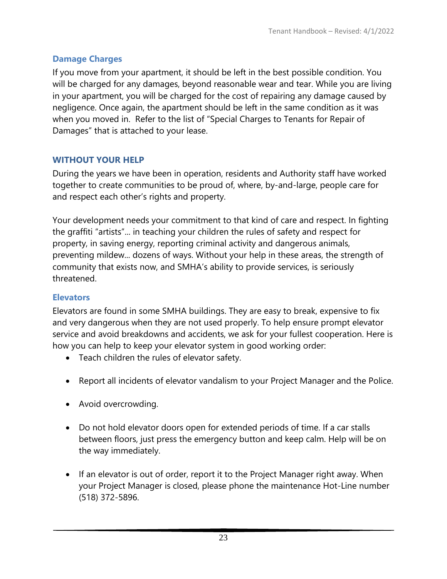# **Damage Charges**

If you move from your apartment, it should be left in the best possible condition. You will be charged for any damages, beyond reasonable wear and tear. While you are living in your apartment, you will be charged for the cost of repairing any damage caused by negligence. Once again, the apartment should be left in the same condition as it was when you moved in. Refer to the list of "Special Charges to Tenants for Repair of Damages" that is attached to your lease.

# **WITHOUT YOUR HELP**

During the years we have been in operation, residents and Authority staff have worked together to create communities to be proud of, where, by-and-large, people care for and respect each other's rights and property.

Your development needs your commitment to that kind of care and respect. In fighting the graffiti "artists"... in teaching your children the rules of safety and respect for property, in saving energy, reporting criminal activity and dangerous animals, preventing mildew... dozens of ways. Without your help in these areas, the strength of community that exists now, and SMHA's ability to provide services, is seriously threatened.

# **Elevators**

Elevators are found in some SMHA buildings. They are easy to break, expensive to fix and very dangerous when they are not used properly. To help ensure prompt elevator service and avoid breakdowns and accidents, we ask for your fullest cooperation. Here is how you can help to keep your elevator system in good working order:

- Teach children the rules of elevator safety.
- Report all incidents of elevator vandalism to your Project Manager and the Police.
- Avoid overcrowding.
- Do not hold elevator doors open for extended periods of time. If a car stalls between floors, just press the emergency button and keep calm. Help will be on the way immediately.
- If an elevator is out of order, report it to the Project Manager right away. When your Project Manager is closed, please phone the maintenance Hot-Line number (518) 372-5896.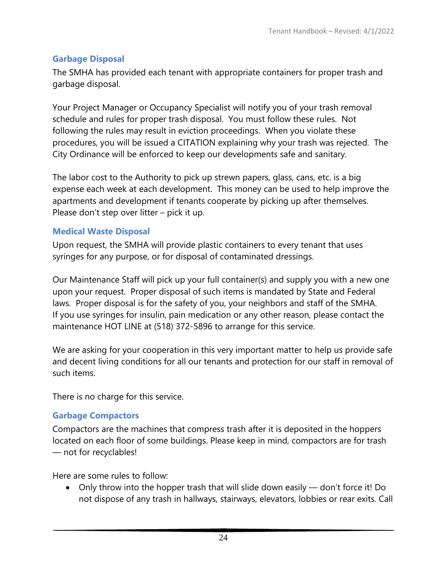# **Garbage Disposal**

The SMHA has provided each tenant with appropriate containers for proper trash and garbage disposal.

Your Project Manager or Occupancy Specialist will notify you of your trash removal schedule and rules for proper trash disposal. You must follow these rules. Not following the rules may result in eviction proceedings. When you violate these procedures, you will be issued a CITATION explaining why your trash was rejected. The City Ordinance will be enforced to keep our developments safe and sanitary.

The labor cost to the Authority to pick up strewn papers, glass, cans, etc. is a big expense each week at each development. This money can be used to help improve the apartments and development if tenants cooperate by picking up after themselves. Please don't step over litter – pick it up.

### **Medical Waste Disposal**

Upon request, the SMHA will provide plastic containers to every tenant that uses syringes for any purpose, or for disposal of contaminated dressings.

Our Maintenance Staff will pick up your full container(s) and supply you with a new one upon your request. Proper disposal of such items is mandated by State and Federal laws. Proper disposal is for the safety of you, your neighbors and staff of the SMHA. If you use syringes for insulin, pain medication or any other reason, please contact the maintenance HOT LINE at (518) 372-5896 to arrange for this service.

We are asking for your cooperation in this very important matter to help us provide safe and decent living conditions for all our tenants and protection for our staff in removal of such items.

There is no charge for this service.

### **Garbage Compactors**

Compactors are the machines that compress trash after it is deposited in the hoppers located on each floor of some buildings. Please keep in mind, compactors are for trash — not for recyclables!

Here are some rules to follow:

• Only throw into the hopper trash that will slide down easily — don't force it! Do not dispose of any trash in hallways, stairways, elevators, lobbies or rear exits. Call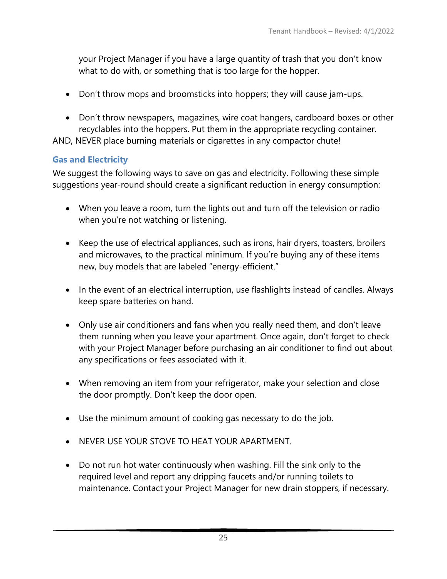your Project Manager if you have a large quantity of trash that you don't know what to do with, or something that is too large for the hopper.

- Don't throw mops and broomsticks into hoppers; they will cause jam-ups.
- Don't throw newspapers, magazines, wire coat hangers, cardboard boxes or other recyclables into the hoppers. Put them in the appropriate recycling container.

AND, NEVER place burning materials or cigarettes in any compactor chute!

# **Gas and Electricity**

We suggest the following ways to save on gas and electricity. Following these simple suggestions year-round should create a significant reduction in energy consumption:

- When you leave a room, turn the lights out and turn off the television or radio when you're not watching or listening.
- Keep the use of electrical appliances, such as irons, hair dryers, toasters, broilers and microwaves, to the practical minimum. If you're buying any of these items new, buy models that are labeled "energy-efficient."
- In the event of an electrical interruption, use flashlights instead of candles. Always keep spare batteries on hand.
- Only use air conditioners and fans when you really need them, and don't leave them running when you leave your apartment. Once again, don't forget to check with your Project Manager before purchasing an air conditioner to find out about any specifications or fees associated with it.
- When removing an item from your refrigerator, make your selection and close the door promptly. Don't keep the door open.
- Use the minimum amount of cooking gas necessary to do the job.
- NEVER USE YOUR STOVE TO HEAT YOUR APARTMENT.
- Do not run hot water continuously when washing. Fill the sink only to the required level and report any dripping faucets and/or running toilets to maintenance. Contact your Project Manager for new drain stoppers, if necessary.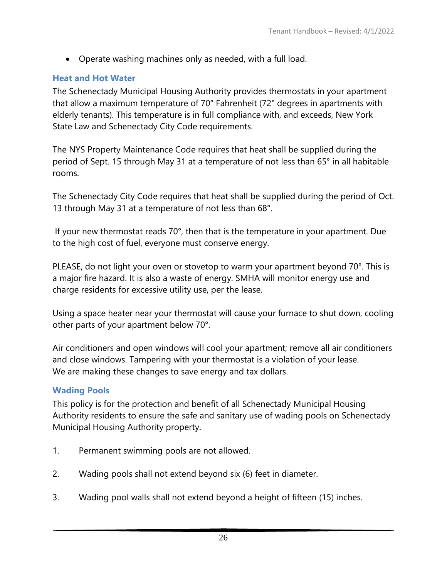• Operate washing machines only as needed, with a full load.

### **Heat and Hot Water**

The Schenectady Municipal Housing Authority provides thermostats in your apartment that allow a maximum temperature of 70° Fahrenheit (72° degrees in apartments with elderly tenants). This temperature is in full compliance with, and exceeds, New York State Law and Schenectady City Code requirements.

The NYS Property Maintenance Code requires that heat shall be supplied during the period of Sept. 15 through May 31 at a temperature of not less than 65° in all habitable rooms.

The Schenectady City Code requires that heat shall be supplied during the period of Oct. 13 through May 31 at a temperature of not less than 68°.

If your new thermostat reads 70°, then that is the temperature in your apartment. Due to the high cost of fuel, everyone must conserve energy.

PLEASE, do not light your oven or stovetop to warm your apartment beyond 70°. This is a major fire hazard. It is also a waste of energy. SMHA will monitor energy use and charge residents for excessive utility use, per the lease.

Using a space heater near your thermostat will cause your furnace to shut down, cooling other parts of your apartment below 70°.

Air conditioners and open windows will cool your apartment; remove all air conditioners and close windows. Tampering with your thermostat is a violation of your lease. We are making these changes to save energy and tax dollars.

### **Wading Pools**

This policy is for the protection and benefit of all Schenectady Municipal Housing Authority residents to ensure the safe and sanitary use of wading pools on Schenectady Municipal Housing Authority property.

- 1. Permanent swimming pools are not allowed.
- 2. Wading pools shall not extend beyond six (6) feet in diameter.
- 3. Wading pool walls shall not extend beyond a height of fifteen (15) inches.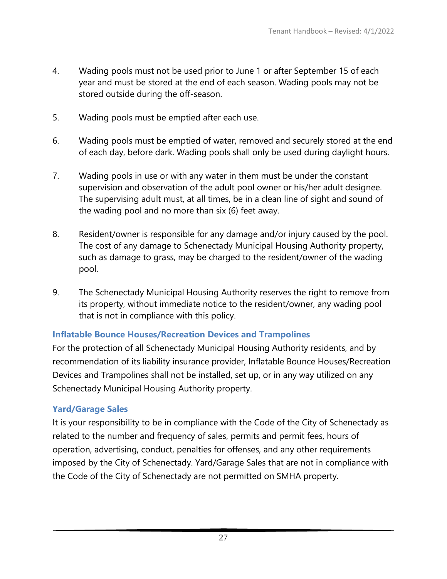- 4. Wading pools must not be used prior to June 1 or after September 15 of each year and must be stored at the end of each season. Wading pools may not be stored outside during the off-season.
- 5. Wading pools must be emptied after each use.
- 6. Wading pools must be emptied of water, removed and securely stored at the end of each day, before dark. Wading pools shall only be used during daylight hours.
- 7. Wading pools in use or with any water in them must be under the constant supervision and observation of the adult pool owner or his/her adult designee. The supervising adult must, at all times, be in a clean line of sight and sound of the wading pool and no more than six (6) feet away.
- 8. Resident/owner is responsible for any damage and/or injury caused by the pool. The cost of any damage to Schenectady Municipal Housing Authority property, such as damage to grass, may be charged to the resident/owner of the wading pool.
- 9. The Schenectady Municipal Housing Authority reserves the right to remove from its property, without immediate notice to the resident/owner, any wading pool that is not in compliance with this policy.

### **Inflatable Bounce Houses/Recreation Devices and Trampolines**

For the protection of all Schenectady Municipal Housing Authority residents, and by recommendation of its liability insurance provider, Inflatable Bounce Houses/Recreation Devices and Trampolines shall not be installed, set up, or in any way utilized on any Schenectady Municipal Housing Authority property.

### **Yard/Garage Sales**

It is your responsibility to be in compliance with the Code of the City of Schenectady as related to the number and frequency of sales, permits and permit fees, hours of operation, advertising, conduct, penalties for offenses, and any other requirements imposed by the City of Schenectady. Yard/Garage Sales that are not in compliance with the Code of the City of Schenectady are not permitted on SMHA property.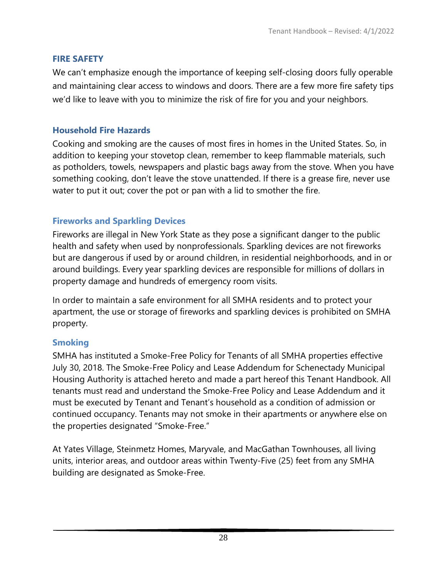#### **FIRE SAFETY**

We can't emphasize enough the importance of keeping self-closing doors fully operable and maintaining clear access to windows and doors. There are a few more fire safety tips we'd like to leave with you to minimize the risk of fire for you and your neighbors.

### **Household Fire Hazards**

Cooking and smoking are the causes of most fires in homes in the United States. So, in addition to keeping your stovetop clean, remember to keep flammable materials, such as potholders, towels, newspapers and plastic bags away from the stove. When you have something cooking, don't leave the stove unattended. If there is a grease fire, never use water to put it out; cover the pot or pan with a lid to smother the fire.

### **Fireworks and Sparkling Devices**

Fireworks are illegal in New York State as they pose a significant danger to the public health and safety when used by nonprofessionals. Sparkling devices are not fireworks but are dangerous if used by or around children, in residential neighborhoods, and in or around buildings. Every year sparkling devices are responsible for millions of dollars in property damage and hundreds of emergency room visits.

In order to maintain a safe environment for all SMHA residents and to protect your apartment, the use or storage of fireworks and sparkling devices is prohibited on SMHA property.

### **Smoking**

SMHA has instituted a Smoke-Free Policy for Tenants of all SMHA properties effective July 30, 2018. The Smoke-Free Policy and Lease Addendum for Schenectady Municipal Housing Authority is attached hereto and made a part hereof this Tenant Handbook. All tenants must read and understand the Smoke-Free Policy and Lease Addendum and it must be executed by Tenant and Tenant's household as a condition of admission or continued occupancy. Tenants may not smoke in their apartments or anywhere else on the properties designated "Smoke-Free."

At Yates Village, Steinmetz Homes, Maryvale, and MacGathan Townhouses, all living units, interior areas, and outdoor areas within Twenty-Five (25) feet from any SMHA building are designated as Smoke-Free.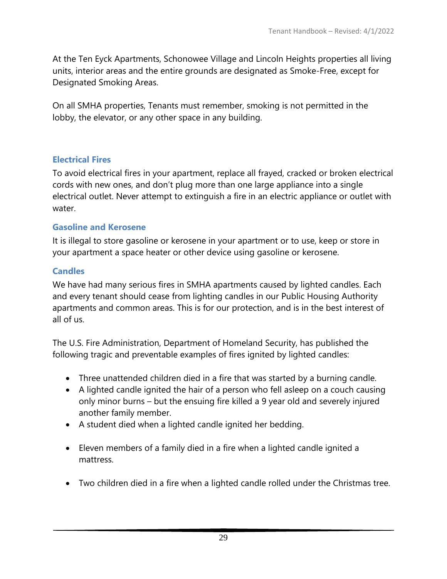At the Ten Eyck Apartments, Schonowee Village and Lincoln Heights properties all living units, interior areas and the entire grounds are designated as Smoke-Free, except for Designated Smoking Areas.

On all SMHA properties, Tenants must remember, smoking is not permitted in the lobby, the elevator, or any other space in any building.

#### **Electrical Fires**

To avoid electrical fires in your apartment, replace all frayed, cracked or broken electrical cords with new ones, and don't plug more than one large appliance into a single electrical outlet. Never attempt to extinguish a fire in an electric appliance or outlet with water.

#### **Gasoline and Kerosene**

It is illegal to store gasoline or kerosene in your apartment or to use, keep or store in your apartment a space heater or other device using gasoline or kerosene.

### **Candles**

We have had many serious fires in SMHA apartments caused by lighted candles. Each and every tenant should cease from lighting candles in our Public Housing Authority apartments and common areas. This is for our protection, and is in the best interest of all of us.

The U.S. Fire Administration, Department of Homeland Security, has published the following tragic and preventable examples of fires ignited by lighted candles:

- Three unattended children died in a fire that was started by a burning candle.
- A lighted candle ignited the hair of a person who fell asleep on a couch causing only minor burns – but the ensuing fire killed a 9 year old and severely injured another family member.
- A student died when a lighted candle ignited her bedding.
- Eleven members of a family died in a fire when a lighted candle ignited a mattress.
- Two children died in a fire when a lighted candle rolled under the Christmas tree.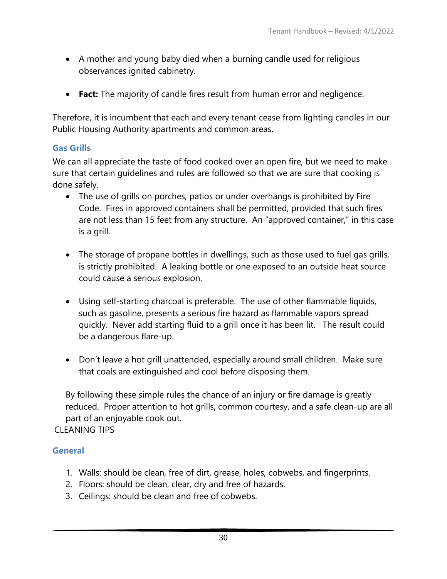- A mother and young baby died when a burning candle used for religious observances ignited cabinetry.
- **Fact:** The majority of candle fires result from human error and negligence.

Therefore, it is incumbent that each and every tenant cease from lighting candles in our Public Housing Authority apartments and common areas.

#### **Gas Grills**

We can all appreciate the taste of food cooked over an open fire, but we need to make sure that certain guidelines and rules are followed so that we are sure that cooking is done safely.

- The use of grills on porches, patios or under overhangs is prohibited by Fire Code. Fires in approved containers shall be permitted, provided that such fires are not less than 15 feet from any structure. An "approved container," in this case is a grill.
- The storage of propane bottles in dwellings, such as those used to fuel gas grills, is strictly prohibited. A leaking bottle or one exposed to an outside heat source could cause a serious explosion.
- Using self-starting charcoal is preferable. The use of other flammable liquids, such as gasoline, presents a serious fire hazard as flammable vapors spread quickly. Never add starting fluid to a grill once it has been lit. The result could be a dangerous flare-up.
- Don't leave a hot grill unattended, especially around small children. Make sure that coals are extinguished and cool before disposing them.

By following these simple rules the chance of an injury or fire damage is greatly reduced. Proper attention to hot grills, common courtesy, and a safe clean-up are all part of an enjoyable cook out.

### CLEANING TIPS

#### **General**

- 1. Walls: should be clean, free of dirt, grease, holes, cobwebs, and fingerprints.
- 2. Floors: should be clean, clear, dry and free of hazards.
- 3. Ceilings: should be clean and free of cobwebs.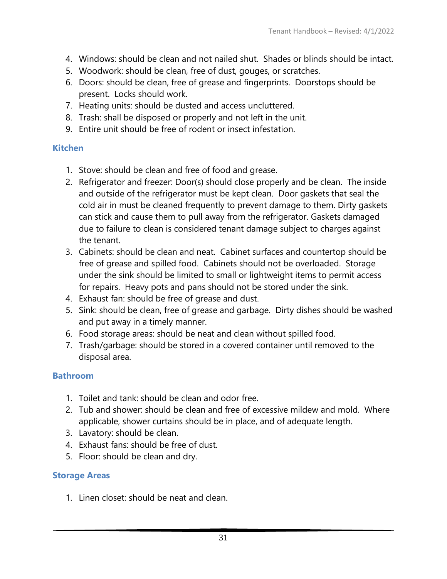- 4. Windows: should be clean and not nailed shut. Shades or blinds should be intact.
- 5. Woodwork: should be clean, free of dust, gouges, or scratches.
- 6. Doors: should be clean, free of grease and fingerprints. Doorstops should be present. Locks should work.
- 7. Heating units: should be dusted and access uncluttered.
- 8. Trash: shall be disposed or properly and not left in the unit.
- 9. Entire unit should be free of rodent or insect infestation.

### **Kitchen**

- 1. Stove: should be clean and free of food and grease.
- 2. Refrigerator and freezer: Door(s) should close properly and be clean. The inside and outside of the refrigerator must be kept clean. Door gaskets that seal the cold air in must be cleaned frequently to prevent damage to them. Dirty gaskets can stick and cause them to pull away from the refrigerator. Gaskets damaged due to failure to clean is considered tenant damage subject to charges against the tenant.
- 3. Cabinets: should be clean and neat. Cabinet surfaces and countertop should be free of grease and spilled food. Cabinets should not be overloaded. Storage under the sink should be limited to small or lightweight items to permit access for repairs. Heavy pots and pans should not be stored under the sink.
- 4. Exhaust fan: should be free of grease and dust.
- 5. Sink: should be clean, free of grease and garbage. Dirty dishes should be washed and put away in a timely manner.
- 6. Food storage areas: should be neat and clean without spilled food.
- 7. Trash/garbage: should be stored in a covered container until removed to the disposal area.

### **Bathroom**

- 1. Toilet and tank: should be clean and odor free.
- 2. Tub and shower: should be clean and free of excessive mildew and mold. Where applicable, shower curtains should be in place, and of adequate length.
- 3. Lavatory: should be clean.
- 4. Exhaust fans: should be free of dust.
- 5. Floor: should be clean and dry.

### **Storage Areas**

1. Linen closet: should be neat and clean.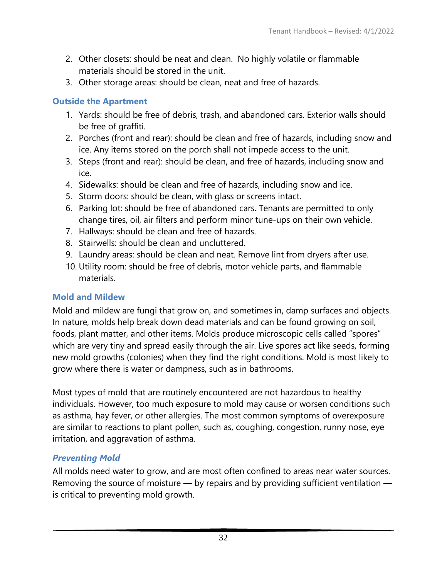- 2. Other closets: should be neat and clean. No highly volatile or flammable materials should be stored in the unit.
- 3. Other storage areas: should be clean, neat and free of hazards.

### **Outside the Apartment**

- 1. Yards: should be free of debris, trash, and abandoned cars. Exterior walls should be free of graffiti.
- 2. Porches (front and rear): should be clean and free of hazards, including snow and ice. Any items stored on the porch shall not impede access to the unit.
- 3. Steps (front and rear): should be clean, and free of hazards, including snow and ice.
- 4. Sidewalks: should be clean and free of hazards, including snow and ice.
- 5. Storm doors: should be clean, with glass or screens intact.
- 6. Parking lot: should be free of abandoned cars. Tenants are permitted to only change tires, oil, air filters and perform minor tune-ups on their own vehicle.
- 7. Hallways: should be clean and free of hazards.
- 8. Stairwells: should be clean and uncluttered.
- 9. Laundry areas: should be clean and neat. Remove lint from dryers after use.
- 10. Utility room: should be free of debris, motor vehicle parts, and flammable materials.

### **Mold and Mildew**

Mold and mildew are fungi that grow on, and sometimes in, damp surfaces and objects. In nature, molds help break down dead materials and can be found growing on soil, foods, plant matter, and other items. Molds produce microscopic cells called "spores" which are very tiny and spread easily through the air. Live spores act like seeds, forming new mold growths (colonies) when they find the right conditions. Mold is most likely to grow where there is water or dampness, such as in bathrooms.

Most types of mold that are routinely encountered are not hazardous to healthy individuals. However, too much exposure to mold may cause or worsen conditions such as asthma, hay fever, or other allergies. The most common symptoms of overexposure are similar to reactions to plant pollen, such as, coughing, congestion, runny nose, eye irritation, and aggravation of asthma.

# *Preventing Mold*

All molds need water to grow, and are most often confined to areas near water sources. Removing the source of moisture — by repairs and by providing sufficient ventilation is critical to preventing mold growth.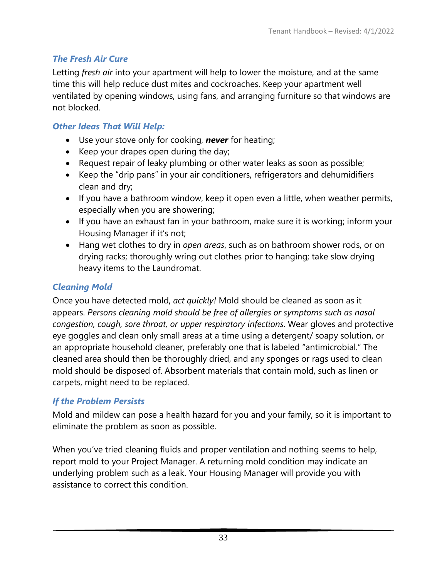# *The Fresh Air Cure*

Letting *fresh air* into your apartment will help to lower the moisture, and at the same time this will help reduce dust mites and cockroaches. Keep your apartment well ventilated by opening windows, using fans, and arranging furniture so that windows are not blocked.

# *Other Ideas That Will Help:*

- Use your stove only for cooking, *never* for heating;
- Keep your drapes open during the day;
- Request repair of leaky plumbing or other water leaks as soon as possible;
- Keep the "drip pans" in your air conditioners, refrigerators and dehumidifiers clean and dry;
- If you have a bathroom window, keep it open even a little, when weather permits, especially when you are showering;
- If you have an exhaust fan in your bathroom, make sure it is working; inform your Housing Manager if it's not;
- Hang wet clothes to dry in *open areas*, such as on bathroom shower rods, or on drying racks; thoroughly wring out clothes prior to hanging; take slow drying heavy items to the Laundromat.

## *Cleaning Mold*

Once you have detected mold, *act quickly!* Mold should be cleaned as soon as it appears. *Persons cleaning mold should be free of allergies or symptoms such as nasal congestion, cough, sore throat, or upper respiratory infections*. Wear gloves and protective eye goggles and clean only small areas at a time using a detergent/ soapy solution, or an appropriate household cleaner, preferably one that is labeled "antimicrobial." The cleaned area should then be thoroughly dried, and any sponges or rags used to clean mold should be disposed of. Absorbent materials that contain mold, such as linen or carpets, might need to be replaced.

# *If the Problem Persists*

Mold and mildew can pose a health hazard for you and your family, so it is important to eliminate the problem as soon as possible.

When you've tried cleaning fluids and proper ventilation and nothing seems to help, report mold to your Project Manager. A returning mold condition may indicate an underlying problem such as a leak. Your Housing Manager will provide you with assistance to correct this condition.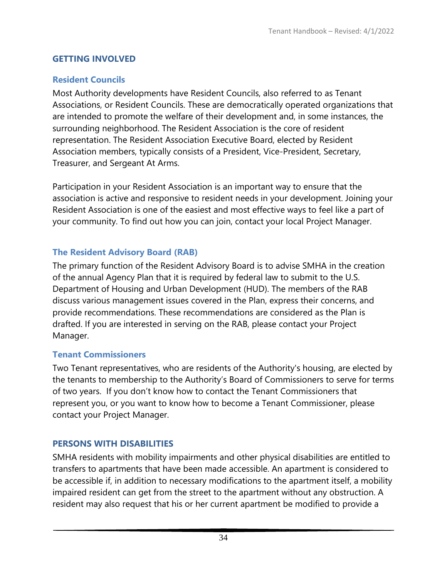# **GETTING INVOLVED**

## **Resident Councils**

Most Authority developments have Resident Councils, also referred to as Tenant Associations, or Resident Councils. These are democratically operated organizations that are intended to promote the welfare of their development and, in some instances, the surrounding neighborhood. The Resident Association is the core of resident representation. The Resident Association Executive Board, elected by Resident Association members, typically consists of a President, Vice-President, Secretary, Treasurer, and Sergeant At Arms.

Participation in your Resident Association is an important way to ensure that the association is active and responsive to resident needs in your development. Joining your Resident Association is one of the easiest and most effective ways to feel like a part of your community. To find out how you can join, contact your local Project Manager.

# **The Resident Advisory Board (RAB)**

The primary function of the Resident Advisory Board is to advise SMHA in the creation of the annual Agency Plan that it is required by federal law to submit to the U.S. Department of Housing and Urban Development (HUD). The members of the RAB discuss various management issues covered in the Plan, express their concerns, and provide recommendations. These recommendations are considered as the Plan is drafted. If you are interested in serving on the RAB, please contact your Project Manager.

# **Tenant Commissioners**

Two Tenant representatives, who are residents of the Authority's housing, are elected by the tenants to membership to the Authority's Board of Commissioners to serve for terms of two years. If you don't know how to contact the Tenant Commissioners that represent you, or you want to know how to become a Tenant Commissioner, please contact your Project Manager.

# **PERSONS WITH DISABILITIES**

SMHA residents with mobility impairments and other physical disabilities are entitled to transfers to apartments that have been made accessible. An apartment is considered to be accessible if, in addition to necessary modifications to the apartment itself, a mobility impaired resident can get from the street to the apartment without any obstruction. A resident may also request that his or her current apartment be modified to provide a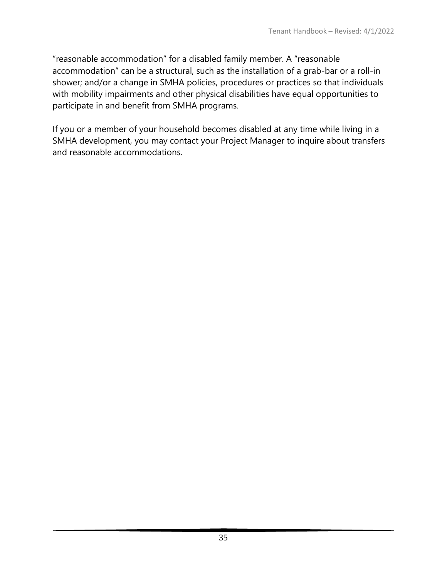"reasonable accommodation" for a disabled family member. A "reasonable accommodation" can be a structural, such as the installation of a grab-bar or a roll-in shower; and/or a change in SMHA policies, procedures or practices so that individuals with mobility impairments and other physical disabilities have equal opportunities to participate in and benefit from SMHA programs.

If you or a member of your household becomes disabled at any time while living in a SMHA development, you may contact your Project Manager to inquire about transfers and reasonable accommodations.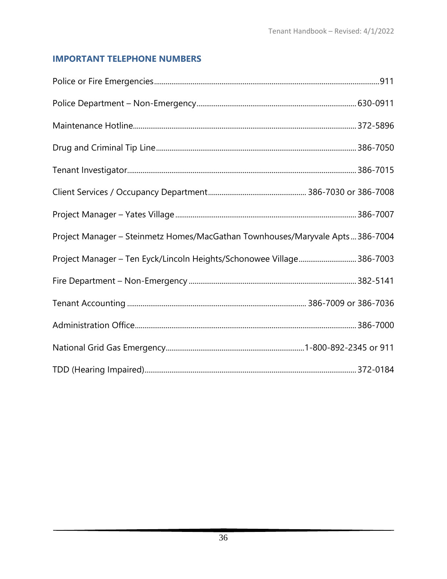### **IMPORTANT TELEPHONE NUMBERS**

| Project Manager - Steinmetz Homes/MacGathan Townhouses/Maryvale Apts 386-7004 |  |
|-------------------------------------------------------------------------------|--|
| Project Manager - Ten Eyck/Lincoln Heights/Schonowee Village 386-7003         |  |
|                                                                               |  |
|                                                                               |  |
|                                                                               |  |
|                                                                               |  |
|                                                                               |  |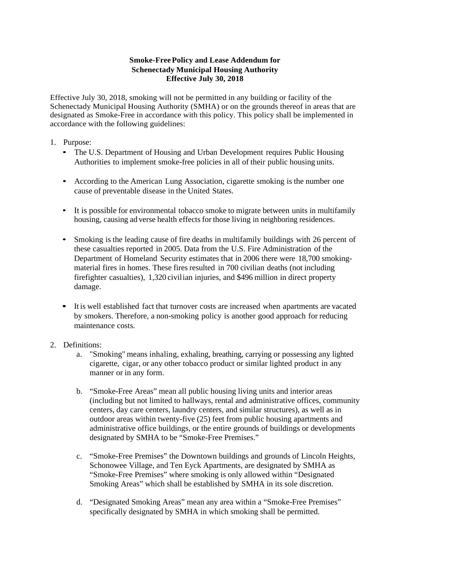#### **Smoke-FreePolicy and Lease Addendum for Schenectady Municipal Housing Authority Effective July 30, 2018**

Effective July 30, 2018, smoking will not be permitted in any building or facility of the Schenectady Municipal Housing Authority (SMHA) or on the grounds thereof in areas that are designated as Smoke-Free in accordance with this policy. This policy shall be implemented in accordance with the following guidelines:

#### 1. Purpose:

- The U.S. Department of Housing and Urban Development requires Public Housing Authorities to implement smoke-free policies in all of their public housing units.
- According to the American Lung Association, cigarette smoking is the number one cause of preventable disease in the United States.
- It is possible for environmental tobacco smoke to migrate between units in multifamily housing, causing ad verse health effects for those living in neighboring residences.
- Smoking is the leading cause of fire deaths in multifamily buildings with 26 percent of these casualties reported in 2005. Data from the U.S. Fire Administration of the Department of Homeland Security estimates that in 2006 there were 18,700 smokingmaterial fires in homes. These fires resulted in 700 civilian deaths (not including firefighter casualties), 1,320 civilian injuries, and \$496 million in direct property damage.
- It is well established fact that turnover costs are increased when apartments are vacated by smokers. Therefore, a non-smoking policy is another good approach for reducing maintenance costs.
- 2. Definitions:
	- a. "Smoking" means inhaling, exhaling, breathing, carrying or possessing any lighted cigarette, cigar, or any other tobacco product or similar lighted product in any manner or in any form.
	- b. "Smoke-Free Areas" mean all public housing living units and interior areas (including but not limited to hallways, rental and administrative offices, community centers, day care centers, laundry centers, and similar structures), as well as in outdoor areas within twenty-five (25) feet from public housing apartments and administrative office buildings, or the entire grounds of buildings or developments designated by SMHA to be "Smoke-Free Premises."
	- c. "Smoke-Free Premises" the Downtown buildings and grounds of Lincoln Heights, Schonowee Village, and Ten Eyck Apartments, are designated by SMHA as "Smoke-Free Premises" where smoking is only allowed within "Designated Smoking Areas" which shall be established by SMHA in its sole discretion.
	- d. "Designated Smoking Areas" mean any area within a "Smoke-Free Premises" specifically designated by SMHA in which smoking shall be permitted.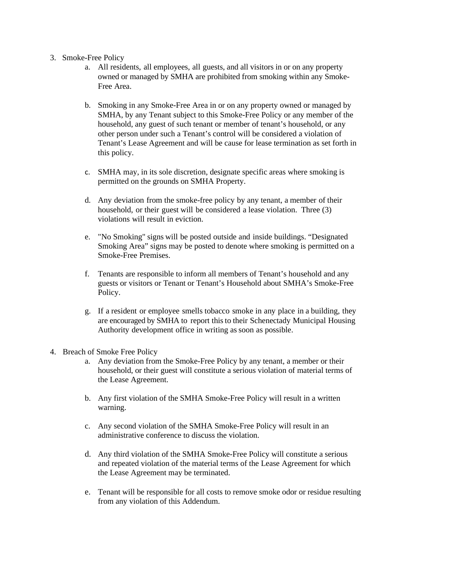- 3. Smoke-Free Policy
	- a. All residents, all employees, all guests, and all visitors in or on any property owned or managed by SMHA are prohibited from smoking within any Smoke-Free Area.
	- b. Smoking in any Smoke-Free Area in or on any property owned or managed by SMHA, by any Tenant subject to this Smoke-Free Policy or any member of the household, any guest of such tenant or member of tenant's household, or any other person under such a Tenant's control will be considered a violation of Tenant's Lease Agreement and will be cause for lease termination as set forth in this policy.
	- c. SMHA may, in its sole discretion, designate specific areas where smoking is permitted on the grounds on SMHA Property.
	- d. Any deviation from the smoke-free policy by any tenant, a member of their household, or their guest will be considered a lease violation. Three (3) violations will result in eviction.
	- e. "No Smoking" signs will be posted outside and inside buildings. "Designated Smoking Area" signs may be posted to denote where smoking is permitted on a Smoke-Free Premises.
	- f. Tenants are responsible to inform all members of Tenant's household and any guests or visitors or Tenant or Tenant's Household about SMHA's Smoke-Free Policy.
	- g. If a resident or employee smells tobacco smoke in any place in a building, they are encouraged by SMHA to report this to their Schenectady Municipal Housing Authority development office in writing as soon as possible.
- 4. Breach of Smoke Free Policy
	- a. Any deviation from the Smoke-Free Policy by any tenant, a member or their household, or their guest will constitute a serious violation of material terms of the Lease Agreement.
	- b. Any first violation of the SMHA Smoke-Free Policy will result in a written warning.
	- c. Any second violation of the SMHA Smoke-Free Policy will result in an administrative conference to discuss the violation.
	- d. Any third violation of the SMHA Smoke-Free Policy will constitute a serious and repeated violation of the material terms of the Lease Agreement for which the Lease Agreement may be terminated.
	- e. Tenant will be responsible for all costs to remove smoke odor or residue resulting from any violation of this Addendum.